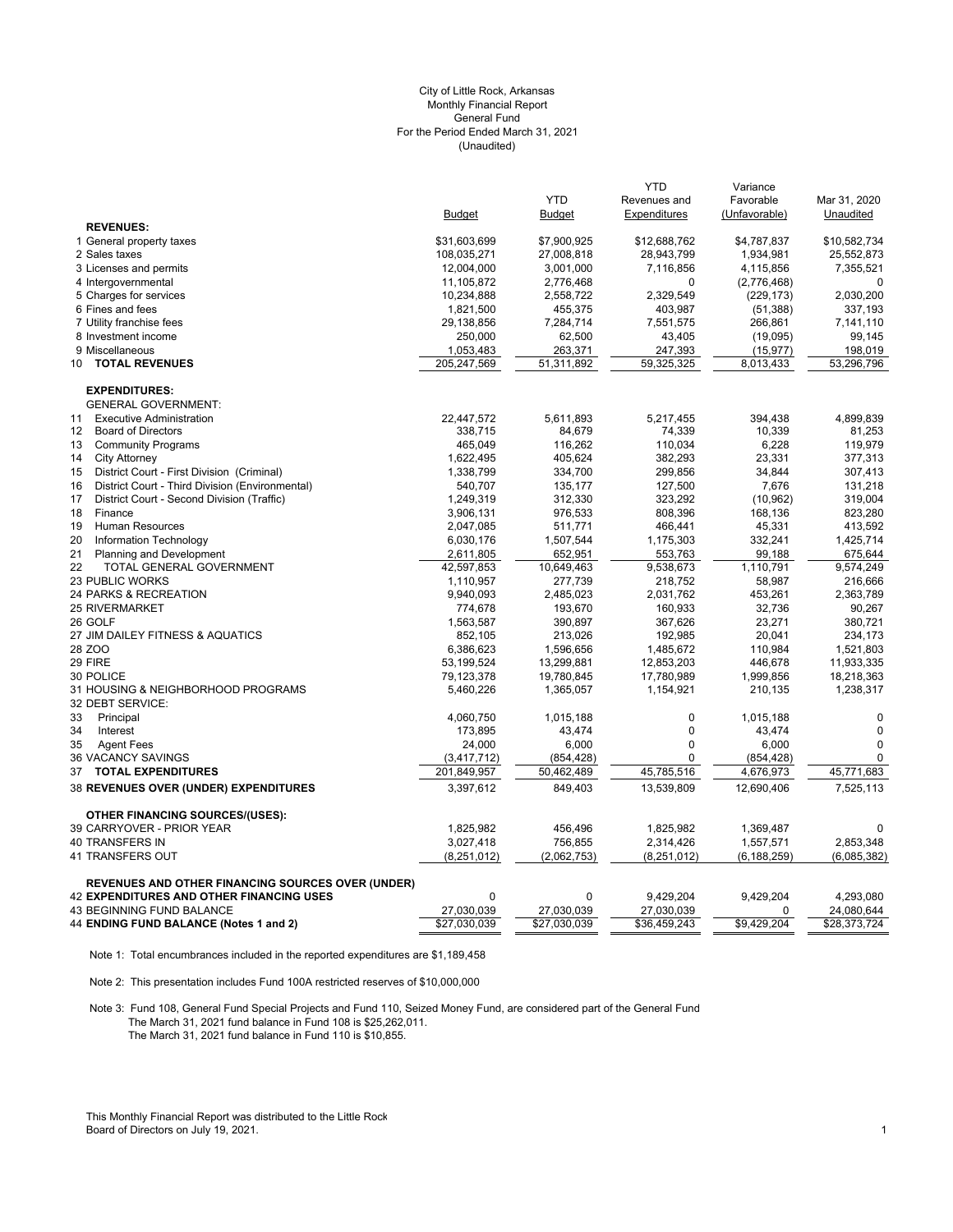## (Unaudited) City of Little Rock, Arkansas Monthly Financial Report General Fund For the Period Ended March 31, 2021

|                                                          |               | <b>YTD</b>    | <b>YTD</b><br>Revenues and | Variance<br>Favorable | Mar 31, 2020 |
|----------------------------------------------------------|---------------|---------------|----------------------------|-----------------------|--------------|
|                                                          | <b>Budget</b> | <b>Budget</b> | Expenditures               | (Unfavorable)         | Unaudited    |
| <b>REVENUES:</b>                                         |               |               |                            |                       |              |
| 1 General property taxes                                 | \$31,603,699  | \$7,900,925   | \$12,688,762               | \$4,787,837           | \$10,582,734 |
| 2 Sales taxes                                            | 108,035,271   | 27,008,818    | 28,943,799                 | 1,934,981             | 25,552,873   |
| 3 Licenses and permits                                   | 12,004,000    | 3,001,000     | 7,116,856                  | 4,115,856             | 7,355,521    |
| 4 Intergovernmental                                      | 11,105,872    | 2,776,468     | 0                          | (2,776,468)           | 0            |
| 5 Charges for services                                   | 10,234,888    | 2,558,722     | 2,329,549                  | (229, 173)            | 2,030,200    |
| 6 Fines and fees                                         | 1,821,500     | 455,375       | 403,987                    | (51, 388)             | 337,193      |
| 7 Utility franchise fees                                 | 29,138,856    | 7,284,714     | 7,551,575                  | 266,861               | 7,141,110    |
| 8 Investment income                                      | 250,000       | 62,500        | 43,405                     | (19,095)              | 99,145       |
| 9 Miscellaneous                                          | 1,053,483     | 263,371       | 247,393                    | (15, 977)             | 198,019      |
| <b>TOTAL REVENUES</b><br>10                              | 205,247,569   | 51,311,892    | 59,325,325                 | 8,013,433             | 53,296,796   |
| <b>EXPENDITURES:</b>                                     |               |               |                            |                       |              |
| <b>GENERAL GOVERNMENT:</b>                               |               |               |                            |                       |              |
| <b>Executive Administration</b><br>11                    | 22,447,572    | 5,611,893     | 5,217,455                  | 394,438               | 4,899,839    |
| $12 \overline{ }$<br><b>Board of Directors</b>           | 338,715       | 84,679        | 74,339                     | 10,339                | 81,253       |
| 13<br><b>Community Programs</b>                          | 465,049       | 116,262       | 110,034                    | 6,228                 | 119,979      |
| 14<br><b>City Attorney</b>                               | 1,622,495     | 405,624       | 382,293                    | 23,331                | 377,313      |
| 15<br>District Court - First Division (Criminal)         | 1,338,799     | 334,700       | 299,856                    | 34,844                | 307,413      |
| District Court - Third Division (Environmental)<br>16    | 540,707       | 135,177       | 127,500                    | 7,676                 | 131,218      |
| 17<br>District Court - Second Division (Traffic)         | 1,249,319     | 312,330       | 323,292                    | (10, 962)             | 319,004      |
| 18<br>Finance                                            | 3,906,131     | 976,533       | 808,396                    | 168,136               | 823,280      |
| 19<br><b>Human Resources</b>                             | 2,047,085     | 511,771       | 466,441                    | 45,331                | 413,592      |
| 20<br>Information Technology                             | 6,030,176     | 1,507,544     | 1,175,303                  | 332,241               | 1,425,714    |
| 21<br><b>Planning and Development</b>                    | 2,611,805     | 652,951       | 553,763                    | 99,188                | 675,644      |
| 22<br>TOTAL GENERAL GOVERNMENT                           | 42,597,853    | 10,649,463    | 9,538,673                  | 1,110,791             | 9,574,249    |
| 23 PUBLIC WORKS                                          | 1,110,957     | 277,739       | 218,752                    | 58,987                | 216,666      |
| 24 PARKS & RECREATION                                    | 9,940,093     | 2,485,023     | 2,031,762                  | 453,261               | 2,363,789    |
| <b>25 RIVERMARKET</b>                                    | 774,678       | 193,670       | 160,933                    | 32,736                | 90,267       |
| 26 GOLF                                                  | 1,563,587     | 390,897       | 367,626                    | 23,271                | 380,721      |
| 27 JIM DAILEY FITNESS & AQUATICS                         | 852,105       | 213,026       | 192,985                    | 20,041                | 234,173      |
| 28 ZOO                                                   | 6,386,623     | 1,596,656     | 1,485,672                  | 110.984               | 1,521,803    |
| 29 FIRE                                                  | 53,199,524    | 13,299,881    | 12,853,203                 | 446,678               | 11,933,335   |
| 30 POLICE                                                | 79,123,378    | 19,780,845    | 17,780,989                 | 1,999,856             | 18,218,363   |
| 31 HOUSING & NEIGHBORHOOD PROGRAMS<br>32 DEBT SERVICE:   | 5,460,226     | 1,365,057     | 1,154,921                  | 210,135               | 1,238,317    |
| 33<br>Principal                                          | 4,060,750     | 1,015,188     | $\mathbf 0$                | 1,015,188             | $\mathbf 0$  |
| 34<br>Interest                                           | 173,895       | 43,474        | $\mathbf 0$                | 43,474                | $\mathbf 0$  |
| 35<br><b>Agent Fees</b>                                  | 24,000        | 6,000         | $\mathbf 0$                | 6,000                 | 0            |
| 36 VACANCY SAVINGS                                       | (3,417,712)   | (854, 428)    | $\Omega$                   | (854, 428)            | $\mathbf 0$  |
| 37<br><b>TOTAL EXPENDITURES</b>                          | 201,849,957   | 50,462,489    | 45,785,516                 | 4,676,973             | 45,771,683   |
| 38 REVENUES OVER (UNDER) EXPENDITURES                    | 3.397.612     | 849.403       | 13.539.809                 | 12.690.406            | 7,525,113    |
| <b>OTHER FINANCING SOURCES/(USES):</b>                   |               |               |                            |                       |              |
| 39 CARRYOVER - PRIOR YEAR                                | 1,825,982     | 456,496       | 1,825,982                  | 1,369,487             | 0            |
| <b>40 TRANSFERS IN</b>                                   | 3,027,418     | 756,855       | 2,314,426                  | 1,557,571             | 2,853,348    |
| 41 TRANSFERS OUT                                         | (8,251,012)   | (2,062,753)   | (8, 251, 012)              | (6, 188, 259)         | (6,085,382)  |
| <b>REVENUES AND OTHER FINANCING SOURCES OVER (UNDER)</b> |               |               |                            |                       |              |
| <b>42 EXPENDITURES AND OTHER FINANCING USES</b>          | $\Omega$      | $\mathbf 0$   | 9,429,204                  | 9,429,204             | 4.293.080    |
| <b>43 BEGINNING FUND BALANCE</b>                         | 27,030,039    | 27,030,039    | 27,030,039                 | $\Omega$              | 24,080,644   |
| 44 ENDING FUND BALANCE (Notes 1 and 2)                   | \$27,030,039  | \$27,030,039  | \$36,459,243               | \$9,429,204           | \$28,373,724 |

Note 1: Total encumbrances included in the reported expenditures are \$1,189,458

Note 2: This presentation includes Fund 100A restricted reserves of \$10,000,000

Note 3: Fund 108, General Fund Special Projects and Fund 110, Seized Money Fund, are considered part of the General Fund The March 31, 2021 fund balance in Fund 108 is \$25,262,011. The March 31, 2021 fund balance in Fund 110 is \$10,855.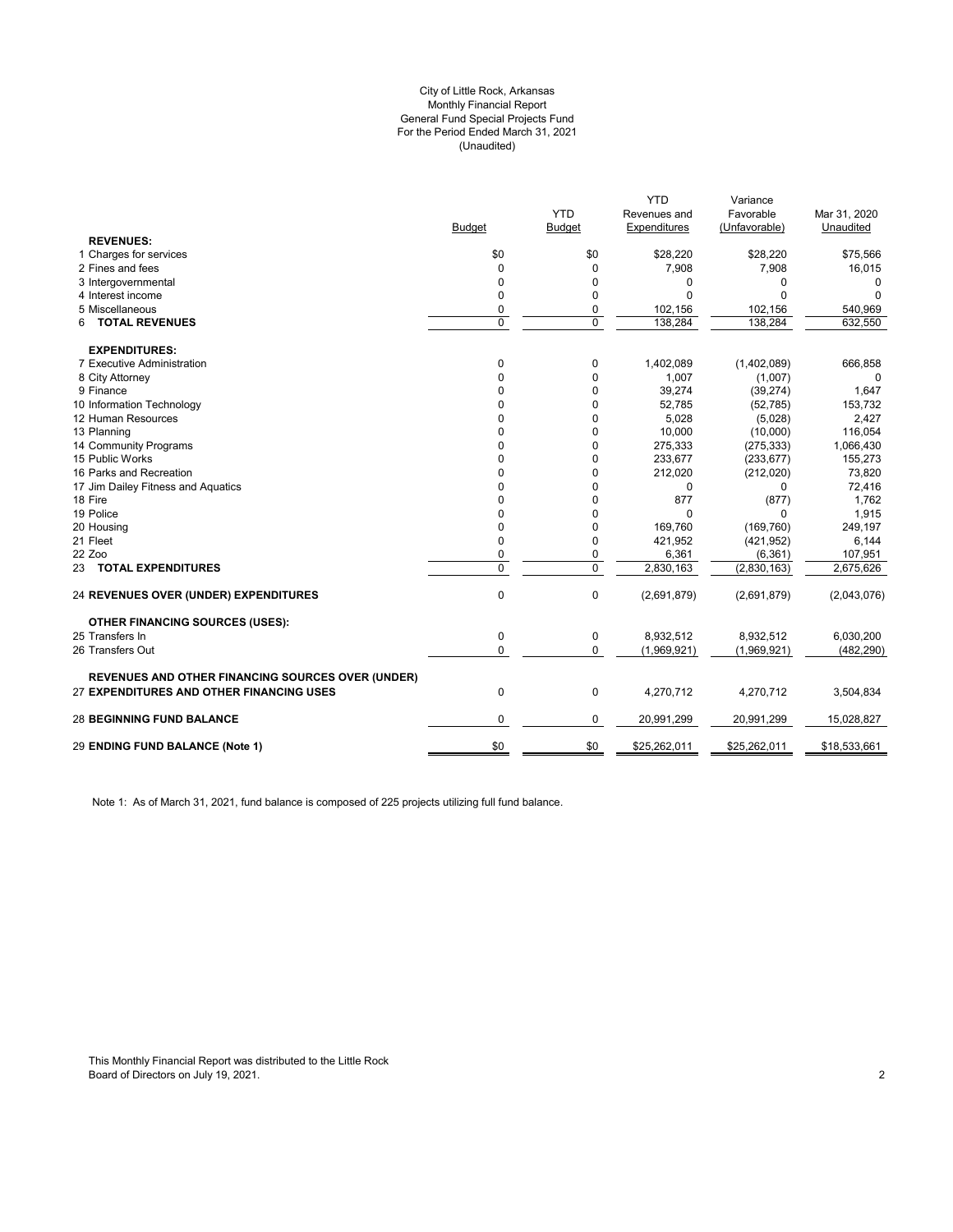#### (Unaudited) City of Little Rock, Arkansas Monthly Financial Report General Fund Special Projects Fund For the Period Ended March 31, 2021

|                                                          |               |               | <b>YTD</b>   | Variance      |              |
|----------------------------------------------------------|---------------|---------------|--------------|---------------|--------------|
|                                                          |               | <b>YTD</b>    | Revenues and | Favorable     | Mar 31, 2020 |
|                                                          | <b>Budget</b> | <b>Budget</b> | Expenditures | (Unfavorable) | Unaudited    |
| <b>REVENUES:</b>                                         |               |               |              |               |              |
| 1 Charges for services                                   | \$0           | \$0           | \$28,220     | \$28,220      | \$75,566     |
| 2 Fines and fees                                         | $\Omega$      | $\mathbf 0$   | 7,908        | 7,908         | 16,015       |
| 3 Intergovernmental                                      | 0             | 0             | 0            | 0             | 0            |
| 4 Interest income                                        | 0             | $\mathbf 0$   | $\Omega$     | $\Omega$      | $\Omega$     |
| 5 Miscellaneous                                          | 0             | 0             | 102,156      | 102,156       | 540,969      |
| <b>TOTAL REVENUES</b><br>6                               | $\mathbf 0$   | $\mathbf 0$   | 138,284      | 138,284       | 632,550      |
| <b>EXPENDITURES:</b>                                     |               |               |              |               |              |
| 7 Executive Administration                               | 0             | 0             | 1,402,089    | (1,402,089)   | 666,858      |
| 8 City Attorney                                          | $\Omega$      | $\mathbf 0$   | 1,007        | (1,007)       | 0            |
| 9 Finance                                                | 0             | $\mathbf 0$   | 39,274       | (39, 274)     | 1,647        |
| 10 Information Technology                                | $\Omega$      | 0             | 52,785       | (52, 785)     | 153,732      |
| 12 Human Resources                                       | $\Omega$      | 0             | 5,028        | (5,028)       | 2,427        |
| 13 Planning                                              | 0             | 0             | 10,000       | (10,000)      | 116,054      |
| 14 Community Programs                                    | 0             | 0             | 275,333      | (275, 333)    | 1,066,430    |
| 15 Public Works                                          | 0             | $\mathbf 0$   | 233,677      | (233, 677)    | 155,273      |
| 16 Parks and Recreation                                  | 0             | 0             | 212,020      | (212,020)     | 73,820       |
| 17 Jim Dailey Fitness and Aquatics                       | 0             | 0             | 0            | 0             | 72,416       |
| 18 Fire                                                  | 0             | 0             | 877          | (877)         | 1,762        |
| 19 Police                                                | 0             | 0             | $\mathbf 0$  | 0             | 1,915        |
| 20 Housing                                               | 0             | $\mathbf 0$   | 169,760      | (169, 760)    | 249,197      |
| 21 Fleet                                                 | 0             | 0             | 421,952      | (421, 952)    | 6,144        |
| 22 Zoo                                                   | 0             | 0             | 6,361        | (6, 361)      | 107,951      |
| 23 TOTAL EXPENDITURES                                    | 0             | $\mathbf 0$   | 2,830,163    | (2,830,163)   | 2,675,626    |
| <b>24 REVENUES OVER (UNDER) EXPENDITURES</b>             | $\mathbf 0$   | $\mathbf 0$   | (2,691,879)  | (2,691,879)   | (2,043,076)  |
| <b>OTHER FINANCING SOURCES (USES):</b>                   |               |               |              |               |              |
| 25 Transfers In                                          | $\mathbf 0$   | 0             | 8,932,512    | 8,932,512     | 6,030,200    |
| 26 Transfers Out                                         | $\Omega$      | $\mathbf 0$   | (1,969,921)  | (1,969,921)   | (482, 290)   |
| <b>REVENUES AND OTHER FINANCING SOURCES OVER (UNDER)</b> |               |               |              |               |              |
| 27 EXPENDITURES AND OTHER FINANCING USES                 | $\mathbf 0$   | $\mathbf 0$   | 4,270,712    | 4,270,712     | 3,504,834    |
| <b>28 BEGINNING FUND BALANCE</b>                         | 0             | 0             | 20,991,299   | 20,991,299    | 15,028,827   |
| 29 ENDING FUND BALANCE (Note 1)                          | \$0           | \$0           | \$25,262,011 | \$25,262,011  | \$18,533,661 |
|                                                          |               |               |              |               |              |

Note 1: As of March 31, 2021, fund balance is composed of 225 projects utilizing full fund balance.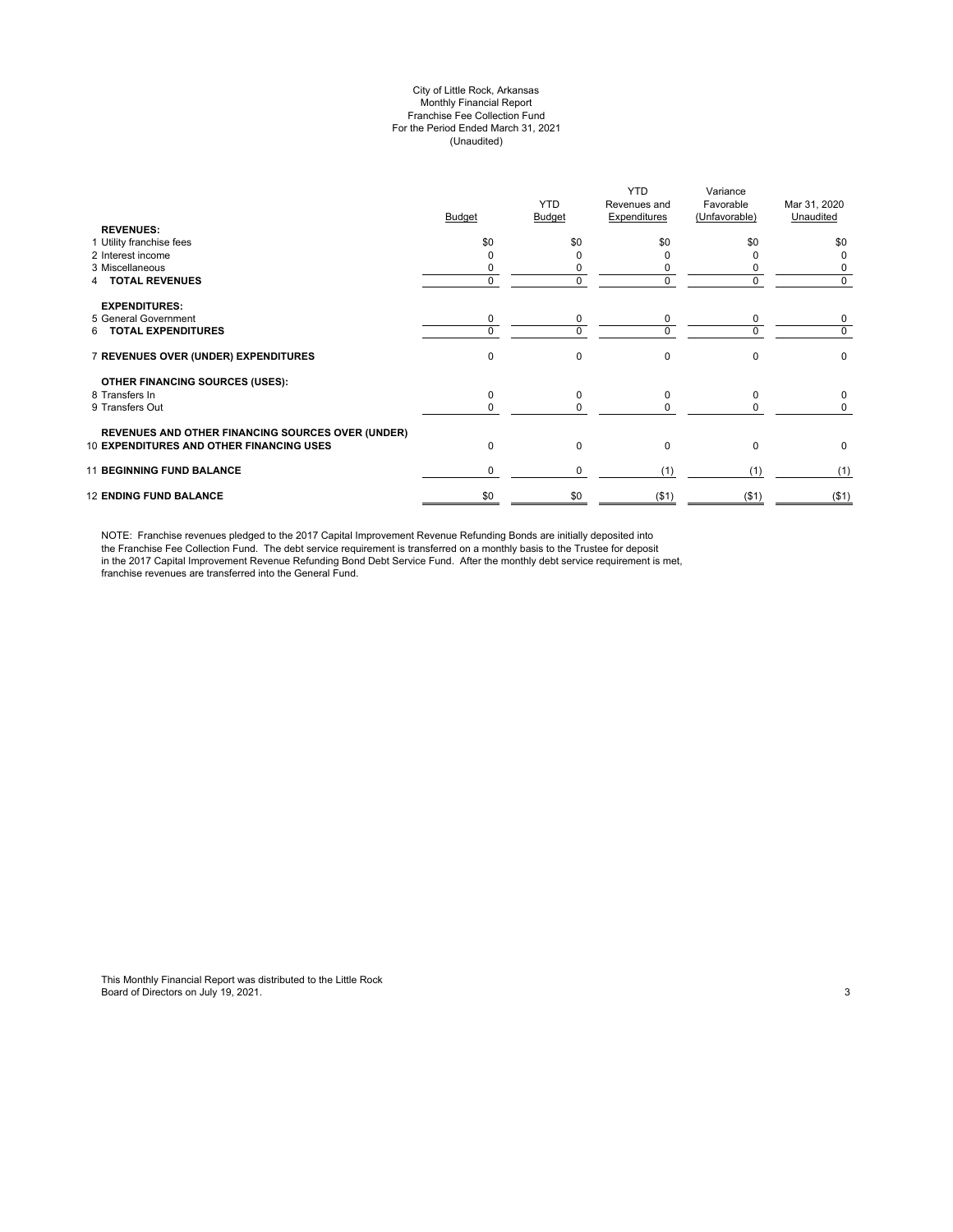#### City of Little Rock, Arkansas Monthly Financial Report Franchise Fee Collection Fund For the Period Ended March 31, 2021 (Unaudited)

| <b>REVENUES:</b>                                         | <b>Budget</b> | <b>YTD</b><br><b>Budget</b> | <b>YTD</b><br>Revenues and<br>Expenditures | Variance<br>Favorable<br>(Unfavorable) | Mar 31, 2020<br>Unaudited |
|----------------------------------------------------------|---------------|-----------------------------|--------------------------------------------|----------------------------------------|---------------------------|
| 1 Utility franchise fees                                 | \$0           | \$0                         | \$0                                        | \$0                                    | \$0                       |
| 2 Interest income                                        |               |                             |                                            |                                        | 0                         |
| 3 Miscellaneous                                          |               | 0                           | C                                          |                                        | 0                         |
| <b>TOTAL REVENUES</b>                                    | 0             | 0                           | 0                                          | $\Omega$                               | 0                         |
| <b>EXPENDITURES:</b>                                     |               |                             |                                            |                                        |                           |
| 5 General Government                                     | 0             | 0                           | 0                                          | 0                                      | 0                         |
| <b>TOTAL EXPENDITURES</b><br>6.                          | $\Omega$      | 0                           | $\Omega$                                   | $\Omega$                               | 0                         |
| 7 REVENUES OVER (UNDER) EXPENDITURES                     | $\Omega$      | 0                           | $\mathbf 0$                                | $\Omega$                               | $\pmb{0}$                 |
| <b>OTHER FINANCING SOURCES (USES):</b>                   |               |                             |                                            |                                        |                           |
| 8 Transfers In                                           | $\Omega$      | 0                           | $\mathbf 0$                                | $\Omega$                               | 0                         |
| 9 Transfers Out                                          |               | 0                           | O                                          |                                        | 0                         |
| <b>REVENUES AND OTHER FINANCING SOURCES OVER (UNDER)</b> |               |                             |                                            |                                        |                           |
| <b>10 EXPENDITURES AND OTHER FINANCING USES</b>          | $\Omega$      | 0                           | $\Omega$                                   | $\Omega$                               | 0                         |
| <b>11 BEGINNING FUND BALANCE</b>                         | 0             | 0                           | (1)                                        | (1)                                    | (1)                       |
| <b>12 ENDING FUND BALANCE</b>                            | \$0           | \$0                         | ( \$1)                                     | $($ \$1)                               | ( \$1)                    |

NOTE: Franchise revenues pledged to the 2017 Capital Improvement Revenue Refunding Bonds are initially deposited into the Franchise Fee Collection Fund. The debt service requirement is transferred on a monthly basis to the Trustee for deposit in the 2017 Capital Improvement Revenue Refunding Bond Debt Service Fund. After the monthly debt service requirement is met, franchise revenues are transferred into the General Fund.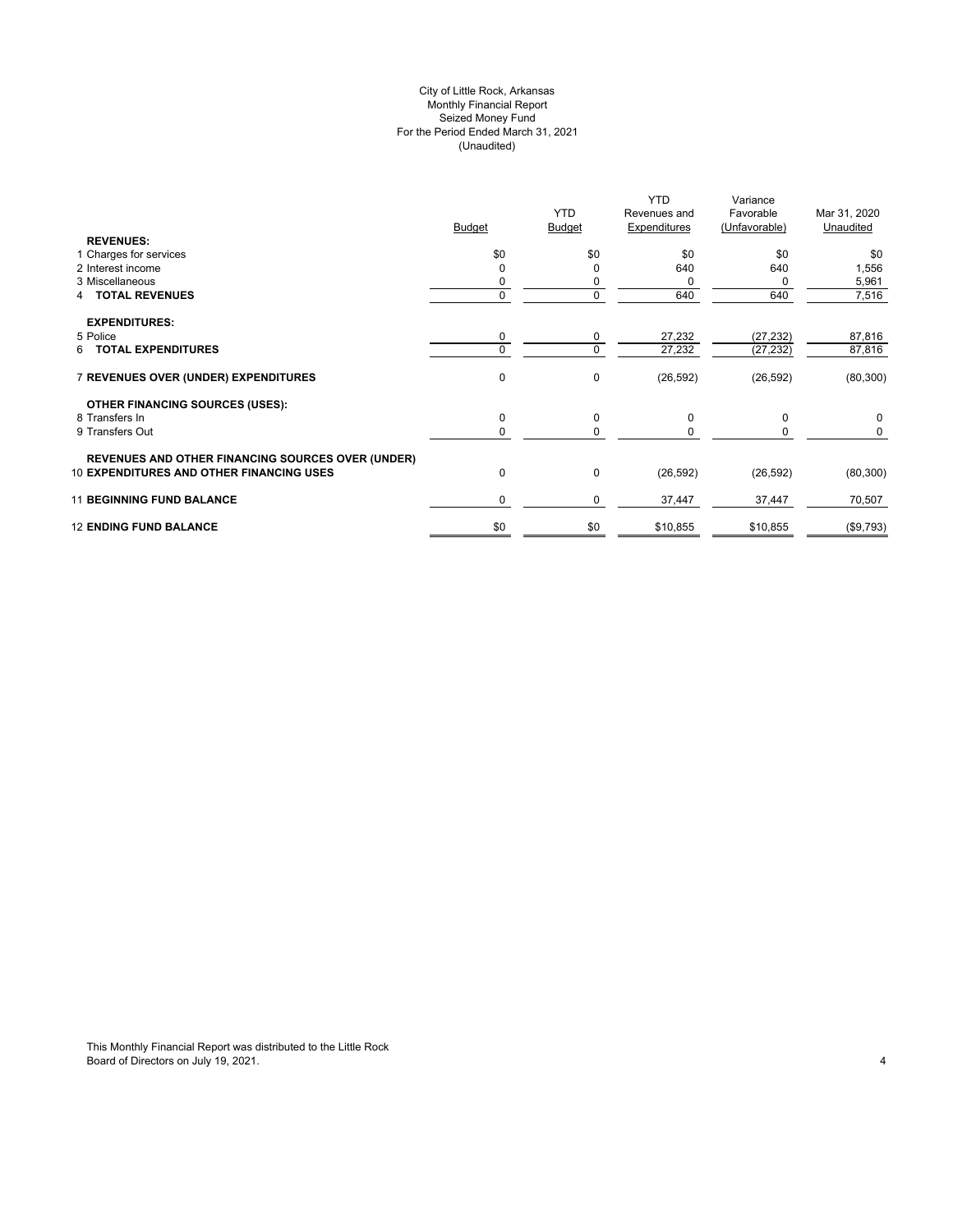## City of Little Rock, Arkansas (Unaudited) For the Period Ended March 31, 2021 Seized Money Fund Monthly Financial Report

| <b>REVENUES:</b>                                         | <b>Budget</b> | <b>YTD</b><br><b>Budget</b> | YTD.<br>Revenues and<br>Expenditures | Variance<br>Favorable<br>(Unfavorable) | Mar 31, 2020<br>Unaudited |
|----------------------------------------------------------|---------------|-----------------------------|--------------------------------------|----------------------------------------|---------------------------|
| 1 Charges for services                                   | \$0           | \$0                         | \$0                                  | \$0                                    | \$0                       |
| 2 Interest income                                        |               | ŋ                           | 640                                  | 640                                    | 1,556                     |
| 3 Miscellaneous                                          |               | 0                           | 0                                    | 0                                      | 5,961                     |
| <b>4 TOTAL REVENUES</b>                                  |               | 0                           | 640                                  | 640                                    | 7,516                     |
| <b>EXPENDITURES:</b>                                     |               |                             |                                      |                                        |                           |
| 5 Police                                                 | 0             | 0                           | 27,232                               | (27, 232)                              | 87,816                    |
| 6 TOTAL EXPENDITURES                                     | $\Omega$      | 0                           | 27,232                               | (27, 232)                              | 87,816                    |
| 7 REVENUES OVER (UNDER) EXPENDITURES                     | $\mathbf 0$   | 0                           | (26, 592)                            | (26, 592)                              | (80, 300)                 |
| <b>OTHER FINANCING SOURCES (USES):</b>                   |               |                             |                                      |                                        |                           |
| 8 Transfers In                                           | 0             | 0                           | 0                                    | 0                                      | 0                         |
| 9 Transfers Out                                          |               | 0                           | $\Omega$                             |                                        | 0                         |
| <b>REVENUES AND OTHER FINANCING SOURCES OVER (UNDER)</b> |               |                             |                                      |                                        |                           |
| <b>10 EXPENDITURES AND OTHER FINANCING USES</b>          | 0             | 0                           | (26, 592)                            | (26, 592)                              | (80, 300)                 |
| <b>11 BEGINNING FUND BALANCE</b>                         | $\Omega$      | 0                           | 37,447                               | 37,447                                 | 70,507                    |
| <b>12 ENDING FUND BALANCE</b>                            | \$0           | \$0                         | \$10,855                             | \$10,855                               | (\$9,793)                 |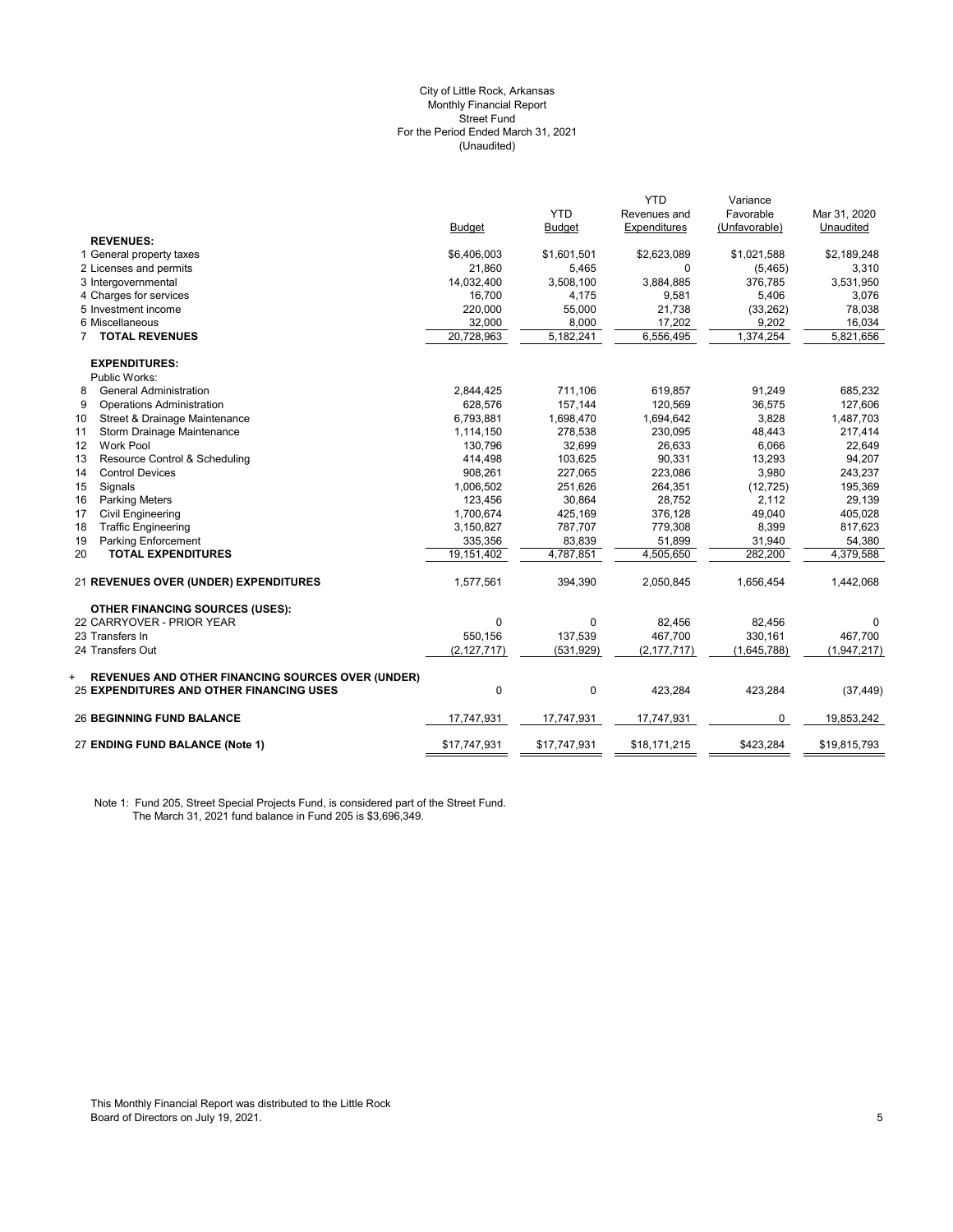#### (Unaudited) City of Little Rock, Arkansas Monthly Financial Report Street Fund For the Period Ended March 31, 2021

|                                                          |               |               | <b>YTD</b>    | Variance      |              |
|----------------------------------------------------------|---------------|---------------|---------------|---------------|--------------|
|                                                          |               | <b>YTD</b>    | Revenues and  | Favorable     | Mar 31, 2020 |
|                                                          | <b>Budget</b> | <b>Budget</b> | Expenditures  | (Unfavorable) | Unaudited    |
| <b>REVENUES:</b>                                         |               |               |               |               |              |
| 1 General property taxes                                 | \$6,406,003   | \$1,601,501   | \$2,623,089   | \$1,021,588   | \$2,189,248  |
| 2 Licenses and permits                                   | 21,860        | 5,465         | 0             | (5,465)       | 3,310        |
| 3 Intergovernmental                                      | 14,032,400    | 3,508,100     | 3,884,885     | 376,785       | 3,531,950    |
| 4 Charges for services                                   | 16,700        | 4,175         | 9,581         | 5,406         | 3,076        |
| 5 Investment income                                      | 220,000       | 55,000        | 21,738        | (33, 262)     | 78,038       |
| 6 Miscellaneous                                          | 32,000        | 8,000         | 17,202        | 9,202         | 16,034       |
| <b>TOTAL REVENUES</b><br>$\overline{7}$                  | 20,728,963    | 5,182,241     | 6,556,495     | 1,374,254     | 5,821,656    |
| <b>EXPENDITURES:</b>                                     |               |               |               |               |              |
| Public Works:                                            |               |               |               |               |              |
| <b>General Administration</b><br>8                       | 2,844,425     | 711,106       | 619,857       | 91,249        | 685,232      |
| <b>Operations Administration</b><br>9                    | 628,576       | 157,144       | 120,569       | 36,575        | 127,606      |
| Street & Drainage Maintenance<br>10                      | 6,793,881     | 1,698,470     | 1,694,642     | 3,828         | 1,487,703    |
| Storm Drainage Maintenance<br>11                         | 1,114,150     | 278,538       | 230,095       | 48,443        | 217,414      |
| <b>Work Pool</b><br>12                                   | 130,796       | 32,699        | 26,633        | 6,066         | 22,649       |
| 13<br>Resource Control & Scheduling                      | 414,498       | 103,625       | 90,331        | 13,293        | 94,207       |
| <b>Control Devices</b><br>14                             | 908,261       | 227,065       | 223,086       | 3,980         | 243,237      |
| Signals<br>15                                            | 1,006,502     | 251,626       | 264,351       | (12, 725)     | 195,369      |
| 16<br><b>Parking Meters</b>                              | 123,456       | 30,864        | 28,752        | 2,112         | 29,139       |
| 17<br><b>Civil Engineering</b>                           | 1,700,674     | 425,169       | 376,128       | 49,040        | 405,028      |
| <b>Traffic Engineering</b><br>18                         | 3,150,827     | 787,707       | 779,308       | 8,399         | 817,623      |
| 19<br><b>Parking Enforcement</b>                         | 335,356       | 83,839        | 51,899        | 31,940        | 54,380       |
| 20<br><b>TOTAL EXPENDITURES</b>                          | 19.151.402    | 4,787,851     | 4,505,650     | 282,200       | 4,379,588    |
| 21 REVENUES OVER (UNDER) EXPENDITURES                    | 1,577,561     | 394,390       | 2,050,845     | 1,656,454     | 1,442,068    |
| <b>OTHER FINANCING SOURCES (USES):</b>                   |               |               |               |               |              |
| 22 CARRYOVER - PRIOR YEAR                                | $\mathbf{0}$  | $\mathbf 0$   | 82,456        | 82,456        | $\Omega$     |
| 23 Transfers In                                          | 550,156       | 137,539       | 467,700       | 330,161       | 467,700      |
| 24 Transfers Out                                         | (2, 127, 717) | (531, 929)    | (2, 177, 717) | (1,645,788)   | (1,947,217)  |
| <b>REVENUES AND OTHER FINANCING SOURCES OVER (UNDER)</b> |               |               |               |               |              |
| 25 EXPENDITURES AND OTHER FINANCING USES                 | $\mathbf{0}$  | $\mathbf 0$   | 423,284       | 423,284       | (37, 449)    |
| <b>26 BEGINNING FUND BALANCE</b>                         | 17,747,931    | 17,747,931    | 17,747,931    | 0             | 19,853,242   |
| 27 ENDING FUND BALANCE (Note 1)                          | \$17,747,931  | \$17,747,931  | \$18,171,215  | \$423,284     | \$19,815,793 |

Note 1: Fund 205, Street Special Projects Fund, is considered part of the Street Fund. The March 31, 2021 fund balance in Fund 205 is \$3,696,349.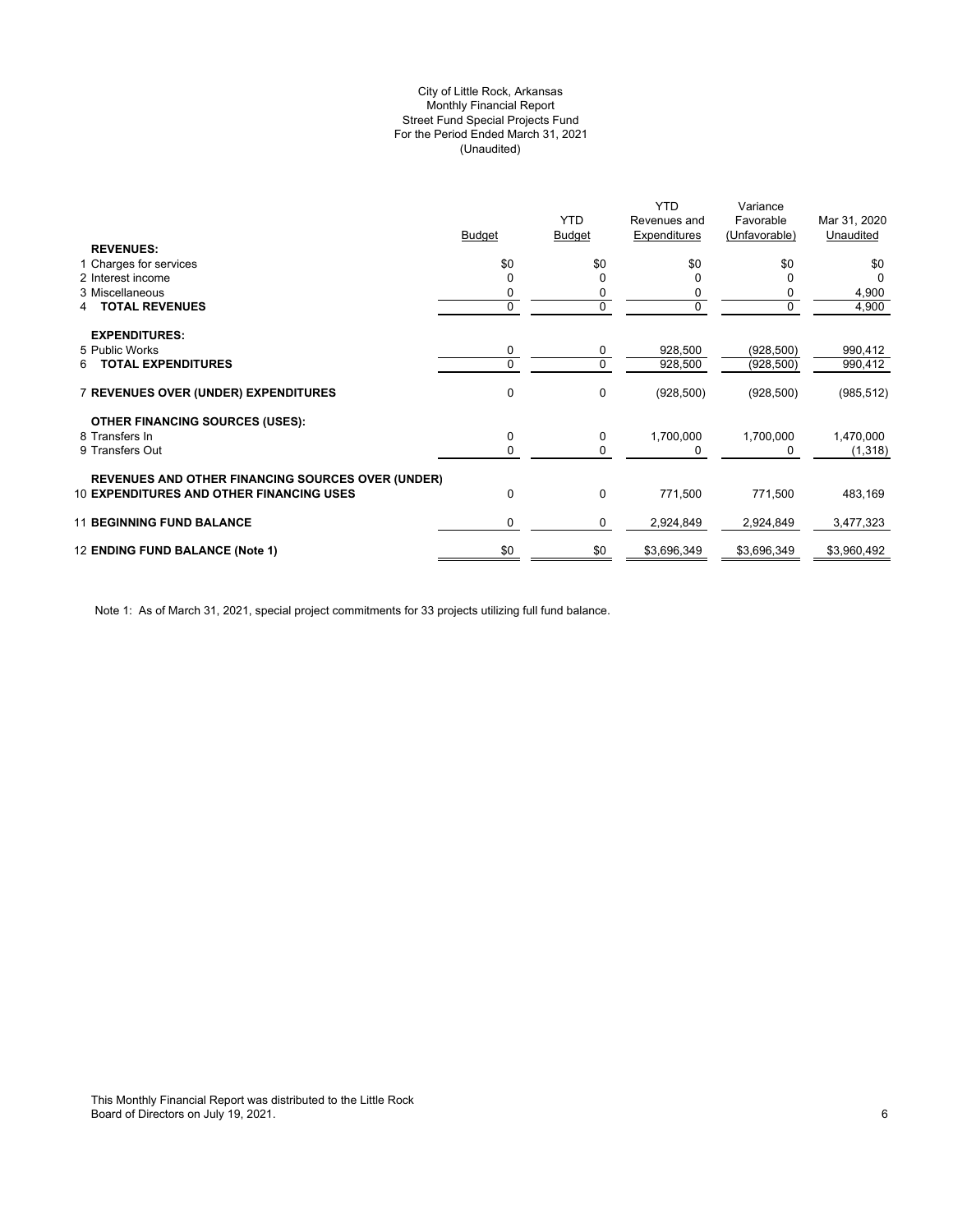## (Unaudited) City of Little Rock, Arkansas Monthly Financial Report Street Fund Special Projects Fund For the Period Ended March 31, 2021

|                                                          |               |               | <b>YTD</b>   | Variance      |              |
|----------------------------------------------------------|---------------|---------------|--------------|---------------|--------------|
|                                                          |               | <b>YTD</b>    | Revenues and | Favorable     | Mar 31, 2020 |
|                                                          | <b>Budget</b> | <b>Budget</b> | Expenditures | (Unfavorable) | Unaudited    |
| <b>REVENUES:</b>                                         |               |               |              |               |              |
| 1 Charges for services                                   | \$0           | \$0           | \$0          | \$0           | \$0          |
| 2 Interest income                                        |               | 0             |              |               | <sup>0</sup> |
| 3 Miscellaneous                                          |               | 0             |              |               | 4,900        |
| <b>TOTAL REVENUES</b><br>4                               | 0             | 0             |              | 0             | 4,900        |
|                                                          |               |               |              |               |              |
| <b>EXPENDITURES:</b>                                     |               |               |              |               |              |
| 5 Public Works                                           | 0             | 0             | 928,500      | (928, 500)    | 990,412      |
| <b>TOTAL EXPENDITURES</b><br>6                           | 0             | 0             | 928,500      | (928, 500)    | 990,412      |
| 7 REVENUES OVER (UNDER) EXPENDITURES                     | 0             | 0             | (928, 500)   | (928, 500)    | (985, 512)   |
| <b>OTHER FINANCING SOURCES (USES):</b>                   |               |               |              |               |              |
| 8 Transfers In                                           | 0             | 0             | 1,700,000    | 1,700,000     | 1,470,000    |
| 9 Transfers Out                                          | 0             | 0             | 0            | 0             | (1,318)      |
|                                                          |               |               |              |               |              |
| <b>REVENUES AND OTHER FINANCING SOURCES OVER (UNDER)</b> |               |               |              |               |              |
| <b>10 EXPENDITURES AND OTHER FINANCING USES</b>          | $\Omega$      | 0             | 771,500      | 771,500       | 483,169      |
| <b>11 BEGINNING FUND BALANCE</b>                         | 0             | 0             | 2,924,849    | 2,924,849     | 3,477,323    |
| 12 ENDING FUND BALANCE (Note 1)                          | \$0           | \$0           | \$3,696,349  | \$3,696,349   | \$3,960,492  |
|                                                          |               |               |              |               |              |

Note 1: As of March 31, 2021, special project commitments for 33 projects utilizing full fund balance.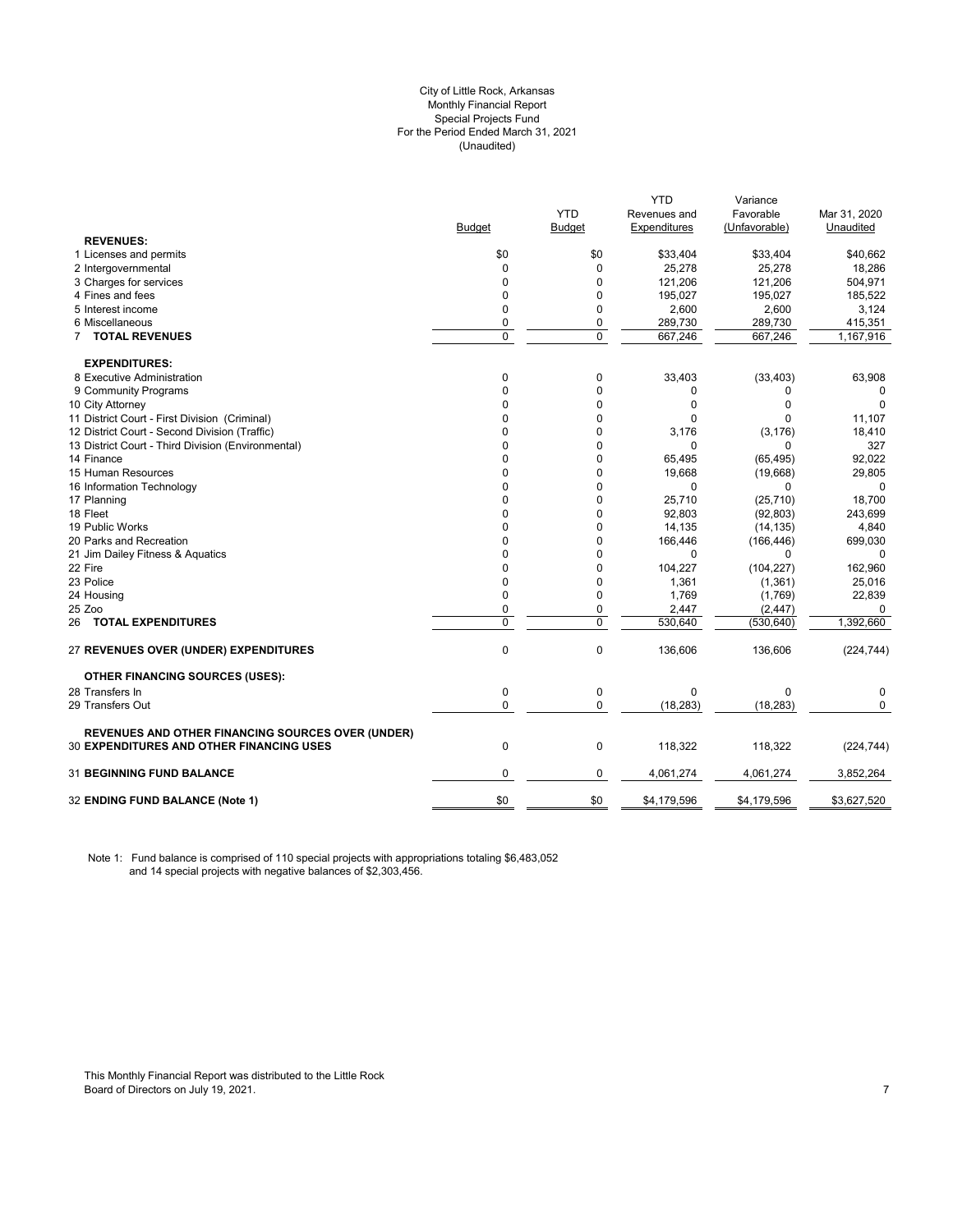#### City of Little Rock, Arkansas (Unaudited) For the Period Ended March 31, 2021 Special Projects Fund Monthly Financial Report

|                                                    |                |             | <b>YTD</b>   | Variance      |              |
|----------------------------------------------------|----------------|-------------|--------------|---------------|--------------|
|                                                    |                | <b>YTD</b>  | Revenues and | Favorable     | Mar 31, 2020 |
|                                                    | Budget         | Budget      | Expenditures | (Unfavorable) | Unaudited    |
| <b>REVENUES:</b>                                   |                |             |              |               |              |
| 1 Licenses and permits                             | \$0            | \$0         | \$33,404     | \$33,404      | \$40,662     |
| 2 Intergovernmental                                | $\Omega$       | $\Omega$    | 25,278       | 25,278        | 18,286       |
| 3 Charges for services                             | $\Omega$       | $\Omega$    | 121,206      | 121,206       | 504,971      |
| 4 Fines and fees                                   | $\mathbf 0$    | $\mathbf 0$ | 195,027      | 195,027       | 185,522      |
| 5 Interest income                                  | $\mathbf 0$    | 0           | 2,600        | 2,600         | 3,124        |
| 6 Miscellaneous                                    | 0              | 0           | 289,730      | 289,730       | 415,351      |
| 7 TOTAL REVENUES                                   | $\overline{0}$ | $\mathbf 0$ | 667,246      | 667,246       | 1,167,916    |
| <b>EXPENDITURES:</b>                               |                |             |              |               |              |
| 8 Executive Administration                         | 0              | 0           | 33,403       | (33, 403)     | 63,908       |
| 9 Community Programs                               | $\Omega$       | $\Omega$    | 0            | 0             | 0            |
| 10 City Attorney                                   | $\Omega$       | $\Omega$    | $\Omega$     | $\Omega$      | $\Omega$     |
| 11 District Court - First Division (Criminal)      | $\Omega$       | 0           | 0            | <sup>0</sup>  | 11,107       |
| 12 District Court - Second Division (Traffic)      | 0              | $\mathbf 0$ | 3,176        | (3, 176)      | 18,410       |
| 13 District Court - Third Division (Environmental) | $\Omega$       | 0           | $\Omega$     | 0             | 327          |
| 14 Finance                                         | $\Omega$       | $\mathbf 0$ | 65,495       | (65, 495)     | 92,022       |
| 15 Human Resources                                 | $\Omega$       | $\mathbf 0$ | 19,668       | (19,668)      | 29,805       |
| 16 Information Technology                          | $\Omega$       | 0           | O            | 0             |              |
| 17 Planning                                        | $\mathbf 0$    | 0           | 25,710       | (25, 710)     | 18,700       |
| 18 Fleet                                           | $\mathbf 0$    | 0           | 92,803       | (92, 803)     | 243,699      |
| 19 Public Works                                    | $\Omega$       | $\Omega$    | 14,135       | (14, 135)     | 4,840        |
| 20 Parks and Recreation                            | $\mathbf 0$    | 0           | 166,446      | (166, 446)    | 699,030      |
| 21 Jim Dailey Fitness & Aquatics                   | 0              | $\Omega$    | $\Omega$     | $\Omega$      | 0            |
| 22 Fire                                            | $\Omega$       | 0           | 104,227      | (104, 227)    | 162,960      |
| 23 Police                                          | $\mathbf{0}$   | 0           | 1,361        | (1, 361)      | 25,016       |
| 24 Housing                                         | $\mathbf{0}$   | 0           | 1,769        | (1,769)       | 22,839       |
| 25 Zoo                                             | $\mathbf 0$    | 0           | 2,447        | (2, 447)      | 0            |
| 26 TOTAL EXPENDITURES                              | $\pmb{0}$      | 0           | 530,640      | (530, 640)    | 1,392,660    |
|                                                    |                |             |              |               |              |
| 27 REVENUES OVER (UNDER) EXPENDITURES              | $\mathbf 0$    | $\mathbf 0$ | 136,606      | 136,606       | (224, 744)   |
| <b>OTHER FINANCING SOURCES (USES):</b>             |                |             |              |               |              |
| 28 Transfers In                                    | 0              | 0           | $\mathbf 0$  | 0             | 0            |
| 29 Transfers Out                                   | $\mathbf 0$    | $\mathbf 0$ | (18, 283)    | (18, 283)     | $\Omega$     |
| REVENUES AND OTHER FINANCING SOURCES OVER (UNDER)  |                |             |              |               |              |
| <b>30 EXPENDITURES AND OTHER FINANCING USES</b>    | $\mathbf 0$    | $\pmb{0}$   | 118,322      | 118,322       | (224, 744)   |
| 31 BEGINNING FUND BALANCE                          | $\mathbf 0$    | 0           | 4,061,274    | 4,061,274     | 3,852,264    |
| 32 ENDING FUND BALANCE (Note 1)                    | \$0            | \$0         | \$4,179,596  | \$4,179,596   | \$3,627,520  |
|                                                    |                |             |              |               |              |

Note 1: Fund balance is comprised of 110 special projects with appropriations totaling \$6,483,052 and 14 special projects with negative balances of \$2,303,456.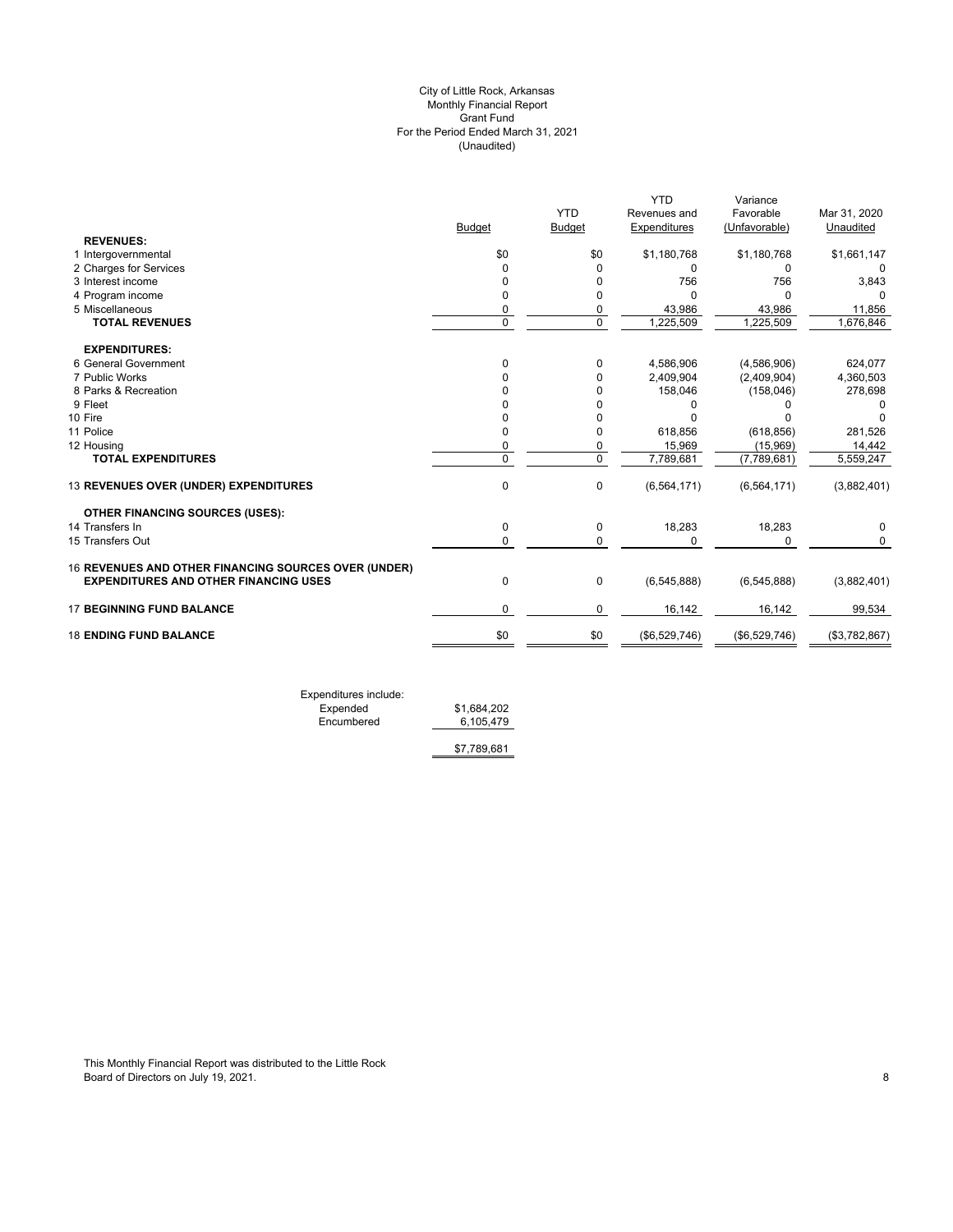## (Unaudited) City of Little Rock, Arkansas Monthly Financial Report Grant Fund For the Period Ended March 31, 2021

|               |                |                | Variance                                                                 |                                                         |
|---------------|----------------|----------------|--------------------------------------------------------------------------|---------------------------------------------------------|
|               | <b>YTD</b>     | Revenues and   | Favorable                                                                | Mar 31, 2020                                            |
| <b>Budget</b> | <b>Budget</b>  | Expenditures   | (Unfavorable)                                                            | Unaudited                                               |
|               |                |                |                                                                          |                                                         |
| \$0           | \$0            |                |                                                                          | \$1,661,147                                             |
| 0             | $\Omega$       | $\Omega$       | 0                                                                        | 0                                                       |
| 0             | O              |                |                                                                          | 3,843                                                   |
| $\Omega$      | 0              | <sup>n</sup>   | $\Omega$                                                                 |                                                         |
| 0             | 0              | 43,986         | 43,986                                                                   | 11,856                                                  |
|               |                |                |                                                                          | 1,676,846                                               |
|               |                |                |                                                                          |                                                         |
| $\Omega$      | 0              | 4,586,906      |                                                                          | 624,077                                                 |
|               | 0              | 2,409,904      | (2,409,904)                                                              | 4,360,503                                               |
|               | 0              | 158,046        | (158, 046)                                                               | 278,698                                                 |
|               | 0              | O              |                                                                          |                                                         |
|               |                |                |                                                                          |                                                         |
| <sup>n</sup>  | 0              | 618,856        | (618, 856)                                                               | 281,526                                                 |
| 0             | 0              | 15,969         | (15,969)                                                                 | 14,442                                                  |
| $\Omega$      | $\mathbf 0$    | 7,789,681      | (7,789,681)                                                              | 5,559,247                                               |
| $\mathbf{0}$  | 0              | (6, 564, 171)  | (6, 564, 171)                                                            | (3,882,401)                                             |
|               |                |                |                                                                          |                                                         |
| 0             | 0              |                |                                                                          | 0                                                       |
| $\Omega$      | $\mathbf 0$    | $\Omega$       | 0                                                                        | 0                                                       |
|               |                |                |                                                                          |                                                         |
| 0             | $\mathbf 0$    | (6,545,888)    | (6, 545, 888)                                                            | (3,882,401)                                             |
| $\Omega$      | 0              | 16,142         | 16,142                                                                   | 99,534                                                  |
| \$0           | \$0            |                | (\$6,529,746)                                                            | (\$3,782,867)                                           |
|               | $\overline{0}$ | $\overline{0}$ | <b>YTD</b><br>\$1,180,768<br>756<br>1,225,509<br>18,283<br>(\$6,529,746) | \$1,180,768<br>756<br>,225,509<br>(4,586,906)<br>18,283 |

Expenditures include: Expended \$1,684,202 Expended \$1,684,202<br>Encumbered 6,105,479

\$7,789,681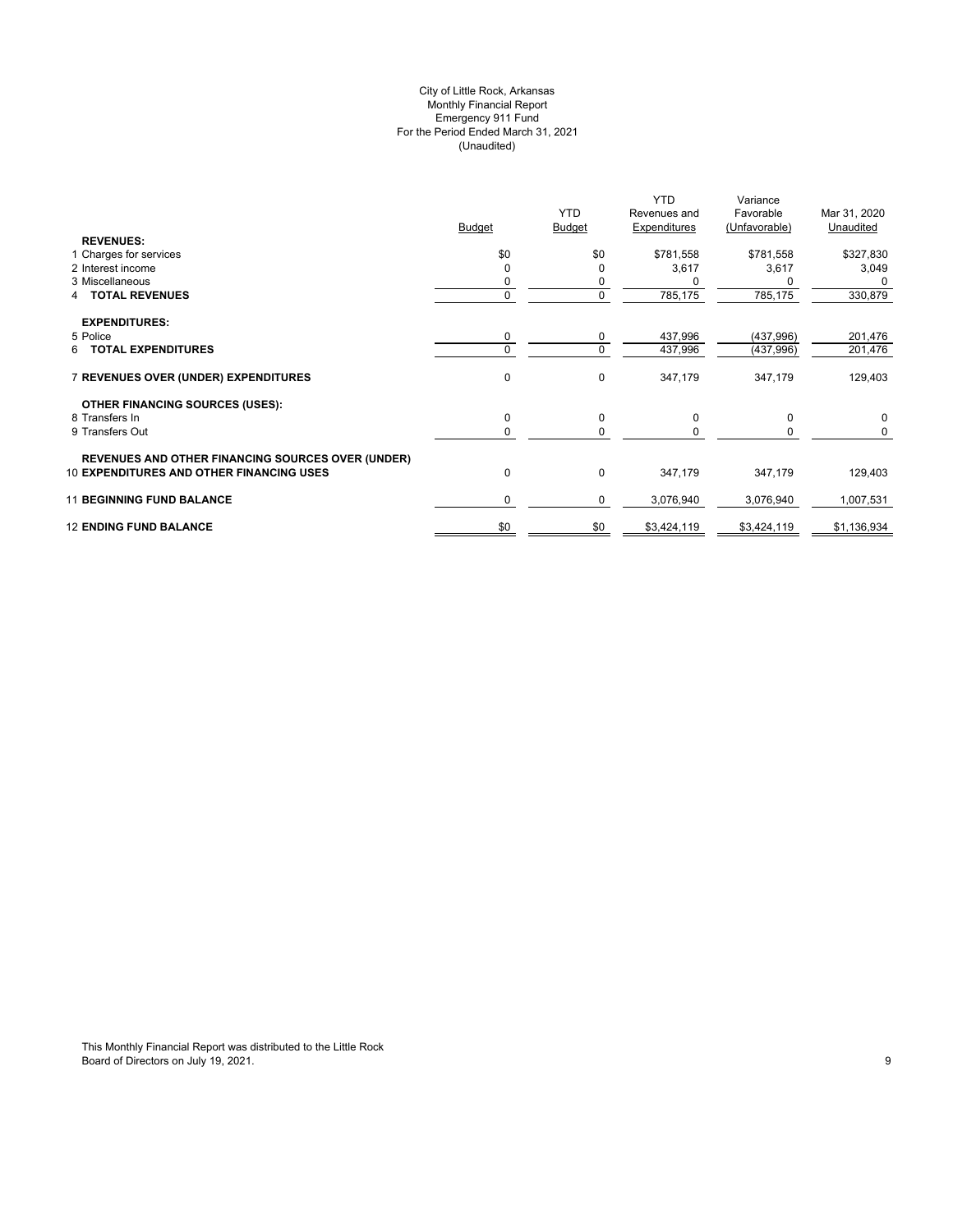## (Unaudited) City of Little Rock, Arkansas Monthly Financial Report Emergency 911 Fund For the Period Ended March 31, 2021

|                                                          |               |               | YTD          | Variance      |              |
|----------------------------------------------------------|---------------|---------------|--------------|---------------|--------------|
|                                                          |               | <b>YTD</b>    | Revenues and | Favorable     | Mar 31, 2020 |
|                                                          | <b>Budget</b> | Budget        | Expenditures | (Unfavorable) | Unaudited    |
| <b>REVENUES:</b>                                         |               |               |              |               |              |
| 1 Charges for services                                   | \$0           | \$0           | \$781,558    | \$781,558     | \$327,830    |
| 2 Interest income                                        |               |               | 3,617        | 3,617         | 3,049        |
| 3 Miscellaneous                                          |               | 0             |              |               | $\Omega$     |
| 4 TOTAL REVENUES                                         | 0             | $\mathbf 0$   | 785,175      | 785,175       | 330,879      |
|                                                          |               |               |              |               |              |
| <b>EXPENDITURES:</b>                                     |               |               |              |               |              |
| 5 Police                                                 | 0             | 0             | 437,996      | (437, 996)    | 201,476      |
| 6 TOTAL EXPENDITURES                                     | 0             | 0             | 437,996      | (437, 996)    | 201,476      |
|                                                          |               |               |              |               |              |
| 7 REVENUES OVER (UNDER) EXPENDITURES                     | 0             | 0             | 347,179      | 347,179       | 129,403      |
|                                                          |               |               |              |               |              |
| <b>OTHER FINANCING SOURCES (USES):</b><br>8 Transfers In |               |               |              |               |              |
| 9 Transfers Out                                          | 0<br>$\Omega$ | 0<br>$\Omega$ | 0            | 0             | 0<br>0       |
|                                                          |               |               |              |               |              |
| <b>REVENUES AND OTHER FINANCING SOURCES OVER (UNDER)</b> |               |               |              |               |              |
| <b>10 EXPENDITURES AND OTHER FINANCING USES</b>          | $\Omega$      | $\mathbf 0$   | 347,179      | 347,179       | 129,403      |
|                                                          |               |               |              |               |              |
| <b>11 BEGINNING FUND BALANCE</b>                         | $\Omega$      | 0             | 3,076,940    | 3,076,940     | 1,007,531    |
|                                                          |               |               |              |               |              |
| <b>12 ENDING FUND BALANCE</b>                            | \$0           | \$0           | \$3,424,119  | \$3,424,119   | \$1,136,934  |
|                                                          |               |               |              |               |              |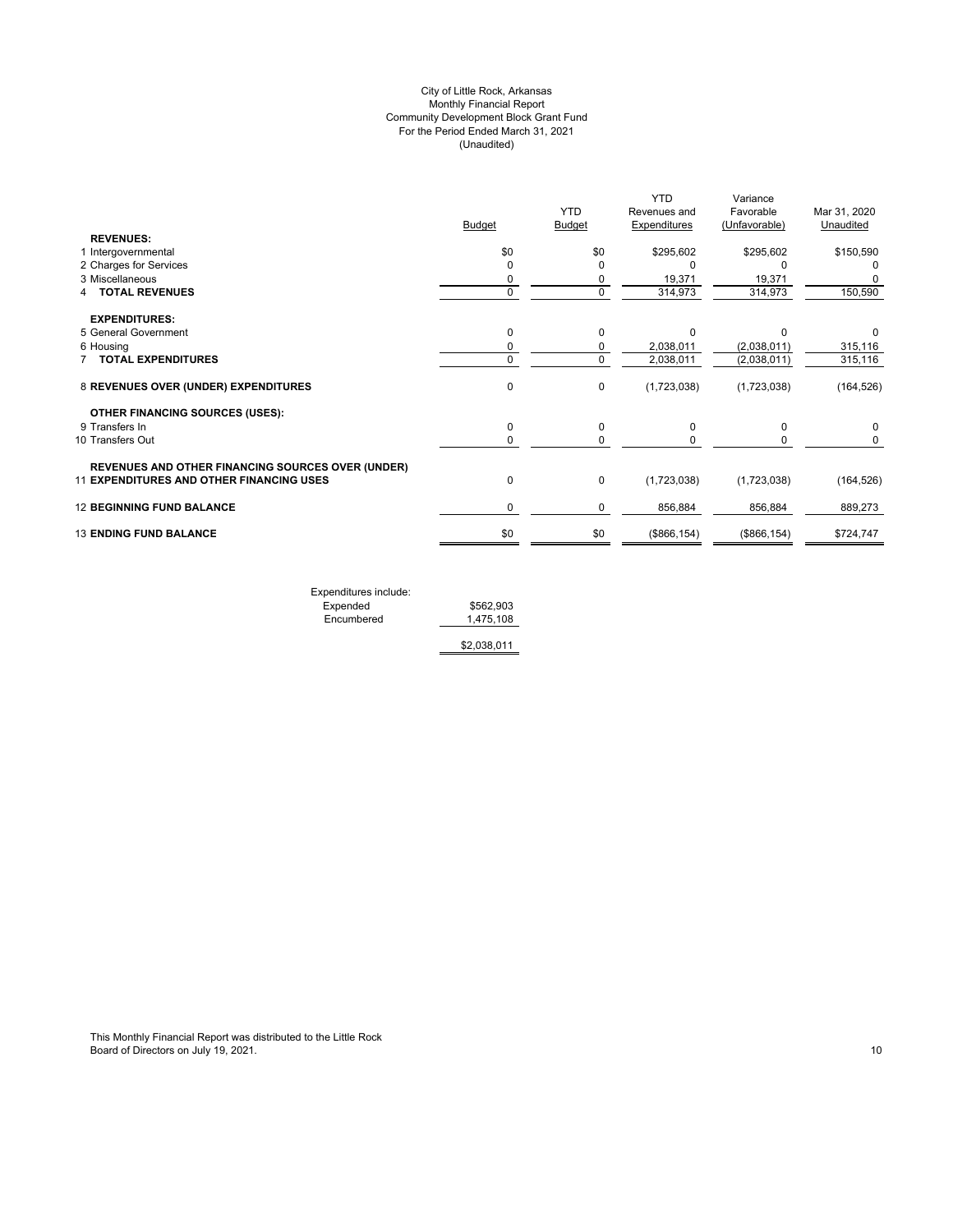## (Unaudited) City of Little Rock, Arkansas Monthly Financial Report Community Development Block Grant Fund For the Period Ended March 31, 2021

|                                                          |               |               | <b>YTD</b>          | Variance      |              |
|----------------------------------------------------------|---------------|---------------|---------------------|---------------|--------------|
|                                                          |               | <b>YTD</b>    | Revenues and        | Favorable     | Mar 31, 2020 |
|                                                          | <b>Budget</b> | <b>Budget</b> | <b>Expenditures</b> | (Unfavorable) | Unaudited    |
| <b>REVENUES:</b>                                         |               |               |                     |               |              |
| 1 Intergovernmental                                      | \$0           | \$0           | \$295,602           | \$295,602     | \$150,590    |
| 2 Charges for Services                                   | $\Omega$      | O             | $\Omega$            |               |              |
| 3 Miscellaneous                                          | 0             | 0             | 19,371              | 19,371        |              |
| <b>TOTAL REVENUES</b>                                    | $\mathbf 0$   | 0             | 314,973             | 314,973       | 150,590      |
| <b>EXPENDITURES:</b>                                     |               |               |                     |               |              |
| 5 General Government                                     | 0             | $\mathbf 0$   | $\Omega$            | n             | 0            |
| 6 Housing                                                | 0             | 0             | 2,038,011           | (2,038,011)   | 315,116      |
| <b>TOTAL EXPENDITURES</b>                                | 0             | $\Omega$      | 2,038,011           | (2,038,011)   | 315,116      |
| 8 REVENUES OVER (UNDER) EXPENDITURES                     | 0             | 0             | (1,723,038)         | (1,723,038)   | (164, 526)   |
| <b>OTHER FINANCING SOURCES (USES):</b>                   |               |               |                     |               |              |
| 9 Transfers In                                           | 0             | $\Omega$      | $\Omega$            | 0             | 0            |
| 10 Transfers Out                                         | 0             | 0             |                     | 0             | 0            |
| <b>REVENUES AND OTHER FINANCING SOURCES OVER (UNDER)</b> |               |               |                     |               |              |
| <b>11 EXPENDITURES AND OTHER FINANCING USES</b>          | 0             | 0             | (1,723,038)         | (1,723,038)   | (164, 526)   |
| <b>12 BEGINNING FUND BALANCE</b>                         | 0             | 0             | 856,884             | 856,884       | 889,273      |
| <b>13 ENDING FUND BALANCE</b>                            | \$0           | \$0           | (\$866, 154)        | (\$866, 154)  | \$724,747    |
|                                                          |               |               |                     |               |              |
|                                                          |               |               |                     |               |              |

Expenditures include: Expended \$562,903 Encumbered 1,475,108

\$2,038,011

This Monthly Financial Report was distributed to the Little Rock Board of Directors on July 19, 2021. 2012. The state of Directors on July 19, 2021.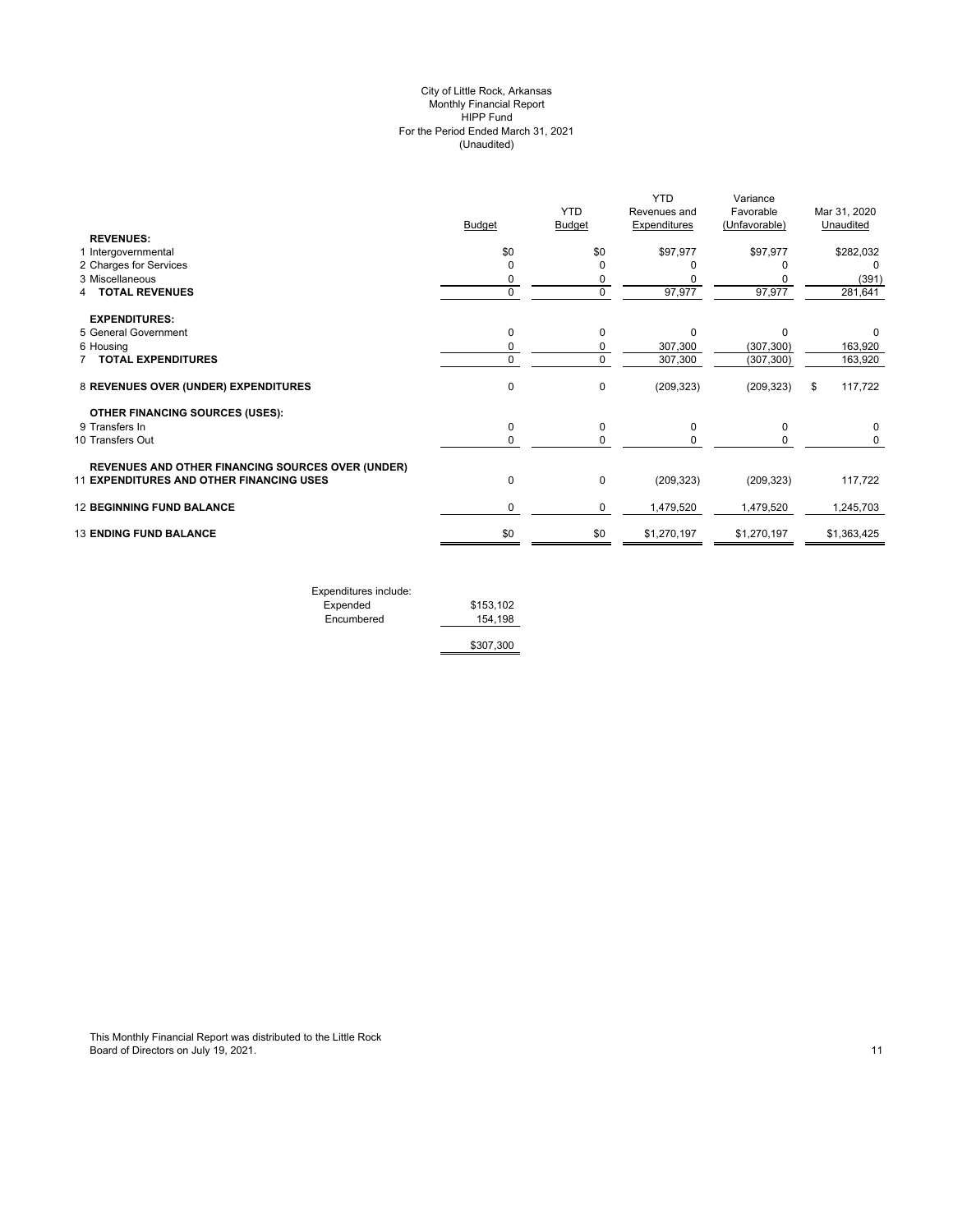#### (Unaudited) City of Little Rock, Arkansas Monthly Financial Report HIPP Fund For the Period Ended March 31, 2021

|                                                          |               | <b>YTD</b>  | <b>YTD</b><br>Revenues and | Variance<br>Favorable | Mar 31, 2020  |
|----------------------------------------------------------|---------------|-------------|----------------------------|-----------------------|---------------|
|                                                          | <b>Budget</b> | Budget      | Expenditures               | (Unfavorable)         | Unaudited     |
| <b>REVENUES:</b><br>1 Intergovernmental                  | \$0           | \$0         | \$97,977                   | \$97,977              | \$282,032     |
| 2 Charges for Services                                   | 0             | $\Omega$    |                            |                       | $\Omega$      |
| 3 Miscellaneous                                          | 0             | $\Omega$    |                            |                       | (391)         |
| <b>TOTAL REVENUES</b>                                    | 0             | $\Omega$    | 97,977                     | 97,977                | 281,641       |
| <b>EXPENDITURES:</b>                                     |               |             |                            |                       |               |
| 5 General Government                                     | $\mathbf 0$   | $\Omega$    | $\Omega$                   | $\Omega$              | <sup>0</sup>  |
| 6 Housing                                                | 0             | 0           | 307,300                    | (307, 300)            | 163,920       |
| <b>TOTAL EXPENDITURES</b>                                | 0             | $\Omega$    | 307,300                    | (307, 300)            | 163,920       |
| 8 REVENUES OVER (UNDER) EXPENDITURES                     | 0             | 0           | (209, 323)                 | (209, 323)            | 117,722<br>\$ |
| <b>OTHER FINANCING SOURCES (USES):</b>                   |               |             |                            |                       |               |
| 9 Transfers In                                           | $\mathbf 0$   | 0           | 0                          | 0                     |               |
| 10 Transfers Out                                         | $\mathbf 0$   | 0           | 0                          | 0                     | 0             |
| <b>REVENUES AND OTHER FINANCING SOURCES OVER (UNDER)</b> |               |             |                            |                       |               |
| <b>11 EXPENDITURES AND OTHER FINANCING USES</b>          | $\mathbf 0$   | $\mathbf 0$ | (209, 323)                 | (209, 323)            | 117,722       |
| <b>12 BEGINNING FUND BALANCE</b>                         | 0             | 0           | 1,479,520                  | 1,479,520             | 1,245,703     |
| <b>13 ENDING FUND BALANCE</b>                            | \$0           | \$0         | \$1,270,197                | \$1,270,197           | \$1,363,425   |
|                                                          |               |             |                            |                       |               |

| Expenditures include: |           |
|-----------------------|-----------|
| Expended              | \$153,102 |
| Encumbered            | 154.198   |
|                       | \$307,300 |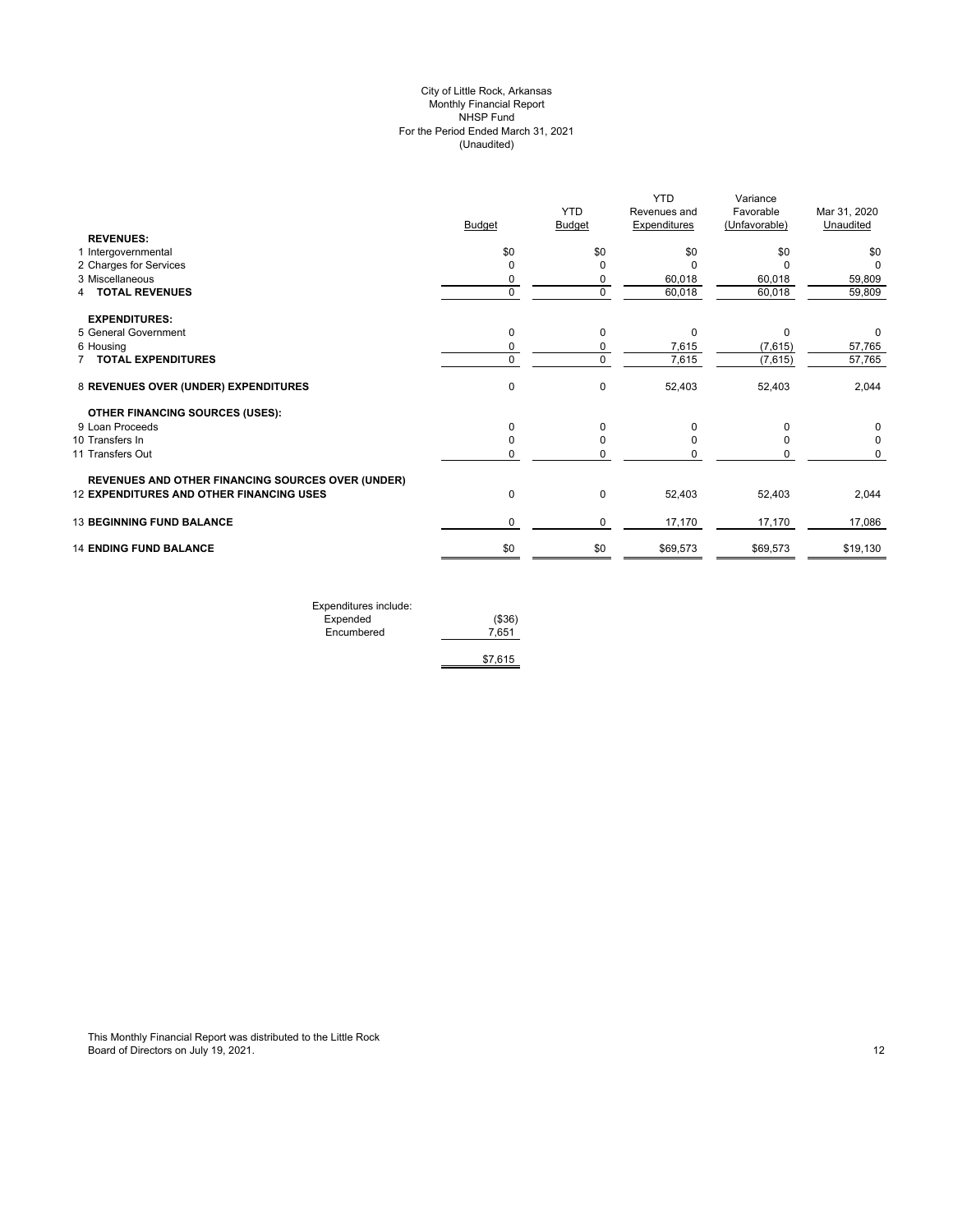## (Unaudited) City of Little Rock, Arkansas Monthly Financial Report NHSP Fund For the Period Ended March 31, 2021

|                                                          |               | <b>YTD</b>    | <b>YTD</b><br>Revenues and | Variance<br>Favorable | Mar 31, 2020 |
|----------------------------------------------------------|---------------|---------------|----------------------------|-----------------------|--------------|
|                                                          | <b>Budget</b> | <b>Budget</b> | <b>Expenditures</b>        | (Unfavorable)         | Unaudited    |
| <b>REVENUES:</b>                                         |               |               |                            |                       |              |
| 1 Intergovernmental                                      | \$0           | \$0           | \$0                        | \$0                   | \$0          |
| 2 Charges for Services                                   | $\Omega$      | O             | ŋ                          |                       | <sup>0</sup> |
| 3 Miscellaneous                                          | 0             | 0             | 60,018                     | 60,018                | 59,809       |
| 4 TOTAL REVENUES                                         | $\mathbf 0$   | $\Omega$      | 60,018                     | 60,018                | 59,809       |
| <b>EXPENDITURES:</b>                                     |               |               |                            |                       |              |
| 5 General Government                                     | 0             | $\mathbf 0$   | 0                          | $\Omega$              | 0            |
| 6 Housing                                                | 0             | 0             | 7,615                      | (7,615)               | 57,765       |
| 7 TOTAL EXPENDITURES                                     | 0             | $\mathbf 0$   | 7,615                      | (7,615)               | 57,765       |
| 8 REVENUES OVER (UNDER) EXPENDITURES                     | $\mathbf 0$   | $\mathbf 0$   | 52,403                     | 52,403                | 2,044        |
| <b>OTHER FINANCING SOURCES (USES):</b>                   |               |               |                            |                       |              |
| 9 Loan Proceeds                                          | 0             | $\Omega$      | $\Omega$                   |                       | 0            |
| 10 Transfers In                                          | 0             | $\Omega$      | O                          |                       | 0            |
| 11 Transfers Out                                         | 0             | 0             |                            | 0                     | 0            |
| <b>REVENUES AND OTHER FINANCING SOURCES OVER (UNDER)</b> |               |               |                            |                       |              |
| <b>12 EXPENDITURES AND OTHER FINANCING USES</b>          | 0             | $\mathbf 0$   | 52,403                     | 52,403                | 2,044        |
| <b>13 BEGINNING FUND BALANCE</b>                         | 0             | 0             | 17,170                     | 17,170                | 17,086       |
| <b>14 ENDING FUND BALANCE</b>                            | \$0           | \$0           | \$69,573                   | \$69,573              | \$19,130     |

| Expenditures include: |         |
|-----------------------|---------|
| Expended              | (\$36)  |
| Encumbered            | 7.651   |
|                       |         |
|                       | \$7,615 |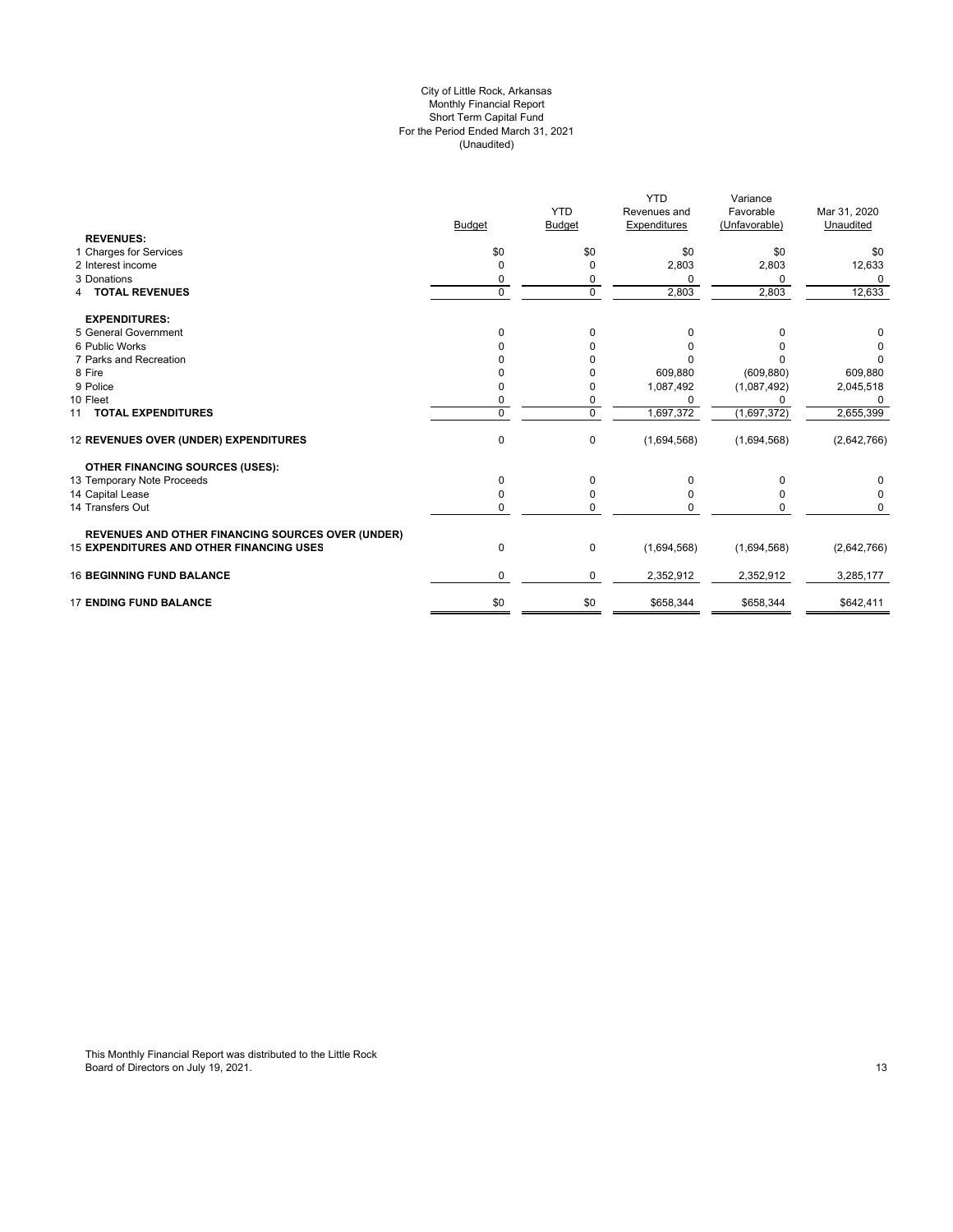#### For the Period Ended March 31, 2021 (Unaudited) City of Little Rock, Arkansas Monthly Financial Report Short Term Capital Fund

|                                                          |               |               | <b>YTD</b>   | Variance      |              |
|----------------------------------------------------------|---------------|---------------|--------------|---------------|--------------|
|                                                          |               | <b>YTD</b>    | Revenues and | Favorable     | Mar 31, 2020 |
|                                                          | <b>Budget</b> | <b>Budget</b> | Expenditures | (Unfavorable) | Unaudited    |
| <b>REVENUES:</b>                                         |               |               |              |               |              |
| 1 Charges for Services                                   | \$0           | \$0           | \$0          | \$0           | \$0          |
| 2 Interest income                                        | 0             | 0             | 2,803        | 2,803         | 12,633       |
| 3 Donations                                              | 0             | 0             | $\Omega$     | 0             | $\Omega$     |
| <b>4 TOTAL REVENUES</b>                                  | $\mathbf 0$   | $\mathbf 0$   | 2,803        | 2,803         | 12,633       |
| <b>EXPENDITURES:</b>                                     |               |               |              |               |              |
| 5 General Government                                     | $\Omega$      | 0             | 0            | 0             | 0            |
| 6 Public Works                                           |               |               | 0            |               |              |
| 7 Parks and Recreation                                   |               |               |              |               | O            |
| 8 Fire                                                   |               |               | 609,880      | (609, 880)    | 609,880      |
| 9 Police                                                 |               | O             | 1,087,492    | (1,087,492)   | 2,045,518    |
| 10 Fleet                                                 |               | 0             | $\Omega$     | n             | 0            |
| 11 TOTAL EXPENDITURES                                    | $\Omega$      | $\Omega$      | 1,697,372    | (1,697,372)   | 2,655,399    |
| 12 REVENUES OVER (UNDER) EXPENDITURES                    | 0             | 0             | (1,694,568)  | (1,694,568)   | (2,642,766)  |
| <b>OTHER FINANCING SOURCES (USES):</b>                   |               |               |              |               |              |
| 13 Temporary Note Proceeds                               | $\Omega$      | $\Omega$      | $\Omega$     | ი             |              |
| 14 Capital Lease                                         | 0             | 0             | O            | ი             | 0            |
| 14 Transfers Out                                         | 0             | $\mathbf 0$   | 0            |               | 0            |
| <b>REVENUES AND OTHER FINANCING SOURCES OVER (UNDER)</b> |               |               |              |               |              |
| <b>15 EXPENDITURES AND OTHER FINANCING USES</b>          | 0             | 0             | (1,694,568)  | (1,694,568)   | (2,642,766)  |
| <b>16 BEGINNING FUND BALANCE</b>                         | 0             | 0             | 2,352,912    | 2,352,912     | 3,285,177    |
| <b>17 ENDING FUND BALANCE</b>                            | \$0           | \$0           | \$658,344    | \$658,344     | \$642,411    |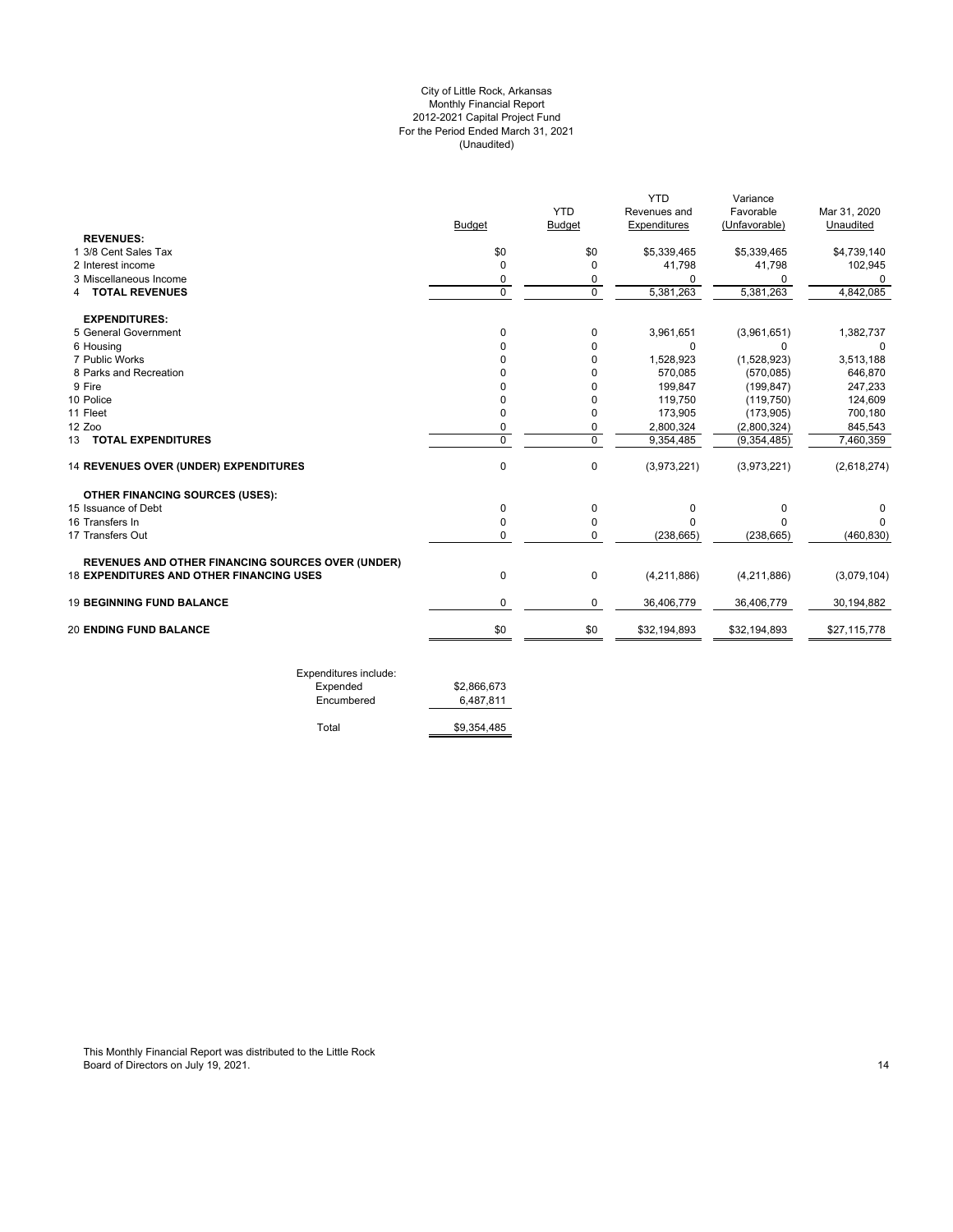## For the Period Ended March 31, 2021 (Unaudited) City of Little Rock, Arkansas Monthly Financial Report 2012-2021 Capital Project Fund

|                                                   |             |               | <b>YTD</b>   | Variance      |              |
|---------------------------------------------------|-------------|---------------|--------------|---------------|--------------|
|                                                   |             | <b>YTD</b>    | Revenues and | Favorable     | Mar 31, 2020 |
|                                                   | Budget      | <b>Budget</b> | Expenditures | (Unfavorable) | Unaudited    |
| <b>REVENUES:</b>                                  |             |               |              |               |              |
| 1 3/8 Cent Sales Tax                              | \$0         | \$0           | \$5,339,465  | \$5,339,465   | \$4,739,140  |
| 2 Interest income                                 | 0           | $\Omega$      | 41,798       | 41,798        | 102,945      |
| 3 Miscellaneous Income                            | 0           | 0             | 0            | 0             | 0            |
| <b>TOTAL REVENUES</b><br>4                        | $\Omega$    | $\Omega$      | 5,381,263    | 5,381,263     | 4,842,085    |
| <b>EXPENDITURES:</b>                              |             |               |              |               |              |
| 5 General Government                              | 0           | 0             | 3,961,651    | (3,961,651)   | 1,382,737    |
| 6 Housing                                         | 0           | $\Omega$      | $\Omega$     | $\Omega$      | 0            |
| 7 Public Works                                    | 0           | $\Omega$      | 1,528,923    | (1,528,923)   | 3,513,188    |
| 8 Parks and Recreation                            | $\Omega$    | $\Omega$      | 570,085      | (570, 085)    | 646,870      |
| 9 Fire                                            | $\Omega$    | $\Omega$      | 199,847      | (199.847)     | 247,233      |
| 10 Police                                         | 0           | $\Omega$      | 119,750      | (119, 750)    | 124,609      |
| 11 Fleet                                          | $\Omega$    | $\Omega$      | 173,905      | (173, 905)    | 700,180      |
| 12 Zoo                                            | 0           | 0             | 2,800,324    | (2,800,324)   | 845,543      |
| 13 TOTAL EXPENDITURES                             | $\Omega$    | $\mathbf 0$   | 9,354,485    | (9, 354, 485) | 7,460,359    |
| 14 REVENUES OVER (UNDER) EXPENDITURES             | 0           | 0             | (3,973,221)  | (3,973,221)   | (2,618,274)  |
| <b>OTHER FINANCING SOURCES (USES):</b>            |             |               |              |               |              |
| 15 Issuance of Debt                               | 0           | 0             | 0            | $\Omega$      | 0            |
| 16 Transfers In                                   | $\mathbf 0$ | 0             | $\Omega$     | <sup>0</sup>  |              |
| 17 Transfers Out                                  | 0           | $\Omega$      | (238, 665)   | (238, 665)    | (460, 830)   |
| REVENUES AND OTHER FINANCING SOURCES OVER (UNDER) |             |               |              |               |              |
| <b>18 EXPENDITURES AND OTHER FINANCING USES</b>   | 0           | $\mathbf 0$   | (4,211,886)  | (4,211,886)   | (3,079,104)  |
| <b>19 BEGINNING FUND BALANCE</b>                  | $\mathbf 0$ | $\mathbf 0$   | 36,406,779   | 36,406,779    | 30,194,882   |
| <b>20 ENDING FUND BALANCE</b>                     | \$0         | \$0           | \$32,194,893 | \$32,194,893  | \$27,115,778 |

| Expended   | \$2,866,673 |
|------------|-------------|
|            |             |
| Encumbered | 6,487,811   |
| Total      | \$9.354.485 |

This Monthly Financial Report was distributed to the Little Rock Board of Directors on July 19, 2021. The control of the control of the control of the control of Directors on July 19, 2021. The control of the control of the control of the control of the control of the control of the con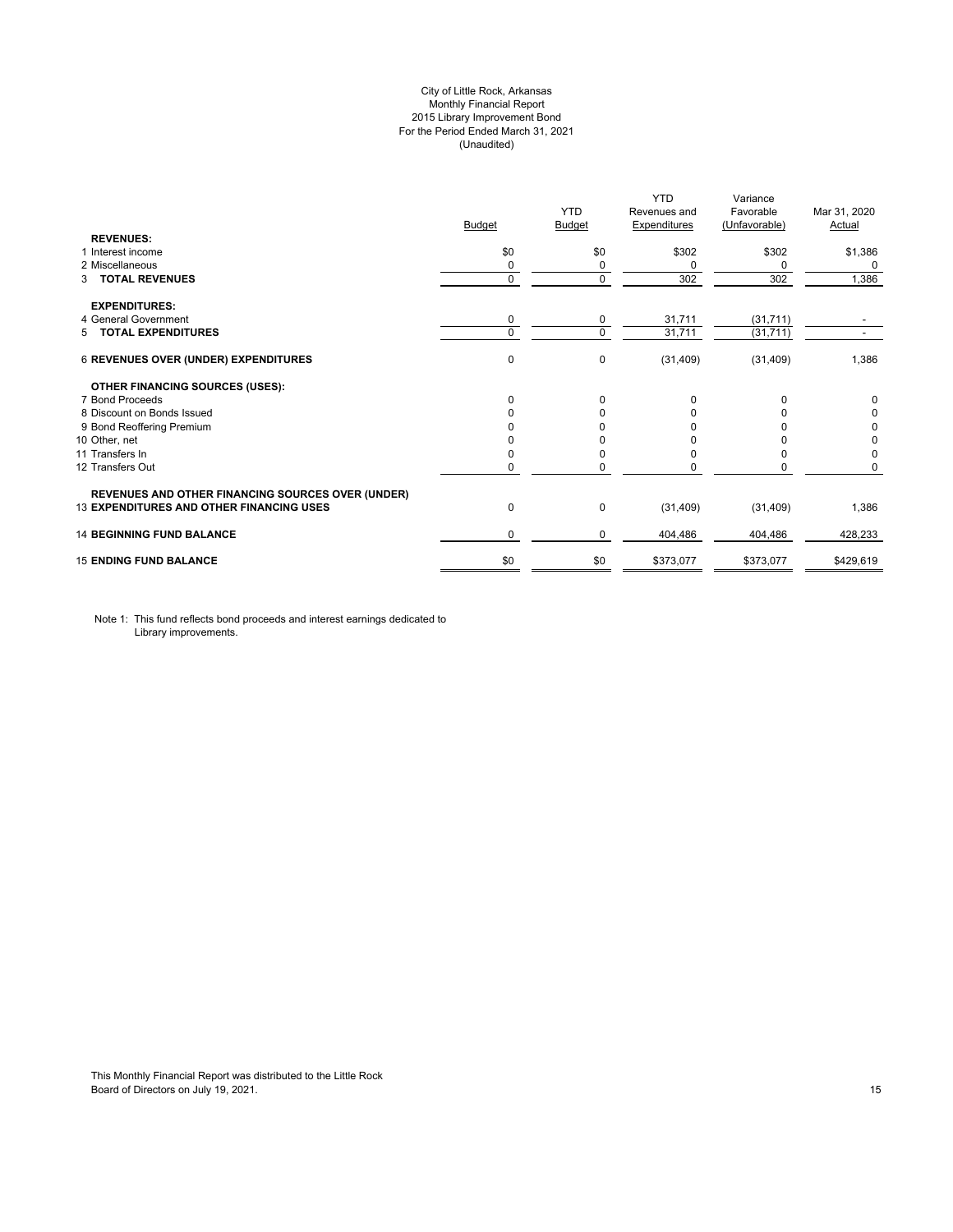## City of Little Rock, Arkansas Monthly Financial Report 2015 Library Improvement Bond For the Period Ended March 31, 2021 (Unaudited)

| <b>REVENUES:</b>                                         | <b>Budget</b> | <b>YTD</b><br>Budget | <b>YTD</b><br>Revenues and<br><b>Expenditures</b> | Variance<br>Favorable<br>(Unfavorable) | Mar 31, 2020<br>Actual |
|----------------------------------------------------------|---------------|----------------------|---------------------------------------------------|----------------------------------------|------------------------|
| 1 Interest income                                        | \$0           | \$0                  | \$302                                             | \$302                                  | \$1,386                |
| 2 Miscellaneous                                          | 0             | 0                    | $\Omega$                                          | $\Omega$                               | 0                      |
| <b>TOTAL REVENUES</b><br>3                               | $\mathbf 0$   | $\mathbf 0$          | 302                                               | 302                                    | 1,386                  |
| <b>EXPENDITURES:</b>                                     |               |                      |                                                   |                                        |                        |
| 4 General Government                                     | 0             | 0                    | 31,711                                            | (31, 711)                              |                        |
| 5 TOTAL EXPENDITURES                                     | $\mathbf 0$   | $\Omega$             | 31,711                                            | (31, 711)                              |                        |
| 6 REVENUES OVER (UNDER) EXPENDITURES                     | 0             | 0                    | (31, 409)                                         | (31, 409)                              | 1,386                  |
| <b>OTHER FINANCING SOURCES (USES):</b>                   |               |                      |                                                   |                                        |                        |
| 7 Bond Proceeds                                          | $\Omega$      | $\Omega$             | 0                                                 | $\Omega$                               | 0                      |
| 8 Discount on Bonds Issued                               | $\Omega$      | <sup>0</sup>         | <sup>0</sup>                                      |                                        | 0                      |
| 9 Bond Reoffering Premium                                |               |                      |                                                   |                                        | 0                      |
| 10 Other, net                                            |               |                      |                                                   |                                        | 0                      |
| 11 Transfers In                                          | 0             |                      | <sup>0</sup>                                      | <sup>0</sup>                           | 0                      |
| 12 Transfers Out                                         | 0             |                      |                                                   | 0                                      | 0                      |
| <b>REVENUES AND OTHER FINANCING SOURCES OVER (UNDER)</b> |               |                      |                                                   |                                        |                        |
| <b>13 EXPENDITURES AND OTHER FINANCING USES</b>          | 0             | $\mathbf 0$          | (31, 409)                                         | (31, 409)                              | 1,386                  |
| <b>14 BEGINNING FUND BALANCE</b>                         | 0             | 0                    | 404,486                                           | 404,486                                | 428,233                |
| <b>15 ENDING FUND BALANCE</b>                            | \$0           | \$0                  | \$373,077                                         | \$373,077                              | \$429,619              |

Note 1: This fund reflects bond proceeds and interest earnings dedicated to Library improvements.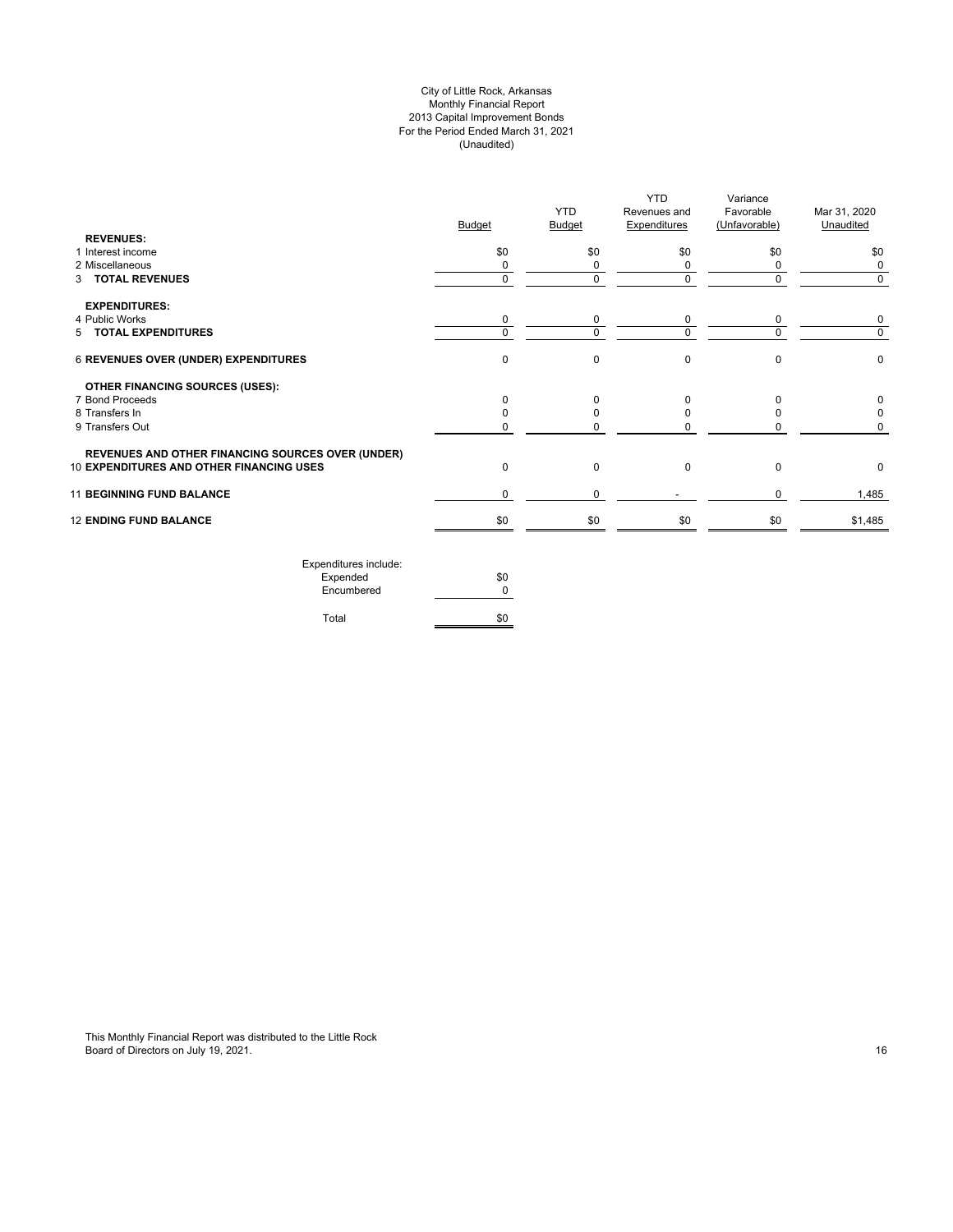## City of Little Rock, Arkansas Monthly Financial Report 2013 Capital Improvement Bonds For the Period Ended March 31, 2021 (Unaudited)

| <b>REVENUES:</b>                                         | <b>Budget</b> | <b>YTD</b><br><b>Budget</b> | <b>YTD</b><br>Revenues and<br><b>Expenditures</b> | Variance<br>Favorable<br>(Unfavorable) | Mar 31, 2020<br>Unaudited |
|----------------------------------------------------------|---------------|-----------------------------|---------------------------------------------------|----------------------------------------|---------------------------|
| 1 Interest income                                        | \$0           | \$0                         | \$0                                               | \$0                                    | \$0                       |
| 2 Miscellaneous                                          | 0             | 0                           | 0                                                 | $\Omega$                               | 0                         |
| 3 TOTAL REVENUES                                         | $\mathbf 0$   | $\mathbf 0$                 | $\mathbf 0$                                       | $\Omega$                               | $\mathbf 0$               |
| <b>EXPENDITURES:</b>                                     |               |                             |                                                   |                                        |                           |
| 4 Public Works                                           | 0             | 0                           | 0                                                 | 0                                      | 0                         |
| 5 TOTAL EXPENDITURES                                     | $\Omega$      | $\Omega$                    | $\Omega$                                          | U                                      | $\Omega$                  |
| 6 REVENUES OVER (UNDER) EXPENDITURES                     | $\mathbf 0$   | 0                           | $\pmb{0}$                                         | $\Omega$                               | 0                         |
| OTHER FINANCING SOURCES (USES):                          |               |                             |                                                   |                                        |                           |
| 7 Bond Proceeds                                          | $\Omega$      | $\Omega$                    | $\Omega$                                          | $\Omega$                               | 0                         |
| 8 Transfers In                                           | <sup>0</sup>  | 0                           | 0                                                 |                                        | 0                         |
| 9 Transfers Out                                          | 0             |                             | 0                                                 |                                        | 0                         |
| <b>REVENUES AND OTHER FINANCING SOURCES OVER (UNDER)</b> |               |                             |                                                   |                                        |                           |
| 10 EXPENDITURES AND OTHER FINANCING USES                 | $\Omega$      | $\mathbf 0$                 | $\mathbf 0$                                       | $\Omega$                               | 0                         |
| <b>11 BEGINNING FUND BALANCE</b>                         | $\mathbf 0$   | 0                           |                                                   | $\Omega$                               | 1,485                     |
| <b>12 ENDING FUND BALANCE</b>                            | \$0           | \$0                         | \$0                                               | \$0                                    | \$1,485                   |
| Expenditures include:                                    |               |                             |                                                   |                                        |                           |

| EXPETIQUE CS ILIGIQUE. |     |
|------------------------|-----|
| Expended               | \$0 |
| Encumbered             | n   |
|                        |     |
| Total                  | \$0 |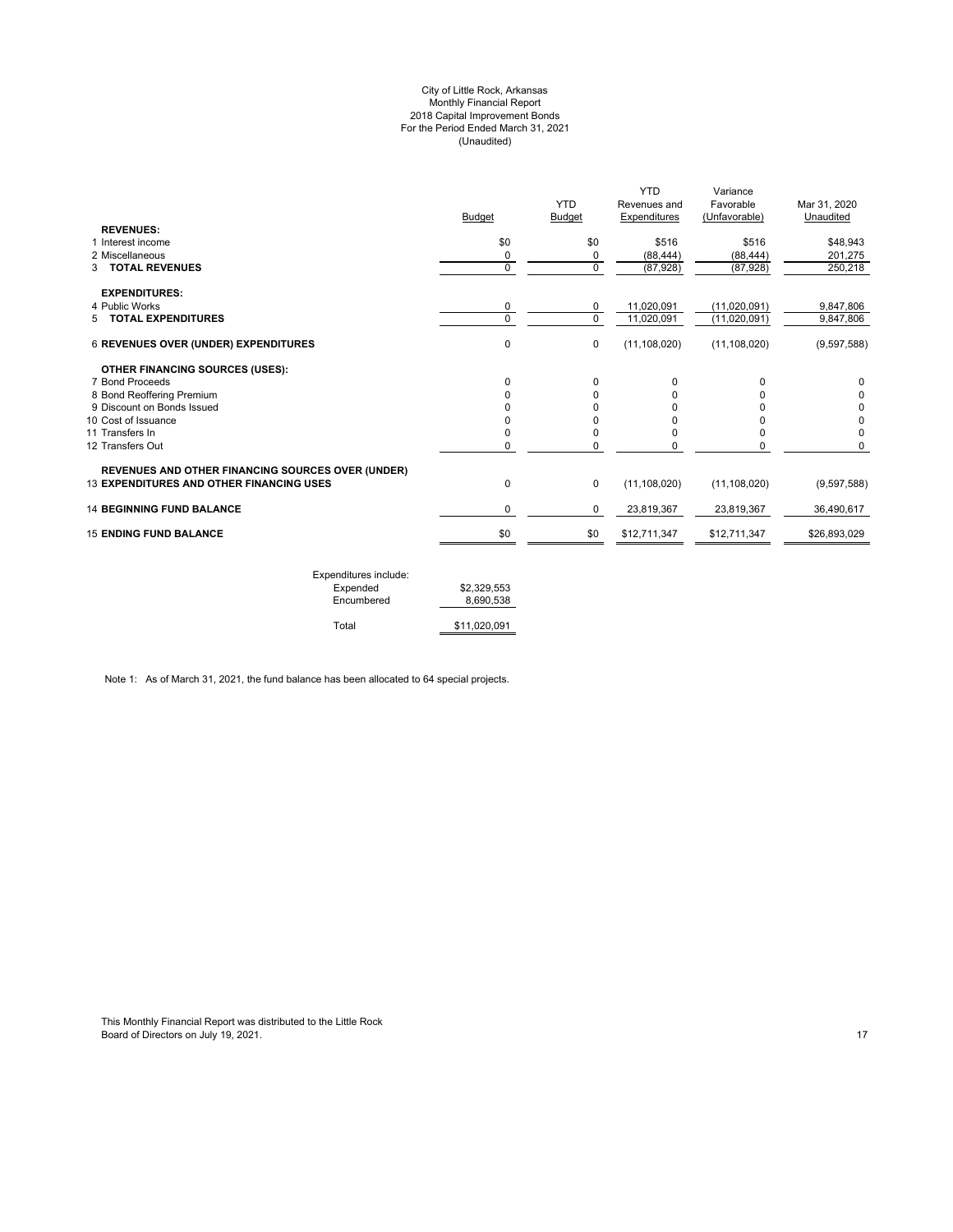#### City of Little Rock, Arkansas Monthly Financial Report 2018 Capital Improvement Bonds For the Period Ended March 31, 2021 (Unaudited)

|              | <b>YTD</b>         | Revenues and              | Variance<br>Favorable              | Mar 31, 2020<br>Unaudited           |
|--------------|--------------------|---------------------------|------------------------------------|-------------------------------------|
|              |                    |                           |                                    |                                     |
|              |                    |                           |                                    | \$48,943                            |
|              |                    |                           |                                    | 201,275                             |
| $\Omega$     | $\mathbf 0$        | (87, 928)                 | (87, 928)                          | 250,218                             |
|              |                    |                           |                                    |                                     |
| 0            | 0                  | 11,020,091                | (11,020,091)                       | 9,847,806                           |
| $\mathbf 0$  | $\Omega$           | 11,020,091                | (11,020,091)                       | 9,847,806                           |
| 0            | $\mathbf 0$        | (11, 108, 020)            | (11, 108, 020)                     | (9,597,588)                         |
|              |                    |                           |                                    |                                     |
| 0            | $\Omega$           | 0                         | 0                                  | 0                                   |
|              | $\Omega$           | O                         | U                                  | 0                                   |
|              |                    |                           |                                    | 0                                   |
|              |                    |                           |                                    | 0                                   |
|              | $\Omega$           |                           | 0                                  | 0                                   |
| <sup>0</sup> | 0                  | O                         | 0                                  | $\Omega$                            |
|              |                    |                           |                                    |                                     |
| 0            | $\mathbf 0$        | (11, 108, 020)            | (11, 108, 020)                     | (9,597,588)                         |
| 0            | $\mathbf 0$        | 23,819,367                | 23,819,367                         | 36,490,617                          |
| \$0          | \$0                | \$12,711,347              | \$12,711,347                       | \$26,893,029                        |
|              | Budget<br>\$0<br>0 | <b>Budget</b><br>\$0<br>0 | Expenditures<br>\$516<br>(88, 444) | (Unfavorable)<br>\$516<br>(88, 444) |

| Expenditures include: |              |
|-----------------------|--------------|
| Expended              | \$2.329.553  |
| Encumbered            | 8.690.538    |
| Total                 | \$11.020.091 |

Note 1: As of March 31, 2021, the fund balance has been allocated to 64 special projects.

This Monthly Financial Report was distributed to the Little Rock Board of Directors on July 19, 2021. 17 Australian 19, 2021. The control of the control of Directors on July 19, 2021.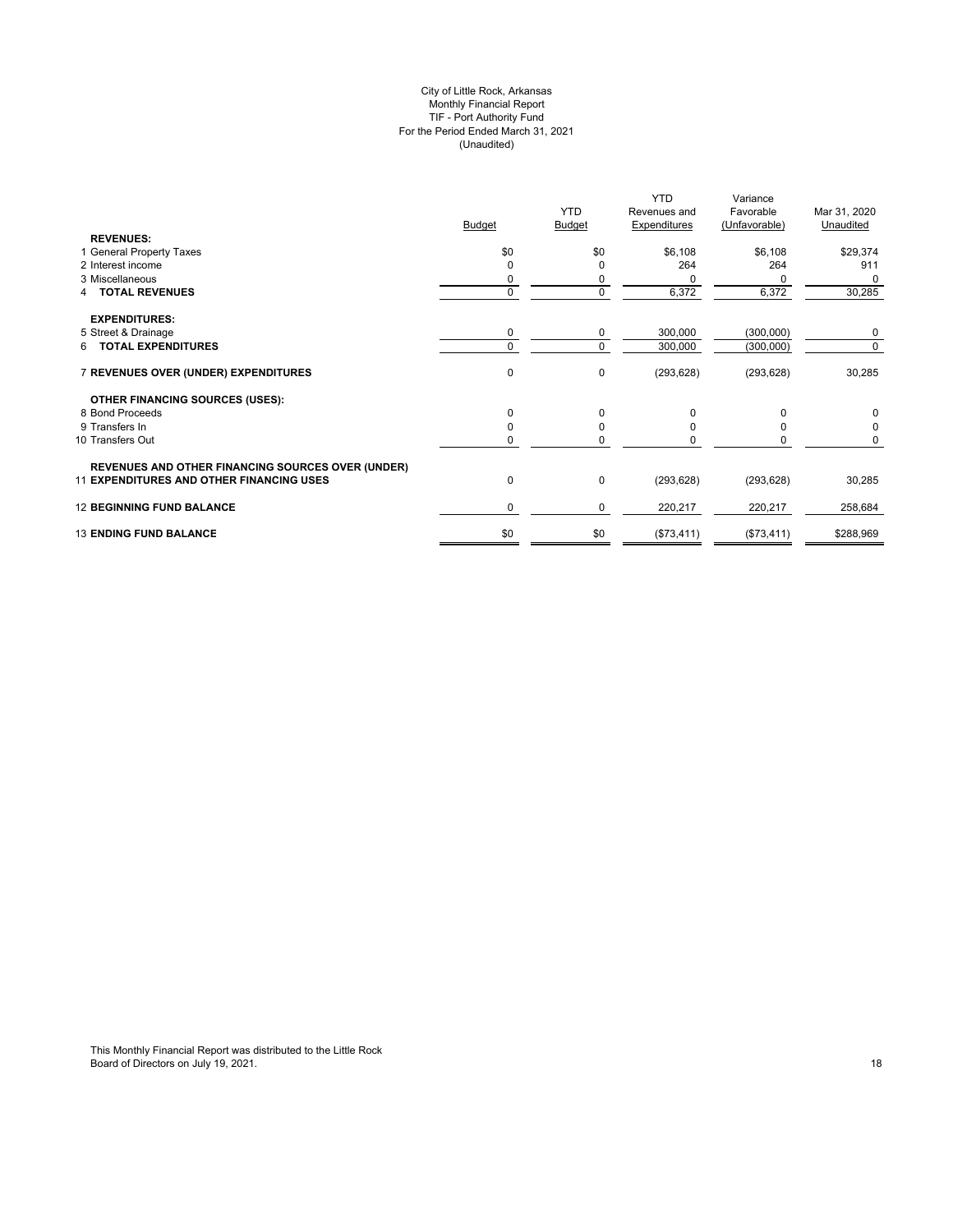## City of Little Rock, Arkansas Monthly Financial Report TIF - Port Authority Fund For the Period Ended March 31, 2021 (Unaudited)

|                                                          |               | <b>YTD</b>  | <b>YTD</b>                          | Variance                   |                           |
|----------------------------------------------------------|---------------|-------------|-------------------------------------|----------------------------|---------------------------|
|                                                          | <b>Budget</b> | Budget      | Revenues and<br><b>Expenditures</b> | Favorable<br>(Unfavorable) | Mar 31, 2020<br>Unaudited |
| <b>REVENUES:</b>                                         |               |             |                                     |                            |                           |
| 1 General Property Taxes                                 | \$0           | \$0         | \$6,108                             | \$6,108                    | \$29,374                  |
| 2 Interest income                                        | $\Omega$      | O           | 264                                 | 264                        | 911                       |
| 3 Miscellaneous                                          | 0             |             |                                     |                            | 0                         |
| 4 TOTAL REVENUES                                         | $\mathbf 0$   | $\mathbf 0$ | 6,372                               | 6,372                      | 30,285                    |
| <b>EXPENDITURES:</b>                                     |               |             |                                     |                            |                           |
| 5 Street & Drainage                                      | 0             | 0           | 300,000                             | (300,000)                  | 0                         |
| <b>TOTAL EXPENDITURES</b><br>6.                          | $\mathbf 0$   | $\Omega$    | 300,000                             | (300,000)                  | 0                         |
| 7 REVENUES OVER (UNDER) EXPENDITURES                     | 0             | 0           | (293, 628)                          | (293, 628)                 | 30,285                    |
| <b>OTHER FINANCING SOURCES (USES):</b>                   |               |             |                                     |                            |                           |
| 8 Bond Proceeds                                          | $\mathbf 0$   | $\Omega$    | $\Omega$                            | 0                          | 0                         |
| 9 Transfers In                                           | 0             | O           |                                     |                            | 0                         |
| 10 Transfers Out                                         | $\mathbf 0$   | 0           |                                     | 0                          | 0                         |
| <b>REVENUES AND OTHER FINANCING SOURCES OVER (UNDER)</b> |               |             |                                     |                            |                           |
| <b>11 EXPENDITURES AND OTHER FINANCING USES</b>          | 0             | 0           | (293, 628)                          | (293, 628)                 | 30,285                    |
| <b>12 BEGINNING FUND BALANCE</b>                         | 0             | 0           | 220,217                             | 220,217                    | 258,684                   |
| <b>13 ENDING FUND BALANCE</b>                            | \$0           | \$0         | (\$73,411)                          | (\$73,411)                 | \$288,969                 |
|                                                          |               |             |                                     |                            |                           |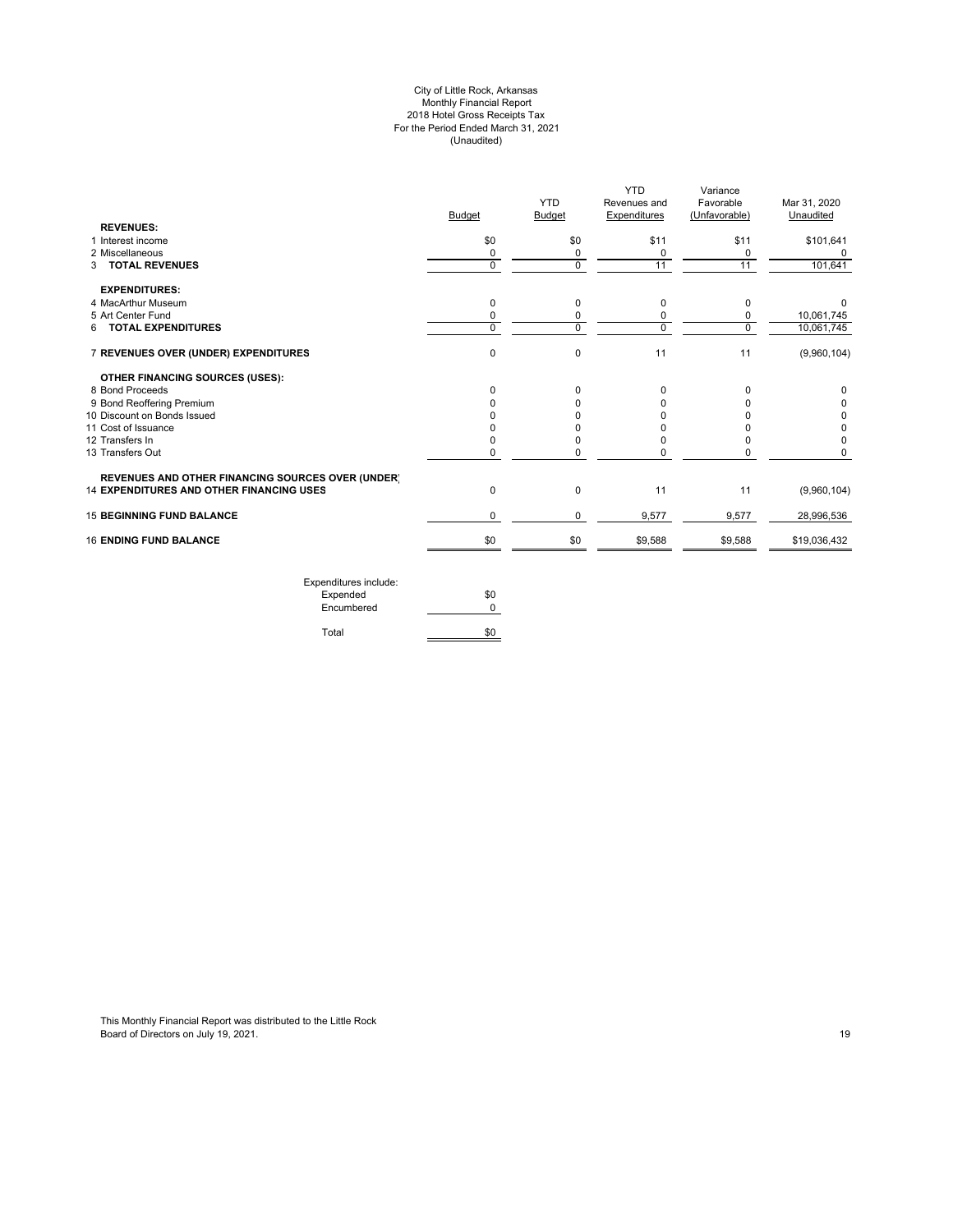#### City of Little Rock, Arkansas Monthly Financial Report 2018 Hotel Gross Receipts Tax For the Period Ended March 31, 2021 (Unaudited)

|                                                          | <b>Budget</b> | <b>YTD</b><br><b>Budget</b> | YTD<br>Revenues and<br>Expenditures | Variance<br>Favorable<br>(Unfavorable) | Mar 31, 2020<br>Unaudited |
|----------------------------------------------------------|---------------|-----------------------------|-------------------------------------|----------------------------------------|---------------------------|
| <b>REVENUES:</b>                                         |               |                             |                                     |                                        |                           |
| 1 Interest income                                        | \$0           | \$0                         | \$11                                | \$11                                   | \$101,641                 |
| 2 Miscellaneous                                          | 0             | 0                           | 0                                   | 0                                      | $\Omega$                  |
| 3 TOTAL REVENUES                                         | 0             | $\Omega$                    | 11                                  | 11                                     | 101,641                   |
| <b>EXPENDITURES:</b>                                     |               |                             |                                     |                                        |                           |
| 4 MacArthur Museum                                       | 0             | 0                           | 0                                   | 0                                      |                           |
| 5 Art Center Fund                                        | 0             | 0                           | 0                                   | 0                                      | 10,061,745                |
| <b>TOTAL EXPENDITURES</b><br>6                           | $\Omega$      | $\Omega$                    | 0                                   | $\overline{0}$                         | 10,061,745                |
| 7 REVENUES OVER (UNDER) EXPENDITURES                     | 0             | 0                           | 11                                  | 11                                     | (9,960,104)               |
| <b>OTHER FINANCING SOURCES (USES):</b>                   |               |                             |                                     |                                        |                           |
| 8 Bond Proceeds                                          | $\Omega$      | $\Omega$                    | 0                                   | 0                                      | <sup>0</sup>              |
| 9 Bond Reoffering Premium                                |               | <sup>0</sup>                | 0                                   | 0                                      |                           |
| 10 Discount on Bonds Issued                              |               |                             | n                                   | O                                      |                           |
| 11 Cost of Issuance                                      |               |                             | n                                   | O                                      |                           |
| 12 Transfers In                                          |               |                             | U                                   | 0                                      |                           |
| 13 Transfers Out                                         |               | 0                           | 0                                   | 0                                      | 0                         |
| <b>REVENUES AND OTHER FINANCING SOURCES OVER (UNDER)</b> |               |                             |                                     |                                        |                           |
| <b>14 EXPENDITURES AND OTHER FINANCING USES</b>          | 0             | 0                           | 11                                  | 11                                     | (9,960,104)               |
| <b>15 BEGINNING FUND BALANCE</b>                         | 0             | $\mathbf 0$                 | 9,577                               | 9,577                                  | 28,996,536                |
| <b>16 ENDING FUND BALANCE</b>                            | \$0           | \$0                         | \$9,588                             | \$9,588                                | \$19,036,432              |

Expenditures include: Expended \$0 Encumbered 0 Total \$0

This Monthly Financial Report was distributed to the Little Rock Board of Directors on July 19, 2021. 19 Auto 19, 2021. The control of the control of Directors on July 19, 2021.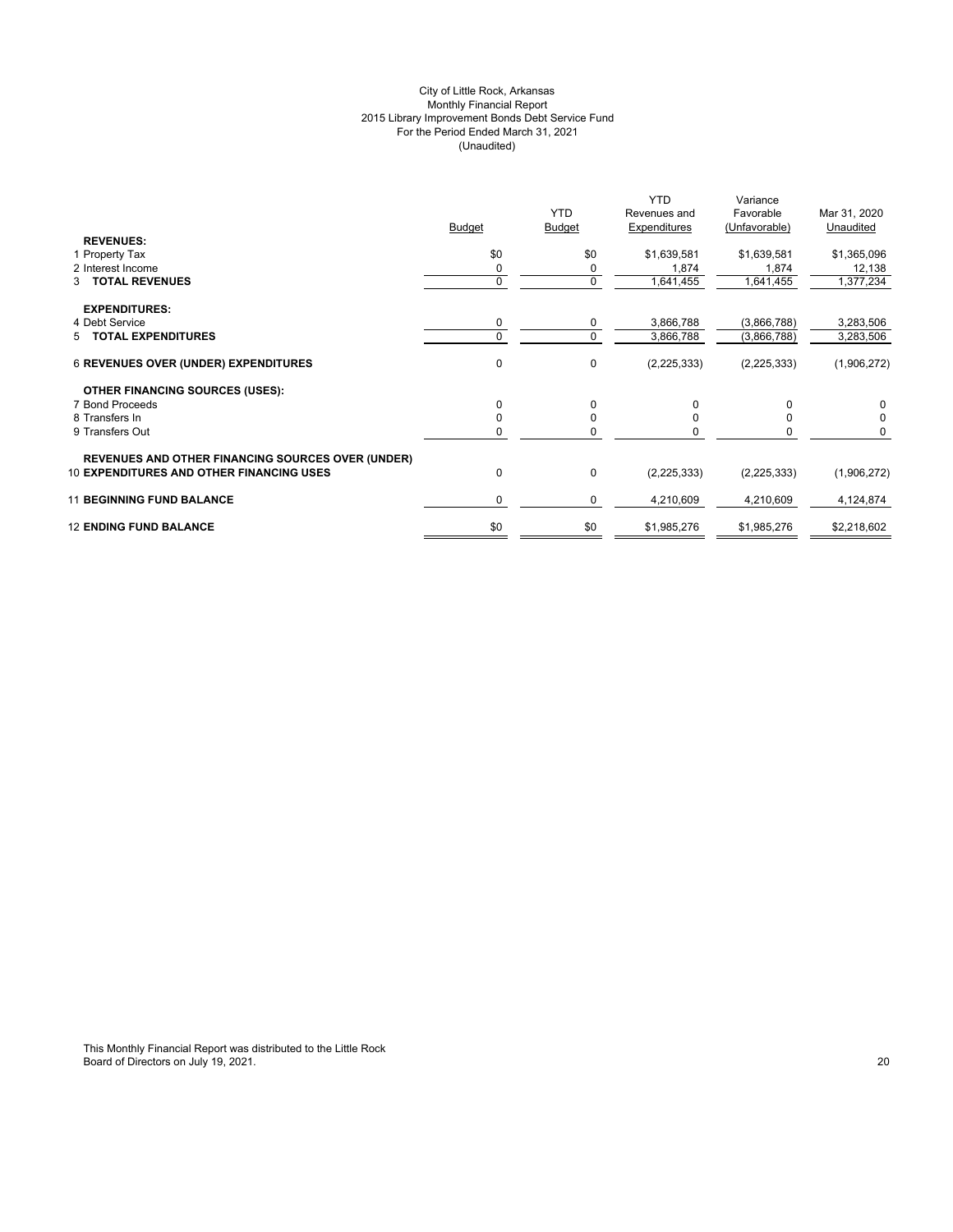## City of Little Rock, Arkansas Monthly Financial Report 2015 Library Improvement Bonds Debt Service Fund For the Period Ended March 31, 2021 (Unaudited)

|                                                                                                             | Budget   | <b>YTD</b><br><b>Budget</b> | <b>YTD</b><br>Revenues and<br>Expenditures | Variance<br>Favorable<br>(Unfavorable) | Mar 31, 2020<br>Unaudited |
|-------------------------------------------------------------------------------------------------------------|----------|-----------------------------|--------------------------------------------|----------------------------------------|---------------------------|
| <b>REVENUES:</b>                                                                                            |          |                             |                                            |                                        |                           |
| 1 Property Tax                                                                                              | \$0      | \$0                         | \$1,639,581                                | \$1,639,581                            | \$1,365,096               |
| 2 Interest Income                                                                                           |          |                             | 1,874                                      | 1,874                                  | 12,138                    |
| 3 TOTAL REVENUES                                                                                            | $\Omega$ | $\mathbf 0$                 | 1,641,455                                  | 1,641,455                              | 1,377,234                 |
| <b>EXPENDITURES:</b>                                                                                        |          |                             |                                            |                                        |                           |
| 4 Debt Service                                                                                              | 0        | 0                           | 3,866,788                                  | (3,866,788)                            | 3,283,506                 |
| 5 TOTAL EXPENDITURES                                                                                        | $\Omega$ | 0                           | 3,866,788                                  | (3,866,788)                            | 3,283,506                 |
| <b>6 REVENUES OVER (UNDER) EXPENDITURES</b>                                                                 | 0        | $\mathbf 0$                 | (2, 225, 333)                              | (2, 225, 333)                          | (1,906,272)               |
| <b>OTHER FINANCING SOURCES (USES):</b>                                                                      |          |                             |                                            |                                        |                           |
| 7 Bond Proceeds                                                                                             | 0        | $\Omega$                    | $\Omega$                                   | 0                                      |                           |
| 8 Transfers In                                                                                              |          |                             |                                            |                                        |                           |
| 9 Transfers Out                                                                                             |          |                             |                                            |                                        |                           |
|                                                                                                             |          |                             |                                            |                                        |                           |
| <b>REVENUES AND OTHER FINANCING SOURCES OVER (UNDER)</b><br><b>10 EXPENDITURES AND OTHER FINANCING USES</b> | $\Omega$ | 0                           | (2, 225, 333)                              | (2, 225, 333)                          | (1,906,272)               |
| <b>11 BEGINNING FUND BALANCE</b>                                                                            | 0        | 0                           | 4,210,609                                  | 4,210,609                              | 4,124,874                 |
| <b>12 ENDING FUND BALANCE</b>                                                                               | \$0      | \$0                         | \$1,985,276                                | \$1,985,276                            | \$2,218,602               |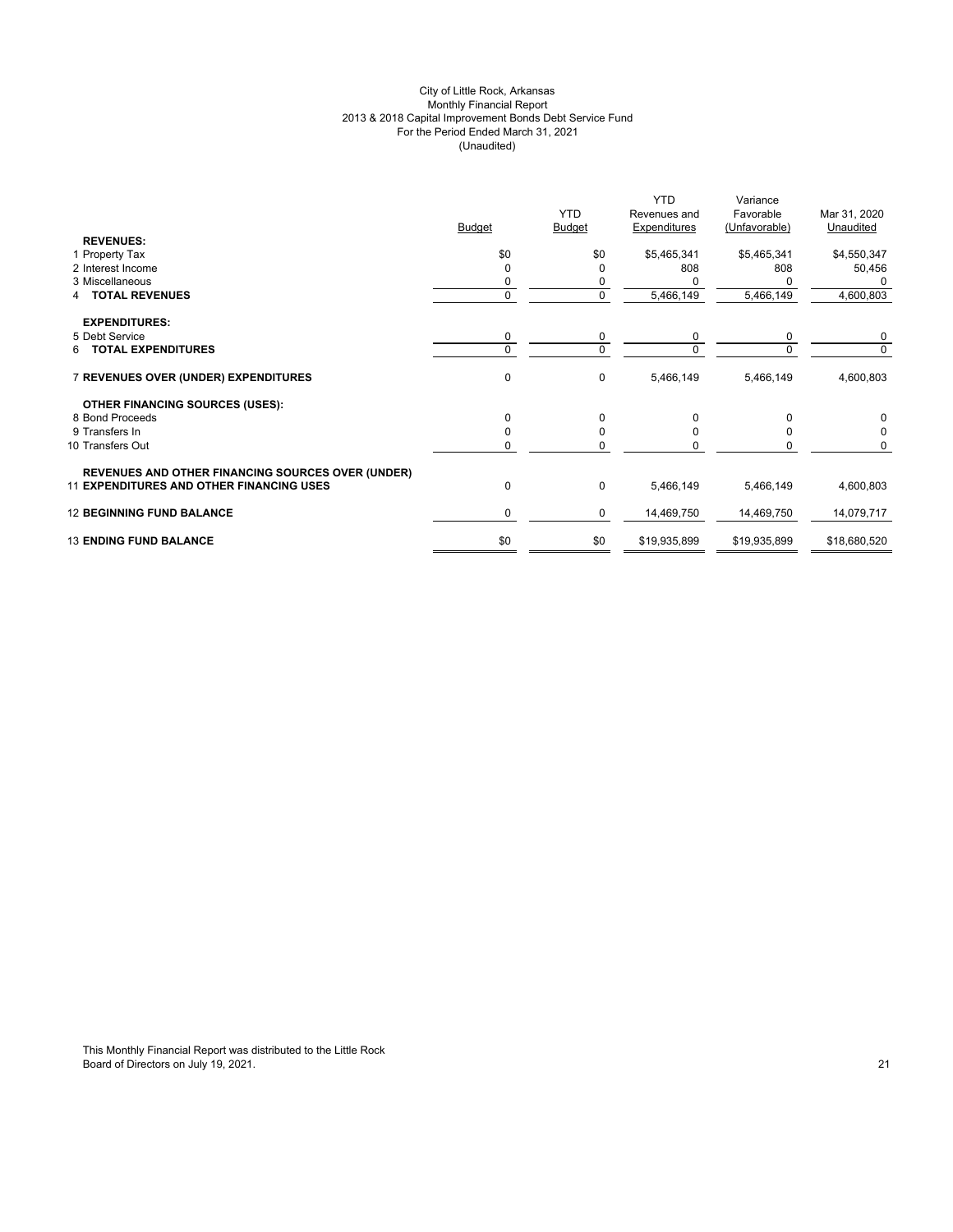## City of Little Rock, Arkansas Monthly Financial Report 2013 & 2018 Capital Improvement Bonds Debt Service Fund For the Period Ended March 31, 2021 (Unaudited)

|                                                          |               | <b>YTD</b>    | Revenues and | Favorable     | Mar 31, 2020 |
|----------------------------------------------------------|---------------|---------------|--------------|---------------|--------------|
|                                                          | <b>Budget</b> | <b>Budget</b> | Expenditures | (Unfavorable) | Unaudited    |
| <b>REVENUES:</b>                                         |               |               |              |               |              |
| 1 Property Tax                                           | \$0           | \$0           | \$5,465,341  | \$5,465,341   | \$4,550,347  |
| 2 Interest Income                                        |               | 0             | 808          | 808           | 50,456       |
| 3 Miscellaneous                                          |               |               |              |               | 0            |
| <b>TOTAL REVENUES</b><br>4                               | $\mathbf{0}$  | 0             | 5,466,149    | 5,466,149     | 4,600,803    |
| <b>EXPENDITURES:</b>                                     |               |               |              |               |              |
| 5 Debt Service                                           | 0             | 0             | 0            | 0             | 0            |
| <b>TOTAL EXPENDITURES</b><br>6.                          | $\Omega$      | $\Omega$      | $\Omega$     | $\Omega$      | $\Omega$     |
| 7 REVENUES OVER (UNDER) EXPENDITURES                     | $\mathbf 0$   | 0             | 5,466,149    | 5,466,149     | 4,600,803    |
| <b>OTHER FINANCING SOURCES (USES):</b>                   |               |               |              |               |              |
| 8 Bond Proceeds                                          | U             | 0             | O            | 0             | $\Omega$     |
| 9 Transfers In                                           |               | 0             |              |               |              |
| 10 Transfers Out                                         |               | $\Omega$      |              |               | 0            |
| <b>REVENUES AND OTHER FINANCING SOURCES OVER (UNDER)</b> |               |               |              |               |              |
| <b>11 EXPENDITURES AND OTHER FINANCING USES</b>          | 0             | 0             | 5,466,149    | 5,466,149     | 4,600,803    |
| <b>12 BEGINNING FUND BALANCE</b>                         | 0             | 0             | 14,469,750   | 14,469,750    | 14,079,717   |
| <b>13 ENDING FUND BALANCE</b>                            | \$0           | \$0           | \$19,935,899 | \$19,935,899  | \$18,680,520 |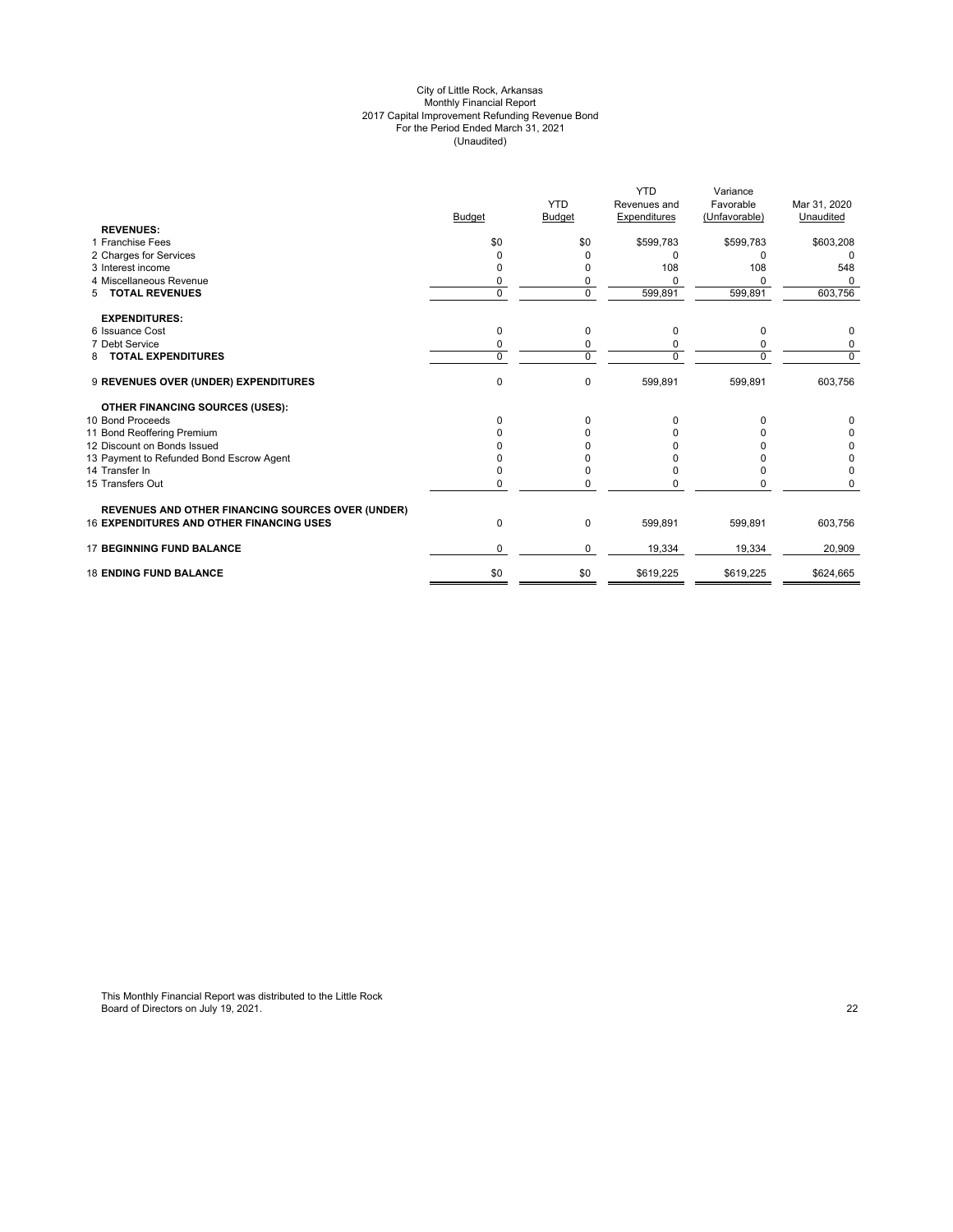#### City of Little Rock, Arkansas Monthly Financial Report 2017 Capital Improvement Refunding Revenue Bond For the Period Ended March 31, 2021 (Unaudited)

|                                                          |               |                | <b>YTD</b>   | Variance      |              |
|----------------------------------------------------------|---------------|----------------|--------------|---------------|--------------|
|                                                          |               | <b>YTD</b>     | Revenues and | Favorable     | Mar 31, 2020 |
|                                                          | <b>Budget</b> | <b>Budget</b>  | Expenditures | (Unfavorable) | Unaudited    |
| <b>REVENUES:</b>                                         |               |                |              |               |              |
| 1 Franchise Fees                                         | \$0           | \$0            | \$599,783    | \$599,783     | \$603,208    |
| 2 Charges for Services                                   |               |                | <sup>0</sup> | 0             | $\Omega$     |
| 3 Interest income                                        |               |                | 108          | 108           | 548          |
| 4 Miscellaneous Revenue                                  | 0             | 0              |              |               |              |
| <b>TOTAL REVENUES</b><br>5                               | 0             | $\overline{0}$ | 599,891      | 599,891       | 603,756      |
| <b>EXPENDITURES:</b>                                     |               |                |              |               |              |
| 6 Issuance Cost                                          | $\Omega$      | 0              | $\Omega$     | 0             | 0            |
| 7 Debt Service                                           | 0             | 0              |              |               | 0            |
| <b>TOTAL EXPENDITURES</b><br>8                           | $\Omega$      | $\Omega$       |              | $\Omega$      | $\mathbf 0$  |
| 9 REVENUES OVER (UNDER) EXPENDITURES                     | $\mathbf 0$   | $\mathbf 0$    | 599,891      | 599,891       | 603,756      |
| <b>OTHER FINANCING SOURCES (USES):</b>                   |               |                |              |               |              |
| 10 Bond Proceeds                                         | <sup>0</sup>  | 0              | o            | O             | 0            |
| 11 Bond Reoffering Premium                               |               |                |              |               | 0            |
| 12 Discount on Bonds Issued                              |               |                |              |               | 0            |
| 13 Payment to Refunded Bond Escrow Agent                 |               |                |              |               | 0            |
| 14 Transfer In                                           |               |                |              |               | $\Omega$     |
| 15 Transfers Out                                         | O             |                |              |               | $\Omega$     |
| <b>REVENUES AND OTHER FINANCING SOURCES OVER (UNDER)</b> |               |                |              |               |              |
| <b>16 EXPENDITURES AND OTHER FINANCING USES</b>          | 0             | 0              | 599,891      | 599,891       | 603,756      |
| <b>17 BEGINNING FUND BALANCE</b>                         | $\Omega$      | 0              | 19,334       | 19,334        | 20,909       |
| <b>18 ENDING FUND BALANCE</b>                            | \$0           | \$0            | \$619,225    | \$619,225     | \$624,665    |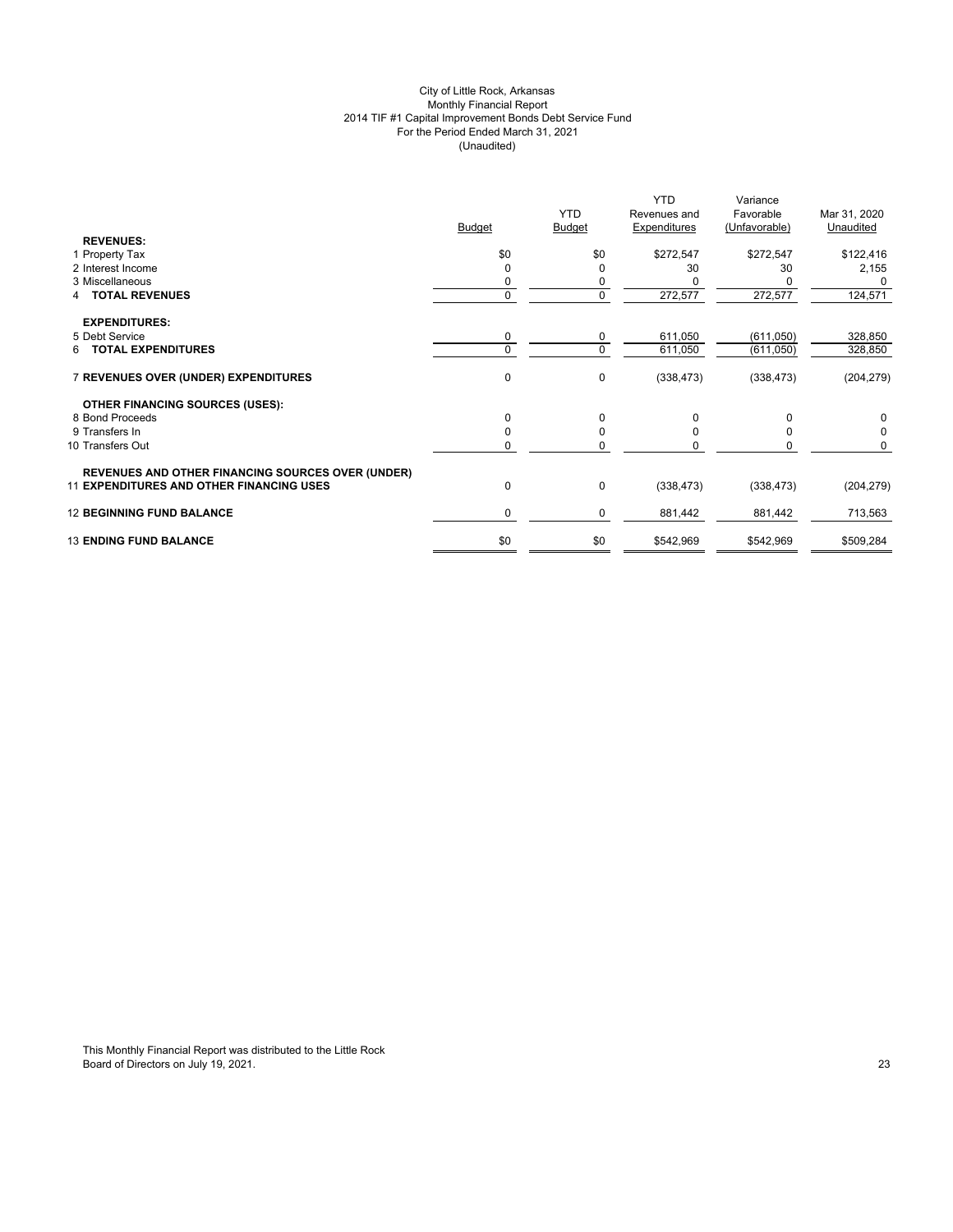## City of Little Rock, Arkansas Monthly Financial Report 2014 TIF #1 Capital Improvement Bonds Debt Service Fund For the Period Ended March 31, 2021 (Unaudited)

| <b>REVENUES:</b><br>\$0<br>\$0<br>\$272,547<br>\$272,547<br>1 Property Tax      | \$122,416<br>2,155<br>30 |
|---------------------------------------------------------------------------------|--------------------------|
|                                                                                 |                          |
|                                                                                 |                          |
| 2 Interest Income<br>30<br>0<br>$\Omega$                                        |                          |
| 3 Miscellaneous<br>0<br>0                                                       |                          |
| 0<br>272,577<br>$\mathbf{0}$<br><b>TOTAL REVENUES</b><br>4                      | 272,577<br>124,571       |
| <b>EXPENDITURES:</b>                                                            |                          |
| 0<br>5 Debt Service<br>611,050<br>0                                             | (611,050)<br>328,850     |
| $\mathbf 0$<br><b>6 TOTAL EXPENDITURES</b><br>$\Omega$<br>611,050               | 328,850<br>(611, 050)    |
| 0<br>7 REVENUES OVER (UNDER) EXPENDITURES<br>0<br>(338, 473)                    | (338, 473)<br>(204, 279) |
| <b>OTHER FINANCING SOURCES (USES):</b>                                          |                          |
| 0<br>8 Bond Proceeds<br>$\Omega$<br>0                                           | $\Omega$<br>0            |
| $\mathbf 0$<br>9 Transfers In<br>$\Omega$<br><sup>0</sup>                       | 0<br>$\Omega$            |
| 0<br>10 Transfers Out<br>0                                                      | $\Omega$<br>O            |
| <b>REVENUES AND OTHER FINANCING SOURCES OVER (UNDER)</b>                        |                          |
| $\pmb{0}$<br><b>11 EXPENDITURES AND OTHER FINANCING USES</b><br>0<br>(338, 473) | (338, 473)<br>(204, 279) |
| <b>12 BEGINNING FUND BALANCE</b><br>0<br>$\mathbf 0$<br>881,442                 | 713,563<br>881,442       |
| \$0<br><b>13 ENDING FUND BALANCE</b><br>\$0<br>\$542,969<br>\$542,969           | \$509,284                |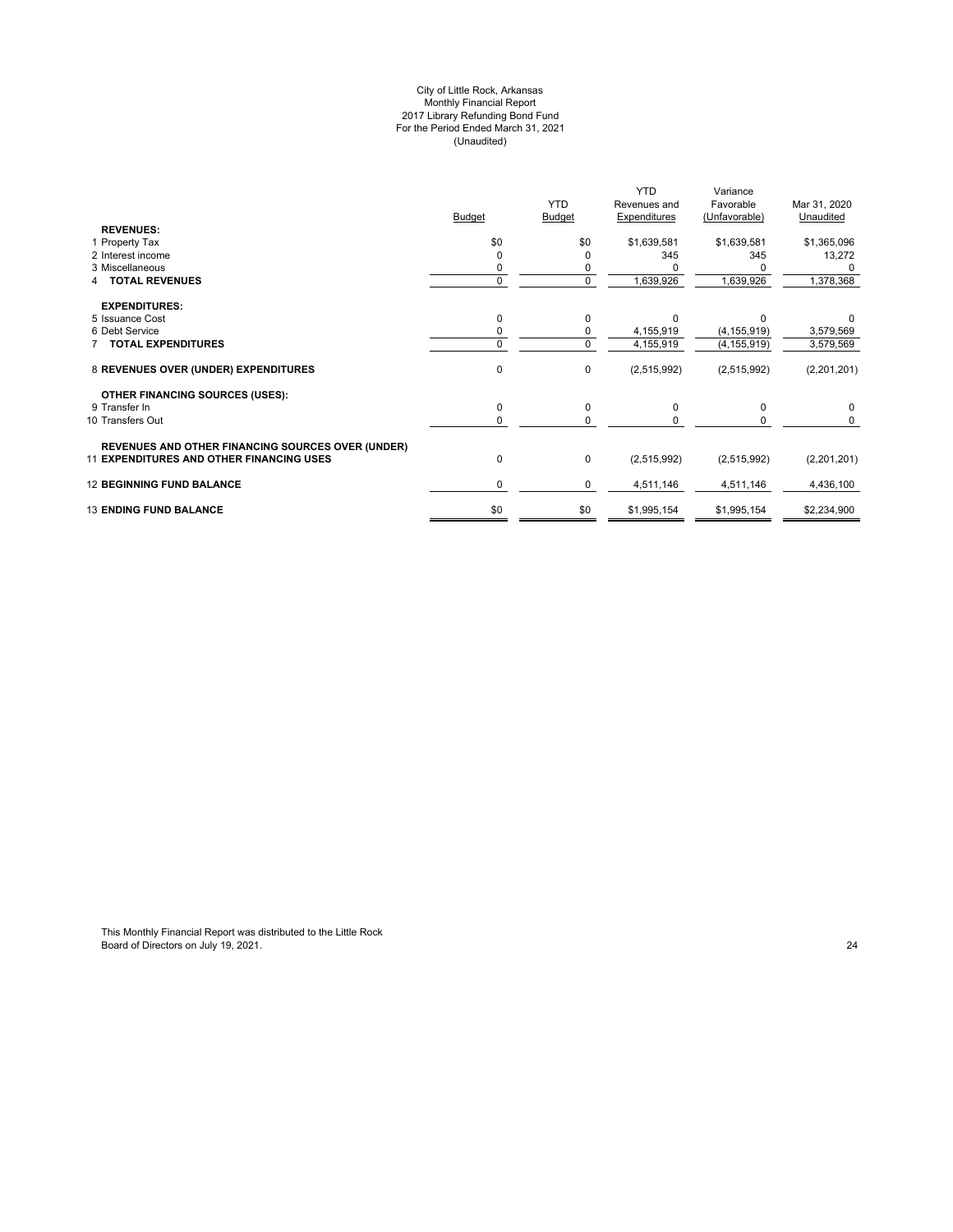#### City of Little Rock, Arkansas Monthly Financial Report 2017 Library Refunding Bond Fund For the Period Ended March 31, 2021 (Unaudited)

| <b>Budget</b><br>Expenditures<br><b>Budget</b><br>(Unfavorable)<br>Unaudited<br><b>REVENUES:</b><br>\$0<br>\$0<br>\$1,639,581<br>\$1,639,581<br>1 Property Tax<br>345<br>2 Interest income<br>345<br>3 Miscellaneous<br><b>TOTAL REVENUES</b><br>0<br>1,639,926<br>1,639,926<br>$\Omega$<br><b>EXPENDITURES:</b><br>5 Issuance Cost<br>0<br>0<br>U<br>6 Debt Service<br>4,155,919<br>0<br>(4, 155, 919)<br>0<br><b>TOTAL EXPENDITURES</b><br>$\Omega$<br>4,155,919<br>(4, 155, 919)<br>$\pmb{0}$<br>8 REVENUES OVER (UNDER) EXPENDITURES<br>$\mathbf 0$<br>(2,515,992)<br>(2,515,992)<br><b>OTHER FINANCING SOURCES (USES):</b><br>0<br>0<br>9 Transfer In<br>$\Omega$<br>$\Omega$<br>10 Transfers Out<br>$\Omega$<br><sup>0</sup><br><b>REVENUES AND OTHER FINANCING SOURCES OVER (UNDER)</b><br><b>11 EXPENDITURES AND OTHER FINANCING USES</b><br>0<br>$\mathbf 0$<br>(2,515,992)<br>(2,515,992)<br><b>12 BEGINNING FUND BALANCE</b><br>0<br>0<br>4,511,146<br>4,511,146 |                               |     | <b>YTD</b> | <b>YTD</b>   | Variance<br>Favorable |              |
|-----------------------------------------------------------------------------------------------------------------------------------------------------------------------------------------------------------------------------------------------------------------------------------------------------------------------------------------------------------------------------------------------------------------------------------------------------------------------------------------------------------------------------------------------------------------------------------------------------------------------------------------------------------------------------------------------------------------------------------------------------------------------------------------------------------------------------------------------------------------------------------------------------------------------------------------------------------------------------|-------------------------------|-----|------------|--------------|-----------------------|--------------|
|                                                                                                                                                                                                                                                                                                                                                                                                                                                                                                                                                                                                                                                                                                                                                                                                                                                                                                                                                                             |                               |     |            | Revenues and |                       | Mar 31, 2020 |
|                                                                                                                                                                                                                                                                                                                                                                                                                                                                                                                                                                                                                                                                                                                                                                                                                                                                                                                                                                             |                               |     |            |              |                       |              |
|                                                                                                                                                                                                                                                                                                                                                                                                                                                                                                                                                                                                                                                                                                                                                                                                                                                                                                                                                                             |                               |     |            |              |                       | \$1,365,096  |
|                                                                                                                                                                                                                                                                                                                                                                                                                                                                                                                                                                                                                                                                                                                                                                                                                                                                                                                                                                             |                               |     |            |              |                       | 13,272       |
|                                                                                                                                                                                                                                                                                                                                                                                                                                                                                                                                                                                                                                                                                                                                                                                                                                                                                                                                                                             |                               |     |            |              |                       |              |
|                                                                                                                                                                                                                                                                                                                                                                                                                                                                                                                                                                                                                                                                                                                                                                                                                                                                                                                                                                             |                               |     |            |              |                       | 1,378,368    |
|                                                                                                                                                                                                                                                                                                                                                                                                                                                                                                                                                                                                                                                                                                                                                                                                                                                                                                                                                                             |                               |     |            |              |                       |              |
|                                                                                                                                                                                                                                                                                                                                                                                                                                                                                                                                                                                                                                                                                                                                                                                                                                                                                                                                                                             |                               |     |            |              |                       |              |
|                                                                                                                                                                                                                                                                                                                                                                                                                                                                                                                                                                                                                                                                                                                                                                                                                                                                                                                                                                             |                               |     |            |              |                       | 3,579,569    |
|                                                                                                                                                                                                                                                                                                                                                                                                                                                                                                                                                                                                                                                                                                                                                                                                                                                                                                                                                                             |                               |     |            |              |                       | 3,579,569    |
|                                                                                                                                                                                                                                                                                                                                                                                                                                                                                                                                                                                                                                                                                                                                                                                                                                                                                                                                                                             |                               |     |            |              |                       | (2,201,201)  |
|                                                                                                                                                                                                                                                                                                                                                                                                                                                                                                                                                                                                                                                                                                                                                                                                                                                                                                                                                                             |                               |     |            |              |                       |              |
|                                                                                                                                                                                                                                                                                                                                                                                                                                                                                                                                                                                                                                                                                                                                                                                                                                                                                                                                                                             |                               |     |            |              |                       | $\Omega$     |
|                                                                                                                                                                                                                                                                                                                                                                                                                                                                                                                                                                                                                                                                                                                                                                                                                                                                                                                                                                             |                               |     |            |              |                       |              |
|                                                                                                                                                                                                                                                                                                                                                                                                                                                                                                                                                                                                                                                                                                                                                                                                                                                                                                                                                                             |                               |     |            |              |                       |              |
|                                                                                                                                                                                                                                                                                                                                                                                                                                                                                                                                                                                                                                                                                                                                                                                                                                                                                                                                                                             |                               |     |            |              |                       | (2,201,201)  |
|                                                                                                                                                                                                                                                                                                                                                                                                                                                                                                                                                                                                                                                                                                                                                                                                                                                                                                                                                                             |                               |     |            |              |                       | 4,436,100    |
|                                                                                                                                                                                                                                                                                                                                                                                                                                                                                                                                                                                                                                                                                                                                                                                                                                                                                                                                                                             | <b>13 ENDING FUND BALANCE</b> | \$0 | \$0        | \$1,995,154  | \$1,995,154           | \$2,234,900  |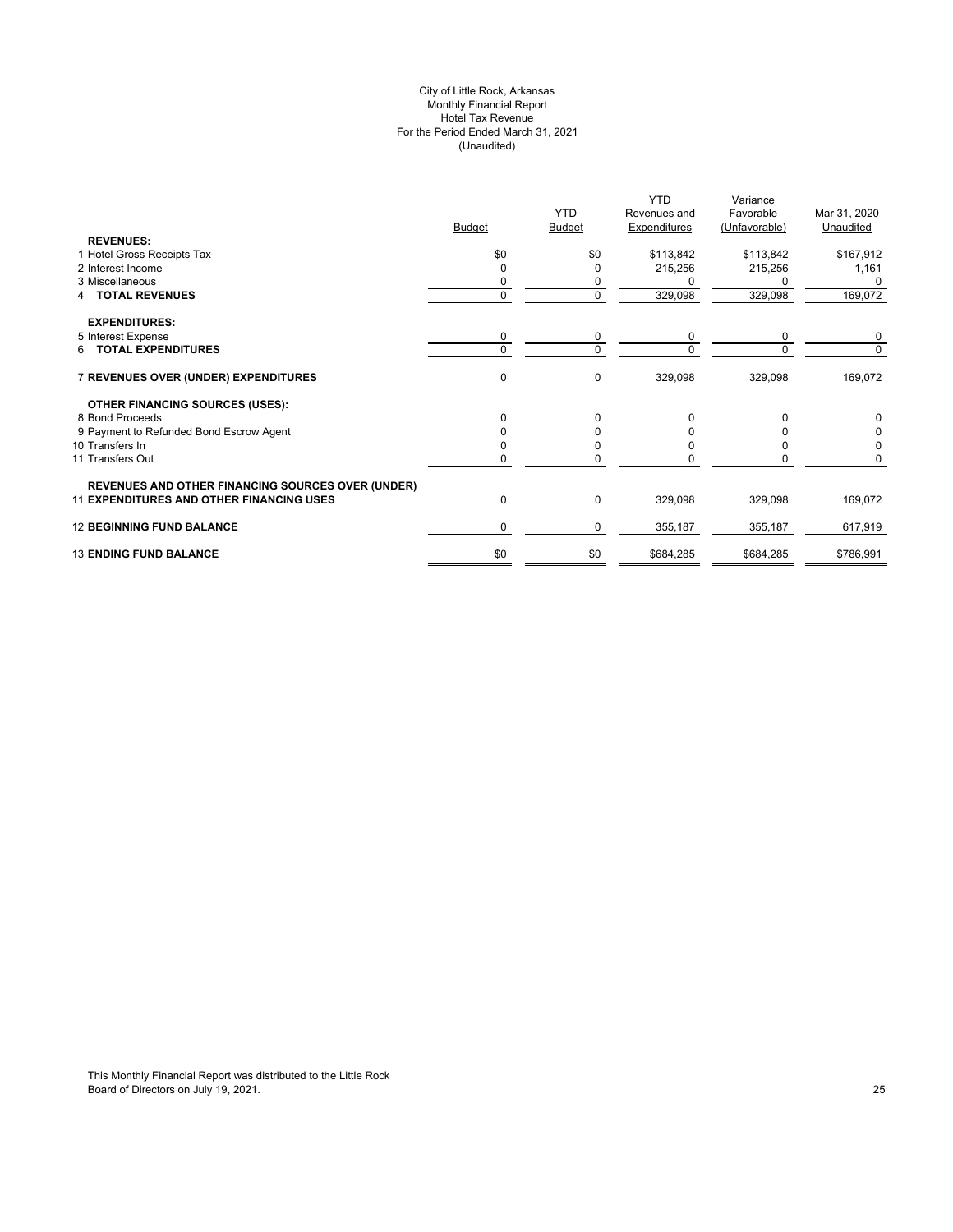## City of Little Rock, Arkansas Monthly Financial Report Hotel Tax Revenue For the Period Ended March 31, 2021 (Unaudited)

|                                                          |               |               | <b>YTD</b>   | Variance      |              |
|----------------------------------------------------------|---------------|---------------|--------------|---------------|--------------|
|                                                          |               | <b>YTD</b>    | Revenues and | Favorable     | Mar 31, 2020 |
|                                                          | <b>Budget</b> | <b>Budget</b> | Expenditures | (Unfavorable) | Unaudited    |
| <b>REVENUES:</b>                                         |               |               |              |               |              |
| 1 Hotel Gross Receipts Tax                               | \$0           | \$0           | \$113,842    | \$113,842     | \$167,912    |
| 2 Interest Income                                        | 0             |               | 215,256      | 215,256       | 1,161        |
| 3 Miscellaneous                                          | 0             |               |              |               |              |
| <b>TOTAL REVENUES</b><br>4                               | 0             | 0             | 329,098      | 329,098       | 169,072      |
|                                                          |               |               |              |               |              |
| <b>EXPENDITURES:</b>                                     |               |               |              |               |              |
| 5 Interest Expense                                       | 0             | 0             | 0            | 0             | 0            |
| 6 TOTAL EXPENDITURES                                     | $\Omega$      | $\Omega$      | $\Omega$     |               | $\Omega$     |
| 7 REVENUES OVER (UNDER) EXPENDITURES                     | 0             | 0             | 329,098      | 329,098       | 169,072      |
| <b>OTHER FINANCING SOURCES (USES):</b>                   |               |               |              |               |              |
| 8 Bond Proceeds                                          | $\Omega$      | 0             | O            |               |              |
| 9 Payment to Refunded Bond Escrow Agent                  |               |               |              |               |              |
| 10 Transfers In                                          |               |               |              |               |              |
| 11 Transfers Out                                         |               |               |              |               |              |
|                                                          |               |               |              |               |              |
| <b>REVENUES AND OTHER FINANCING SOURCES OVER (UNDER)</b> |               |               |              |               |              |
| 11 EXPENDITURES AND OTHER FINANCING USES                 | 0             | $\Omega$      | 329,098      | 329,098       | 169,072      |
| <b>12 BEGINNING FUND BALANCE</b>                         | 0             | 0             | 355,187      | 355,187       | 617,919      |
| <b>13 ENDING FUND BALANCE</b>                            | \$0           | \$0           | \$684,285    | \$684,285     | \$786,991    |
|                                                          |               |               |              |               |              |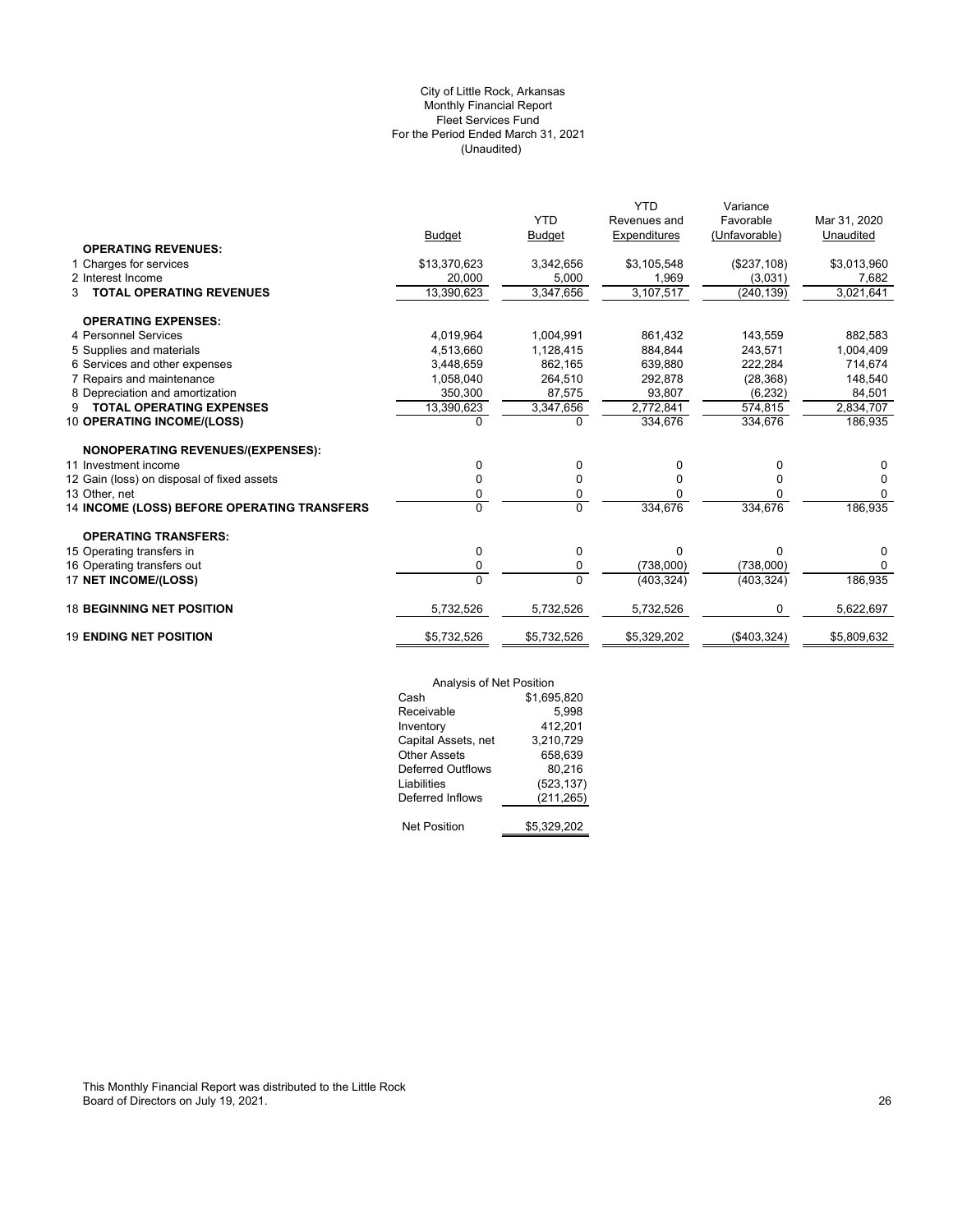## (Unaudited) City of Little Rock, Arkansas Monthly Financial Report Fleet Services Fund For the Period Ended March 31, 2021

|                                             |                |                | <b>YTD</b>   | Variance      |              |
|---------------------------------------------|----------------|----------------|--------------|---------------|--------------|
|                                             |                | <b>YTD</b>     | Revenues and | Favorable     | Mar 31, 2020 |
|                                             | <b>Budget</b>  | <b>Budget</b>  | Expenditures | (Unfavorable) | Unaudited    |
| <b>OPERATING REVENUES:</b>                  |                |                |              |               |              |
| 1 Charges for services                      | \$13,370,623   | 3,342,656      | \$3,105,548  | (\$237,108)   | \$3,013,960  |
| 2 Interest Income                           | 20,000         | 5,000          | 1,969        | (3,031)       | 7,682        |
| <b>TOTAL OPERATING REVENUES</b><br>3        | 13,390,623     | 3,347,656      | 3,107,517    | (240, 139)    | 3,021,641    |
| <b>OPERATING EXPENSES:</b>                  |                |                |              |               |              |
| 4 Personnel Services                        | 4,019,964      | 1.004.991      | 861.432      | 143,559       | 882.583      |
| 5 Supplies and materials                    | 4,513,660      | 1,128,415      | 884.844      | 243,571       | 1,004,409    |
| 6 Services and other expenses               | 3,448,659      | 862,165        | 639,880      | 222,284       | 714,674      |
| 7 Repairs and maintenance                   | 1.058.040      | 264.510        | 292.878      | (28, 368)     | 148,540      |
| 8 Depreciation and amortization             | 350,300        | 87,575         | 93,807       | (6, 232)      | 84,501       |
| <b>TOTAL OPERATING EXPENSES</b><br>9        | 13,390,623     | 3,347,656      | 2,772,841    | 574,815       | 2,834,707    |
| 10 OPERATING INCOME/(LOSS)                  | $\Omega$       | $\Omega$       | 334.676      | 334.676       | 186,935      |
|                                             |                |                |              |               |              |
| NONOPERATING REVENUES/(EXPENSES):           |                |                |              |               |              |
| 11 Investment income                        | 0              | 0              | 0            | 0             | 0            |
| 12 Gain (loss) on disposal of fixed assets  | 0              | 0              | 0            | 0             | $\Omega$     |
| 13 Other, net                               | 0              | 0              | 0            |               | $\Omega$     |
| 14 INCOME (LOSS) BEFORE OPERATING TRANSFERS | $\overline{0}$ | $\overline{0}$ | 334,676      | 334,676       | 186,935      |
| <b>OPERATING TRANSFERS:</b>                 |                |                |              |               |              |
| 15 Operating transfers in                   | 0              | 0              | $\Omega$     | 0             | 0            |
| 16 Operating transfers out                  | 0              | 0              | (738,000)    | (738,000)     | 0            |
| 17 NET INCOME/(LOSS)                        | $\overline{0}$ | $\Omega$       | (403, 324)   | (403, 324)    | 186,935      |
|                                             |                |                |              |               |              |
| <b>18 BEGINNING NET POSITION</b>            | 5,732,526      | 5,732,526      | 5,732,526    | 0             | 5,622,697    |
| <b>19 ENDING NET POSITION</b>               | \$5,732,526    | \$5,732,526    | \$5,329,202  | (\$403,324)   | \$5,809,632  |
|                                             |                |                |              |               |              |

|                          | Analysis of Net Position |  |  |
|--------------------------|--------------------------|--|--|
| Cash                     | \$1,695,820              |  |  |
| Receivable               | 5,998                    |  |  |
| Inventory                | 412,201                  |  |  |
| Capital Assets, net      | 3,210,729                |  |  |
| <b>Other Assets</b>      | 658,639                  |  |  |
| <b>Deferred Outflows</b> | 80.216                   |  |  |
| Liabilities              | (523, 137)               |  |  |
| Deferred Inflows         | (211, 265)               |  |  |
|                          |                          |  |  |
| <b>Net Position</b>      | \$5,329,202              |  |  |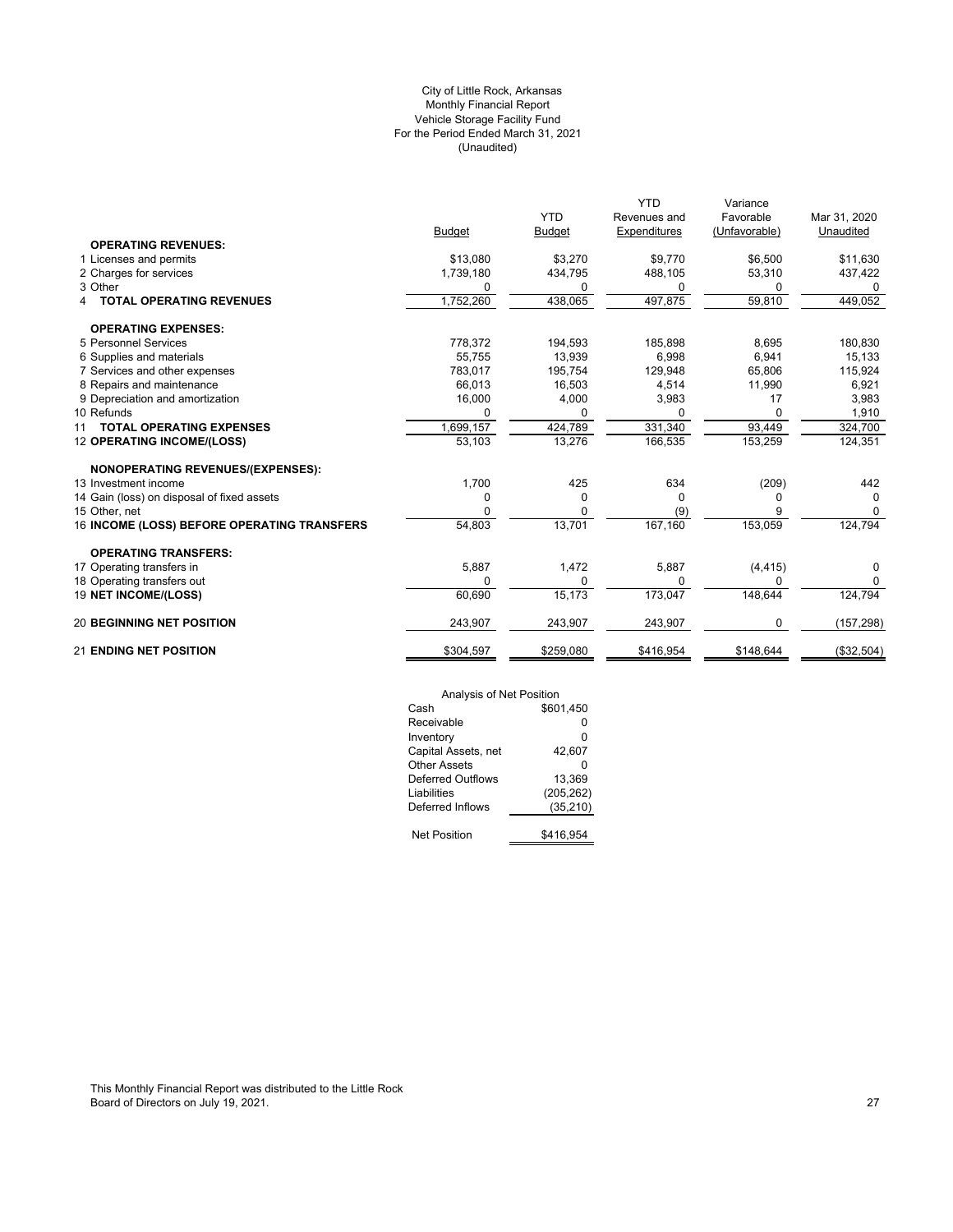## (Unaudited) City of Little Rock, Arkansas Monthly Financial Report Vehicle Storage Facility Fund For the Period Ended March 31, 2021

|                                             |               |               | <b>YTD</b>   | Variance      |              |
|---------------------------------------------|---------------|---------------|--------------|---------------|--------------|
|                                             |               | <b>YTD</b>    | Revenues and | Favorable     | Mar 31, 2020 |
|                                             | <b>Budget</b> | <b>Budget</b> | Expenditures | (Unfavorable) | Unaudited    |
| <b>OPERATING REVENUES:</b>                  |               |               |              |               |              |
| 1 Licenses and permits                      | \$13,080      | \$3,270       | \$9,770      | \$6,500       | \$11,630     |
| 2 Charges for services                      | 1,739,180     | 434,795       | 488,105      | 53,310        | 437,422      |
| 3 Other                                     | 0             | 0             | 0            | 0             | 0            |
| <b>TOTAL OPERATING REVENUES</b><br>4        | 1,752,260     | 438,065       | 497,875      | 59,810        | 449,052      |
| <b>OPERATING EXPENSES:</b>                  |               |               |              |               |              |
| 5 Personnel Services                        | 778,372       | 194,593       | 185,898      | 8,695         | 180,830      |
| 6 Supplies and materials                    | 55,755        | 13,939        | 6,998        | 6,941         | 15,133       |
| 7 Services and other expenses               | 783.017       | 195,754       | 129,948      | 65.806        | 115,924      |
| 8 Repairs and maintenance                   | 66,013        | 16,503        | 4,514        | 11,990        | 6,921        |
| 9 Depreciation and amortization             | 16,000        | 4,000         | 3,983        | 17            | 3,983        |
| 10 Refunds                                  | 0             | 0             |              | 0             | 1,910        |
| <b>TOTAL OPERATING EXPENSES</b><br>11       | 1,699,157     | 424,789       | 331,340      | 93,449        | 324,700      |
| 12 OPERATING INCOME/(LOSS)                  | 53,103        | 13,276        | 166,535      | 153,259       | 124,351      |
| <b>NONOPERATING REVENUES/(EXPENSES):</b>    |               |               |              |               |              |
| 13 Investment income                        | 1,700         | 425           | 634          | (209)         | 442          |
| 14 Gain (loss) on disposal of fixed assets  | 0             | 0             | $\Omega$     | 0             | $\Omega$     |
| 15 Other, net                               | 0             | O             | (9)          |               | $\Omega$     |
| 16 INCOME (LOSS) BEFORE OPERATING TRANSFERS | 54,803        | 13,701        | 167, 160     | 153,059       | 124,794      |
| <b>OPERATING TRANSFERS:</b>                 |               |               |              |               |              |
| 17 Operating transfers in                   | 5,887         | 1,472         | 5,887        | (4, 415)      | 0            |
| 18 Operating transfers out                  | $\Omega$      | 0             | $\Omega$     | U             | 0            |
| 19 NET INCOME/(LOSS)                        | 60,690        | 15,173        | 173,047      | 148,644       | 124,794      |
| <b>20 BEGINNING NET POSITION</b>            | 243,907       | 243,907       | 243,907      | 0             | (157, 298)   |
| <b>21 ENDING NET POSITION</b>               | \$304,597     | \$259,080     | \$416,954    | \$148.644     | (\$32,504)   |

| Analysis of Net Position |            |  |  |  |
|--------------------------|------------|--|--|--|
| Cash                     | \$601.450  |  |  |  |
| Receivable               | ŋ          |  |  |  |
| Inventory                | 0          |  |  |  |
| Capital Assets, net      | 42,607     |  |  |  |
| Other Assets             | ŋ          |  |  |  |
| Deferred Outflows        | 13.369     |  |  |  |
| Liabilities              | (205, 262) |  |  |  |
| Deferred Inflows         | (35, 210)  |  |  |  |
|                          |            |  |  |  |
| <b>Net Position</b>      | \$416,954  |  |  |  |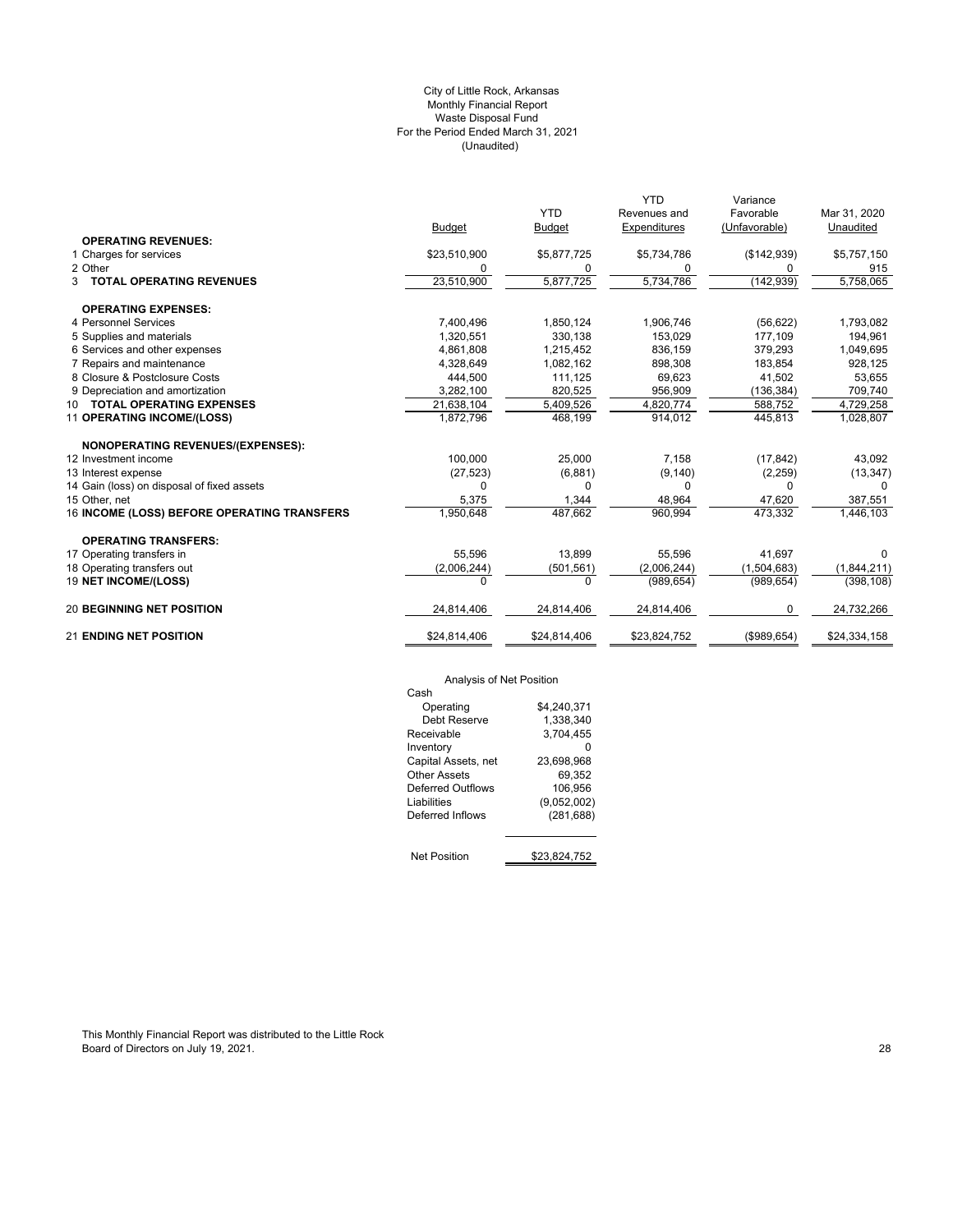## (Unaudited) City of Little Rock, Arkansas Monthly Financial Report Waste Disposal Fund For the Period Ended March 31, 2021

|                                             |               |               | <b>YTD</b>   | Variance      |              |
|---------------------------------------------|---------------|---------------|--------------|---------------|--------------|
|                                             |               | <b>YTD</b>    | Revenues and | Favorable     | Mar 31, 2020 |
|                                             | <b>Budget</b> | <b>Budget</b> | Expenditures | (Unfavorable) | Unaudited    |
| <b>OPERATING REVENUES:</b>                  |               |               |              |               |              |
| 1 Charges for services                      | \$23,510,900  | \$5,877,725   | \$5,734,786  | (\$142,939)   | \$5,757,150  |
| 2 Other                                     | 0             | 0             | 0            | 0             | 915          |
| <b>3 TOTAL OPERATING REVENUES</b>           | 23,510,900    | 5,877,725     | 5,734,786    | (142, 939)    | 5,758,065    |
| <b>OPERATING EXPENSES:</b>                  |               |               |              |               |              |
| 4 Personnel Services                        | 7,400,496     | 1,850,124     | 1,906,746    | (56, 622)     | 1,793,082    |
| 5 Supplies and materials                    | 1,320,551     | 330,138       | 153,029      | 177,109       | 194,961      |
| 6 Services and other expenses               | 4,861,808     | 1,215,452     | 836,159      | 379,293       | 1,049,695    |
| 7 Repairs and maintenance                   | 4,328,649     | 1,082,162     | 898,308      | 183.854       | 928,125      |
| 8 Closure & Postclosure Costs               | 444,500       | 111,125       | 69,623       | 41,502        | 53,655       |
| 9 Depreciation and amortization             | 3,282,100     | 820.525       | 956,909      | (136, 384)    | 709,740      |
| 10 TOTAL OPERATING EXPENSES                 | 21,638,104    | 5,409,526     | 4,820,774    | 588,752       | 4,729,258    |
| 11 OPERATING INCOME/(LOSS)                  | 1,872,796     | 468,199       | 914,012      | 445,813       | 1,028,807    |
| NONOPERATING REVENUES/(EXPENSES):           |               |               |              |               |              |
| 12 Investment income                        | 100,000       | 25,000        | 7,158        | (17, 842)     | 43,092       |
| 13 Interest expense                         | (27, 523)     | (6,881)       | (9, 140)     | (2,259)       | (13, 347)    |
| 14 Gain (loss) on disposal of fixed assets  | $\Omega$      | $\Omega$      | $\Omega$     | $\Omega$      |              |
| 15 Other, net                               | 5,375         | 1,344         | 48,964       | 47,620        | 387,551      |
| 16 INCOME (LOSS) BEFORE OPERATING TRANSFERS | 1,950,648     | 487,662       | 960,994      | 473,332       | 1,446,103    |
| <b>OPERATING TRANSFERS:</b>                 |               |               |              |               |              |
| 17 Operating transfers in                   | 55.596        | 13.899        | 55.596       | 41.697        | 0            |
| 18 Operating transfers out                  | (2,006,244)   | (501, 561)    | (2,006,244)  | (1,504,683)   | (1,844,211)  |
| 19 NET INCOME/(LOSS)                        | $\Omega$      | $\Omega$      | (989, 654)   | (989, 654)    | (398, 108)   |
| <b>20 BEGINNING NET POSITION</b>            | 24,814,406    | 24,814,406    | 24,814,406   | 0             | 24,732,266   |
| <b>21 ENDING NET POSITION</b>               | \$24,814,406  | \$24,814,406  | \$23,824,752 | (\$989.654)   | \$24,334,158 |
|                                             |               |               |              |               |              |

# Analysis of Net Position

| Analysis of Net Position |              |
|--------------------------|--------------|
| Cash                     |              |
| Operating                | \$4.240.371  |
| Debt Reserve             | 1.338.340    |
| Receivable               | 3,704,455    |
| Inventory                |              |
| Capital Assets, net      | 23,698,968   |
| Other Assets             | 69.352       |
| Deferred Outflows        | 106.956      |
| Liabilities              | (9,052,002)  |
| Deferred Inflows         | (281, 688)   |
| <b>Net Position</b>      | \$23.824.752 |
|                          |              |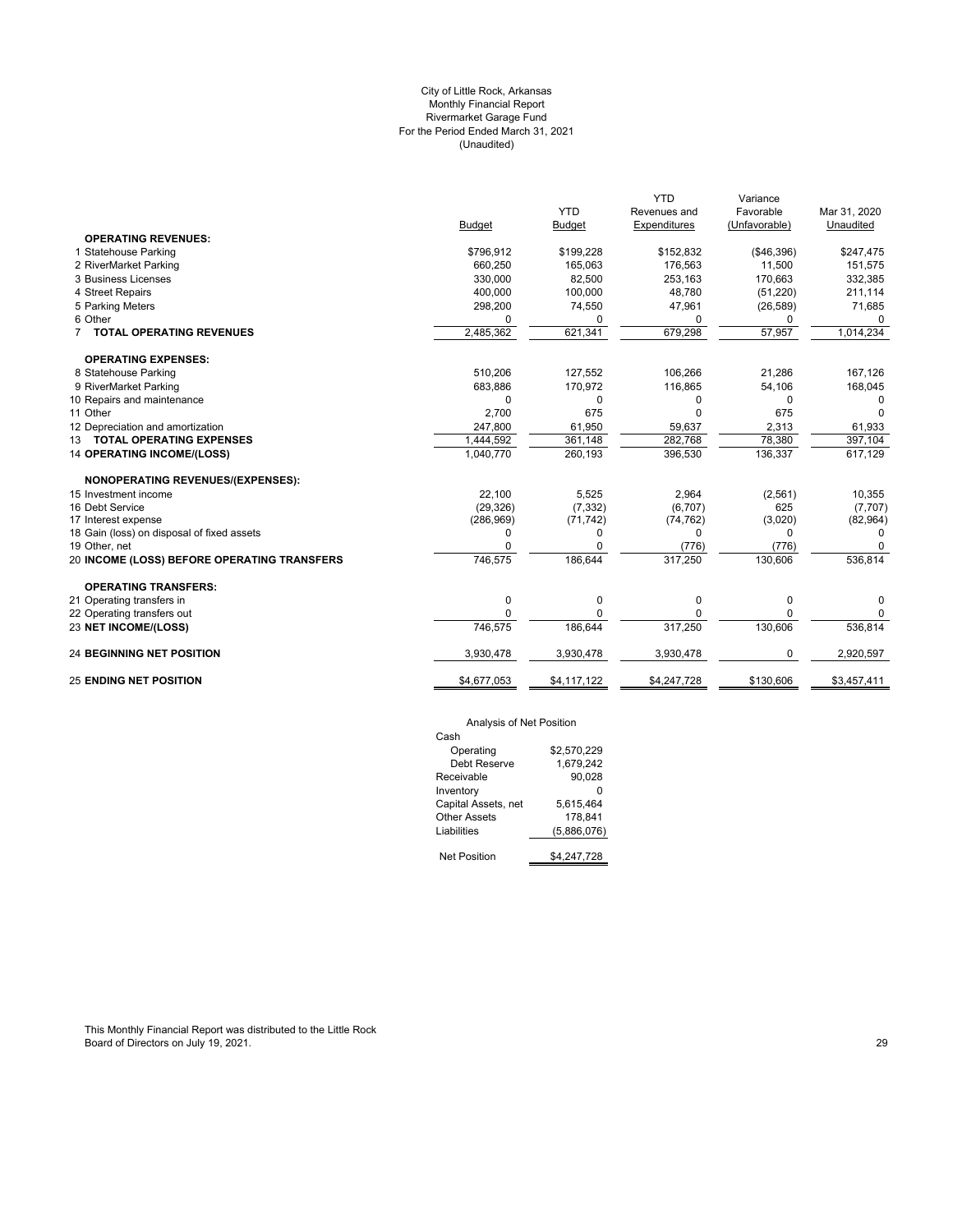## (Unaudited) City of Little Rock, Arkansas Monthly Financial Report Rivermarket Garage Fund For the Period Ended March 31, 2021

|                                             |               |               | <b>YTD</b>   | Variance      |              |
|---------------------------------------------|---------------|---------------|--------------|---------------|--------------|
|                                             |               | <b>YTD</b>    | Revenues and | Favorable     | Mar 31, 2020 |
|                                             | <b>Budget</b> | <b>Budget</b> | Expenditures | (Unfavorable) | Unaudited    |
| <b>OPERATING REVENUES:</b>                  |               |               |              |               |              |
| 1 Statehouse Parking                        | \$796,912     | \$199,228     | \$152,832    | ( \$46, 396)  | \$247,475    |
| 2 RiverMarket Parking                       | 660,250       | 165,063       | 176,563      | 11,500        | 151,575      |
| 3 Business Licenses                         | 330,000       | 82,500        | 253,163      | 170,663       | 332,385      |
| 4 Street Repairs                            | 400,000       | 100,000       | 48,780       | (51, 220)     | 211,114      |
| 5 Parking Meters                            | 298,200       | 74,550        | 47,961       | (26, 589)     | 71,685       |
| 6 Other                                     | <sup>0</sup>  | $\Omega$      | 0            | 0             | <sup>0</sup> |
| 7 TOTAL OPERATING REVENUES                  | 2,485,362     | 621,341       | 679,298      | 57,957        | 1,014,234    |
| <b>OPERATING EXPENSES:</b>                  |               |               |              |               |              |
| 8 Statehouse Parking                        | 510,206       | 127,552       | 106,266      | 21,286        | 167,126      |
| 9 RiverMarket Parking                       | 683,886       | 170,972       | 116,865      | 54,106        | 168,045      |
| 10 Repairs and maintenance                  | $\Omega$      | 0             | 0            | 0             |              |
| 11 Other                                    | 2.700         | 675           | 0            | 675           |              |
| 12 Depreciation and amortization            | 247,800       | 61,950        | 59,637       | 2,313         | 61,933       |
| 13 TOTAL OPERATING EXPENSES                 | 1,444,592     | 361,148       | 282,768      | 78,380        | 397,104      |
| <b>14 OPERATING INCOME/(LOSS)</b>           | 1,040,770     | 260,193       | 396,530      | 136,337       | 617,129      |
| <b>NONOPERATING REVENUES/(EXPENSES):</b>    |               |               |              |               |              |
| 15 Investment income                        | 22,100        | 5,525         | 2,964        | (2,561)       | 10,355       |
| 16 Debt Service                             | (29, 326)     | (7, 332)      | (6,707)      | 625           | (7,707)      |
| 17 Interest expense                         | (286,969)     | (71, 742)     | (74, 762)    | (3,020)       | (82,964)     |
| 18 Gain (loss) on disposal of fixed assets  | 0             | 0             | 0            | 0             | 0            |
| 19 Other, net                               | $\Omega$      | 0             | (776)        | (776)         |              |
| 20 INCOME (LOSS) BEFORE OPERATING TRANSFERS | 746,575       | 186,644       | 317,250      | 130,606       | 536,814      |
| <b>OPERATING TRANSFERS:</b>                 |               |               |              |               |              |
| 21 Operating transfers in                   | $\mathbf 0$   | 0             | 0            | 0             | $\Omega$     |
| 22 Operating transfers out                  | 0             | $\Omega$      | 0            | 0             | 0            |
| 23 NET INCOME/(LOSS)                        | 746,575       | 186,644       | 317,250      | 130,606       | 536,814      |
| <b>24 BEGINNING NET POSITION</b>            | 3,930,478     | 3,930,478     | 3,930,478    | 0             | 2,920,597    |
| <b>25 ENDING NET POSITION</b>               | \$4,677,053   | \$4,117,122   | \$4,247,728  | \$130,606     | \$3,457,411  |
|                                             |               |               |              |               |              |

## Analysis of Net Position

| Cash                |             |
|---------------------|-------------|
| Operating           | \$2.570.229 |
| Debt Reserve        | 1.679.242   |
| Receivable          | 90.028      |
| Inventory           |             |
| Capital Assets, net | 5.615.464   |
| <b>Other Assets</b> | 178.841     |
| Liabilities         | (5,886,076) |
|                     |             |
| Net Position        | \$4,247,728 |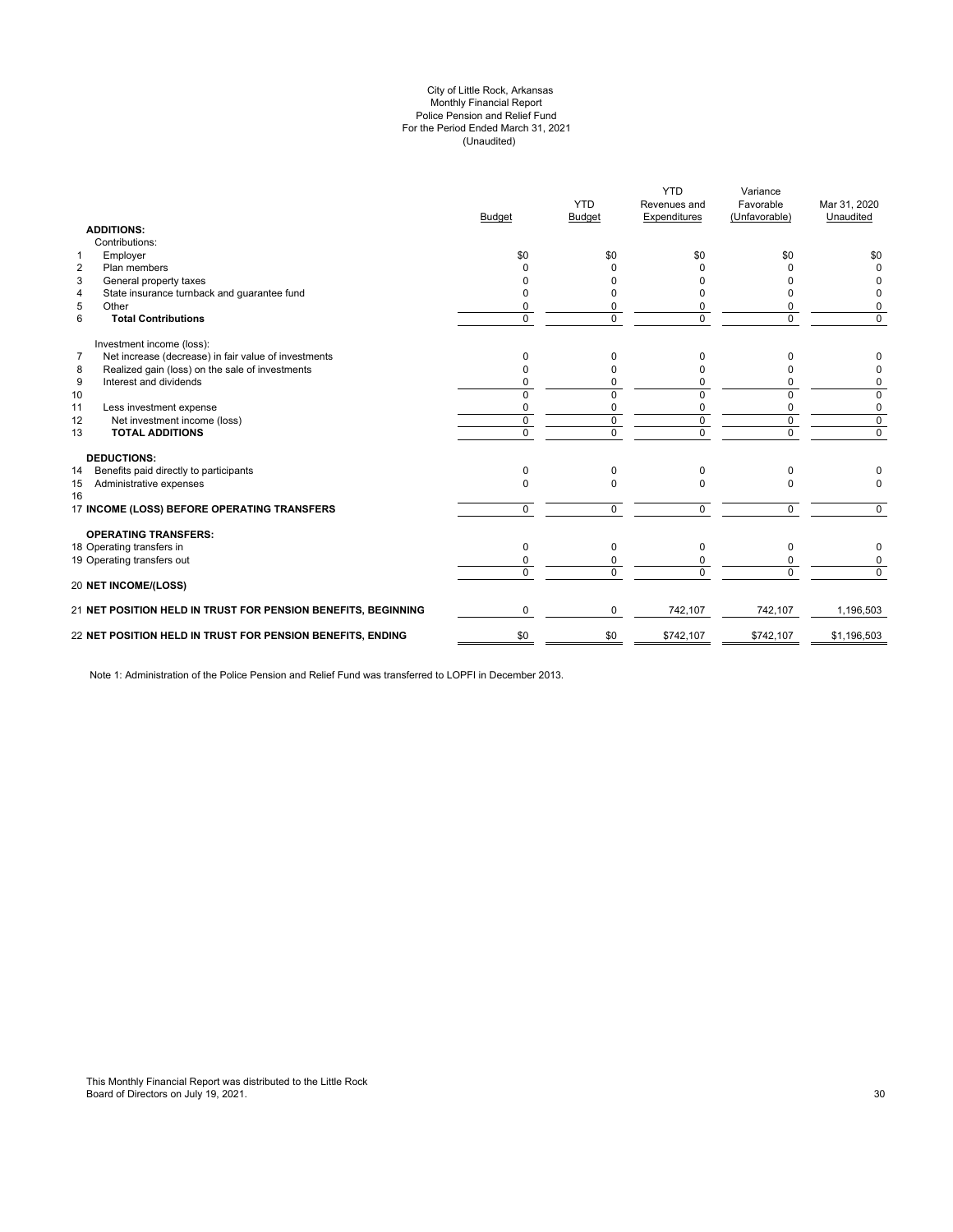#### (Unaudited) City of Little Rock, Arkansas Monthly Financial Report Police Pension and Relief Fund For the Period Ended March 31, 2021

|                | <b>ADDITIONS:</b>                                             | <b>Budget</b> | <b>YTD</b><br><b>Budget</b> | <b>YTD</b><br>Revenues and<br>Expenditures | Variance<br>Favorable<br>(Unfavorable) | Mar 31, 2020<br>Unaudited |
|----------------|---------------------------------------------------------------|---------------|-----------------------------|--------------------------------------------|----------------------------------------|---------------------------|
|                | Contributions:                                                |               |                             |                                            |                                        |                           |
| $\mathbf{1}$   | Employer                                                      | \$0           | \$0                         | \$0                                        | \$0                                    | \$0                       |
| $\overline{2}$ | Plan members                                                  | <sup>0</sup>  | <sup>0</sup>                | n                                          |                                        | $\Omega$                  |
| 3              | General property taxes                                        | n             | <sup>0</sup>                |                                            |                                        | 0                         |
| $\overline{4}$ | State insurance turnback and guarantee fund                   | n             | <sup>0</sup>                |                                            | n                                      | 0                         |
| 5              | Other                                                         | $\Omega$      | 0                           |                                            | n                                      | 0                         |
| 6              | <b>Total Contributions</b>                                    | $\mathbf 0$   | $\Omega$                    | $\Omega$                                   | 0                                      | $\mathbf 0$               |
|                | Investment income (loss):                                     |               |                             |                                            |                                        |                           |
| $\overline{7}$ | Net increase (decrease) in fair value of investments          | $\Omega$      | 0                           | 0                                          | n                                      | 0                         |
| 8              | Realized gain (loss) on the sale of investments               | $\Omega$      | $\Omega$                    |                                            | n                                      | 0                         |
| 9              | Interest and dividends                                        | 0             | 0                           | 0                                          | 0                                      | 0                         |
| 10             |                                                               | $\Omega$      | $\Omega$                    | $\Omega$                                   | 0                                      | 0                         |
| 11             | Less investment expense                                       | 0             | 0                           | 0                                          | 0                                      | 0                         |
| 12             | Net investment income (loss)                                  | $\mathbf 0$   | $\mathbf 0$                 | $\mathbf 0$                                | 0                                      | $\overline{0}$            |
| 13             | <b>TOTAL ADDITIONS</b>                                        | $\mathbf 0$   | $\Omega$                    | $\mathbf 0$                                | $\mathbf 0$                            | $\overline{0}$            |
|                | <b>DEDUCTIONS:</b>                                            |               |                             |                                            |                                        |                           |
| 14             | Benefits paid directly to participants                        | $\Omega$      | $\Omega$                    | $\Omega$                                   | 0                                      |                           |
| 15<br>16       | Administrative expenses                                       | $\Omega$      | $\Omega$                    | $\Omega$                                   | 0                                      | $\Omega$                  |
|                | 17 INCOME (LOSS) BEFORE OPERATING TRANSFERS                   | $\Omega$      | $\Omega$                    | $\Omega$                                   | 0                                      | $\Omega$                  |
|                | <b>OPERATING TRANSFERS:</b>                                   |               |                             |                                            |                                        |                           |
|                | 18 Operating transfers in                                     | $\Omega$      | $\Omega$                    | $\Omega$                                   | 0                                      | 0                         |
|                | 19 Operating transfers out                                    | 0             | 0                           |                                            | n                                      | 0                         |
|                | 20 NET INCOME/(LOSS)                                          | $\Omega$      | $\Omega$                    | $\Omega$                                   | $\Omega$                               | $\overline{0}$            |
|                | 21 NET POSITION HELD IN TRUST FOR PENSION BENEFITS, BEGINNING | $\Omega$      | 0                           | 742.107                                    | 742.107                                | 1,196,503                 |
|                | 22 NET POSITION HELD IN TRUST FOR PENSION BENEFITS, ENDING    | \$0           | \$0                         | \$742,107                                  | \$742,107                              | \$1,196,503               |
|                |                                                               |               |                             |                                            |                                        |                           |

Note 1: Administration of the Police Pension and Relief Fund was transferred to LOPFI in December 2013.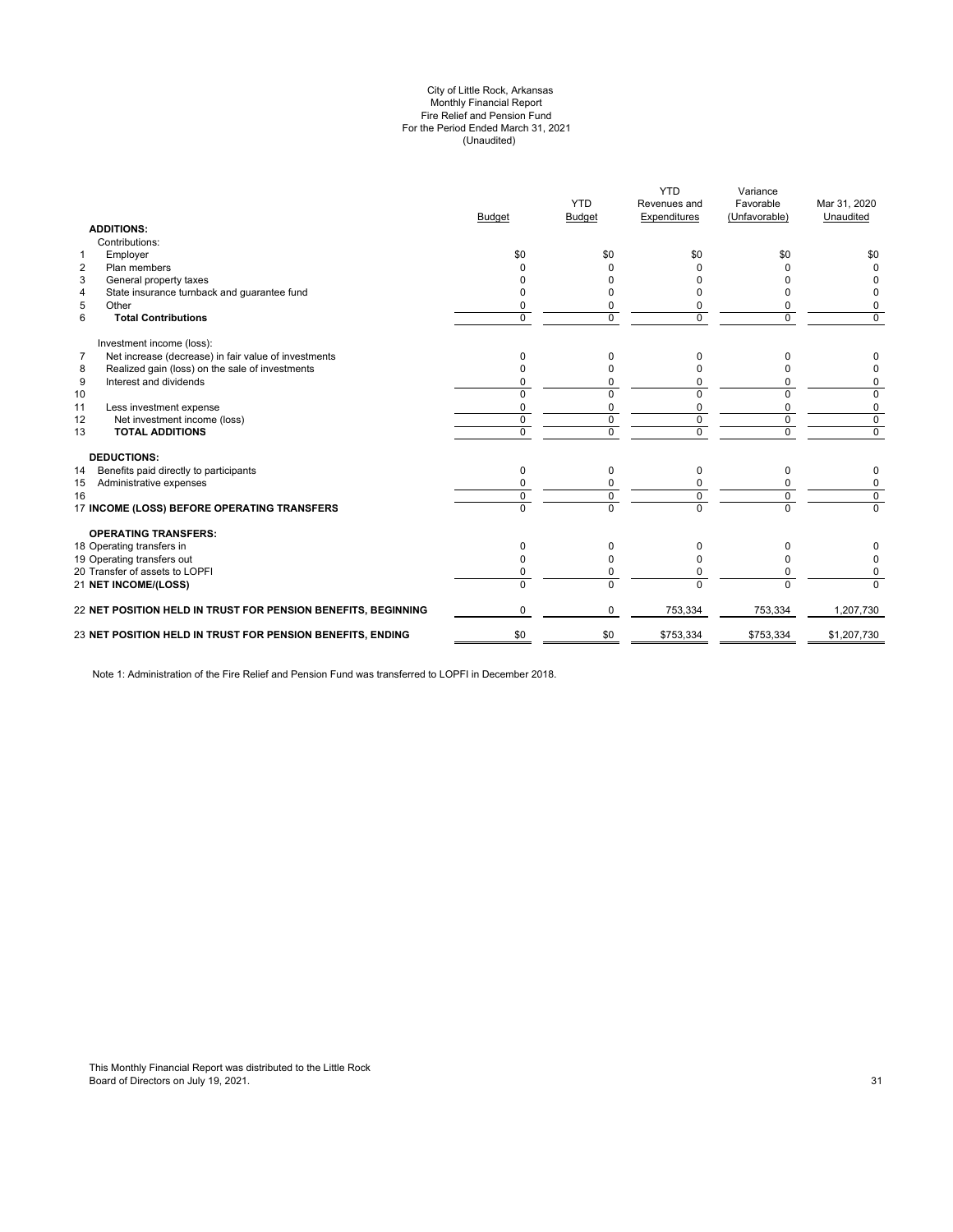#### (Unaudited) City of Little Rock, Arkansas Monthly Financial Report Fire Relief and Pension Fund For the Period Ended March 31, 2021

| <b>ADDITIONS:</b>                                                      | <b>Budget</b> | <b>YTD</b><br><b>Budget</b> | <b>YTD</b><br>Revenues and<br>Expenditures | Variance<br>Favorable<br>(Unfavorable) | Mar 31, 2020<br>Unaudited |
|------------------------------------------------------------------------|---------------|-----------------------------|--------------------------------------------|----------------------------------------|---------------------------|
| Contributions:                                                         |               |                             |                                            |                                        |                           |
| Employer<br>$\mathbf{1}$                                               | \$0           | \$0                         | \$0                                        | \$0                                    | \$0                       |
| $\overline{2}$<br>Plan members                                         |               |                             | <sup>0</sup>                               | U                                      | $\Omega$                  |
| 3<br>General property taxes                                            |               |                             |                                            |                                        |                           |
| State insurance turnback and guarantee fund<br>4                       |               |                             |                                            | o                                      | <sup>0</sup>              |
| 5<br>Other                                                             |               | 0                           | 0                                          | 0                                      | 0                         |
| 6<br><b>Total Contributions</b>                                        | $\Omega$      | $\Omega$                    | $\Omega$                                   | $\Omega$                               | $\Omega$                  |
| Investment income (loss):                                              |               |                             |                                            |                                        |                           |
| $\overline{7}$<br>Net increase (decrease) in fair value of investments | $\Omega$      | 0                           | 0                                          | n                                      | 0                         |
| Realized gain (loss) on the sale of investments<br>8                   |               | n                           |                                            |                                        | 0                         |
| 9<br>Interest and dividends                                            |               | 0                           | 0                                          | 0                                      | 0                         |
| 10                                                                     | $\Omega$      | $\Omega$                    | $\Omega$                                   | 0                                      | 0                         |
| 11<br>Less investment expense                                          | $\Omega$      | $\Omega$                    | $\Omega$                                   | $\Omega$                               | 0                         |
| 12<br>Net investment income (loss)                                     | $\mathbf 0$   | 0                           | 0                                          | $\mathbf 0$                            | $\mathbf 0$               |
| <b>TOTAL ADDITIONS</b><br>13                                           | $\Omega$      | $\Omega$                    | $\Omega$                                   | $\Omega$                               | $\mathbf 0$               |
| <b>DEDUCTIONS:</b>                                                     |               |                             |                                            |                                        |                           |
| Benefits paid directly to participants<br>14                           | $\mathbf 0$   | 0                           | 0                                          | 0                                      | 0                         |
| Administrative expenses<br>15                                          |               |                             |                                            | 0                                      | 0                         |
| 16                                                                     | $\Omega$      | 0                           | $\Omega$                                   | $\mathbf 0$                            | $\mathbf 0$               |
| 17 INCOME (LOSS) BEFORE OPERATING TRANSFERS                            | $\Omega$      | $\overline{0}$              | $\Omega$                                   | $\overline{0}$                         | $\overline{0}$            |
| <b>OPERATING TRANSFERS:</b>                                            |               |                             |                                            |                                        |                           |
| 18 Operating transfers in                                              | $\Omega$      | 0                           | 0                                          | 0                                      |                           |
| 19 Operating transfers out                                             | <sup>0</sup>  | O                           | <sup>0</sup>                               | 0                                      | 0                         |
| 20 Transfer of assets to LOPFI                                         | 0             | 0                           | 0                                          | $\Omega$                               | 0                         |
| 21 NET INCOME/(LOSS)                                                   | $\Omega$      | $\Omega$                    | $\Omega$                                   | $\Omega$                               | $\Omega$                  |
| 22 NET POSITION HELD IN TRUST FOR PENSION BENEFITS, BEGINNING          | $\Omega$      | $\Omega$                    | 753,334                                    | 753,334                                | 1,207,730                 |
| 23 NET POSITION HELD IN TRUST FOR PENSION BENEFITS, ENDING             | \$0           | \$0                         | \$753,334                                  | \$753,334                              | \$1,207,730               |
|                                                                        |               |                             |                                            |                                        |                           |

Note 1: Administration of the Fire Relief and Pension Fund was transferred to LOPFI in December 2018.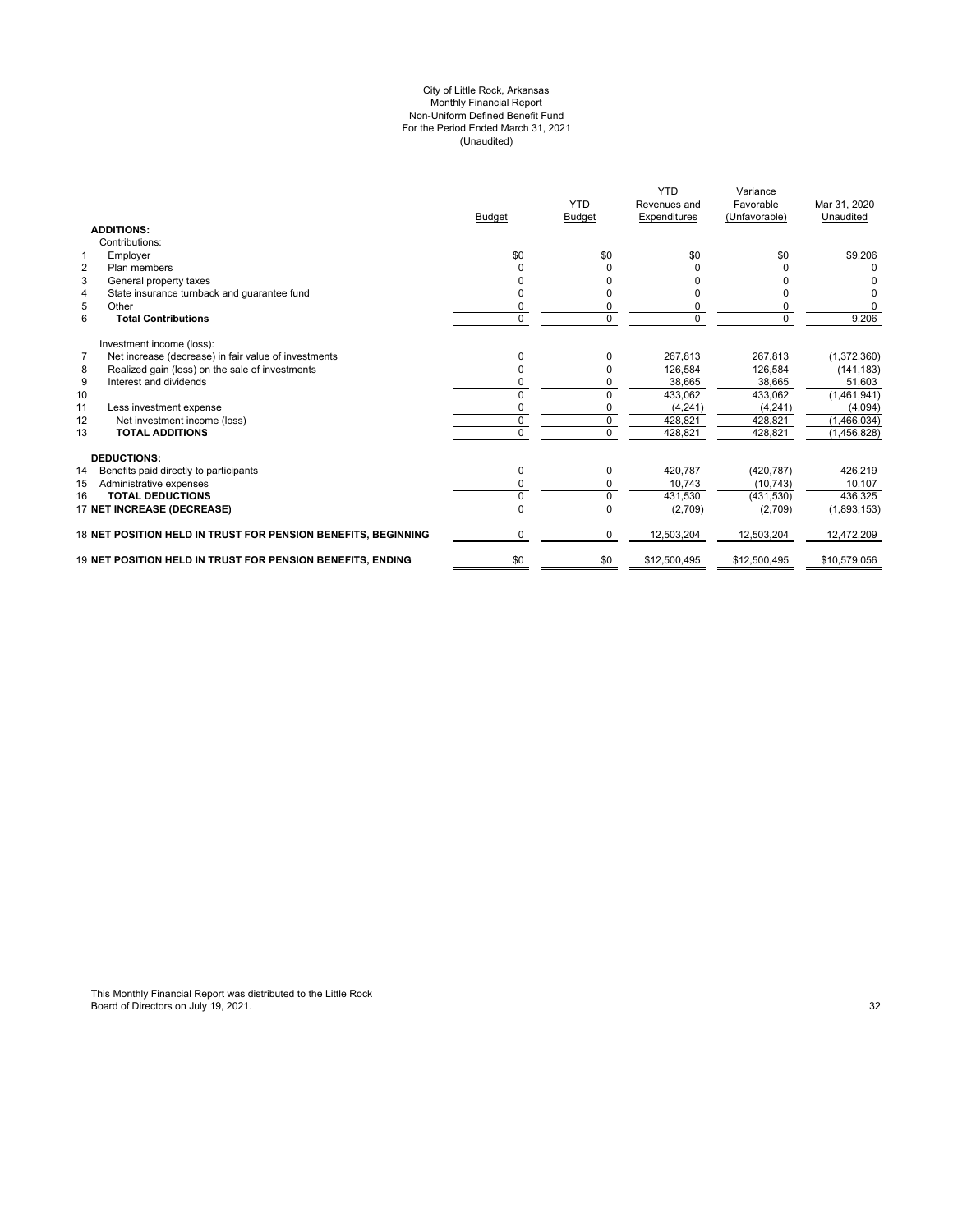#### (Unaudited) For the Period Ended March 31, 2021 City of Little Rock, Arkansas Monthly Financial Report Non-Uniform Defined Benefit Fund

|                                                                        | <b>Budget</b> | <b>YTD</b><br><b>Budget</b> | <b>YTD</b><br>Revenues and<br><b>Expenditures</b> | Variance<br>Favorable<br>(Unfavorable) | Mar 31, 2020<br>Unaudited |
|------------------------------------------------------------------------|---------------|-----------------------------|---------------------------------------------------|----------------------------------------|---------------------------|
| <b>ADDITIONS:</b>                                                      |               |                             |                                                   |                                        |                           |
| Contributions:                                                         |               |                             |                                                   |                                        |                           |
| Employer<br>$\mathbf 1$                                                | \$0           | \$0                         | \$0                                               | \$0                                    | \$9,206                   |
| $\overline{2}$<br>Plan members                                         |               | 0                           | 0                                                 |                                        |                           |
| 3<br>General property taxes                                            |               |                             | <sup>0</sup>                                      |                                        |                           |
| State insurance turnback and guarantee fund<br>4                       |               | ŋ                           | $\Omega$                                          |                                        |                           |
| 5<br>Other                                                             | 0             | 0                           | 0                                                 |                                        | $\Omega$                  |
| 6<br><b>Total Contributions</b>                                        | $\Omega$      | 0                           | $\Omega$                                          | $\Omega$                               | 9,206                     |
| Investment income (loss):                                              |               |                             |                                                   |                                        |                           |
| $\overline{7}$<br>Net increase (decrease) in fair value of investments | $\Omega$      | $\Omega$                    | 267.813                                           | 267,813                                | (1,372,360)               |
| Realized gain (loss) on the sale of investments<br>8                   |               | 0                           | 126.584                                           | 126.584                                | (141, 183)                |
| 9<br>Interest and dividends                                            |               | 0                           | 38,665                                            | 38,665                                 | 51,603                    |
| 10                                                                     | 0             | $\Omega$                    | 433,062                                           | 433,062                                | (1,461,941)               |
| 11<br>Less investment expense                                          | ŋ             | 0                           | (4,241)                                           | (4, 241)                               | (4,094)                   |
| 12<br>Net investment income (loss)                                     | $\Omega$      | $\mathbf 0$                 | 428.821                                           | 428,821                                | (1,466,034)               |
| <b>TOTAL ADDITIONS</b><br>13                                           | 0             | $\Omega$                    | 428,821                                           | 428,821                                | (1,456,828)               |
| <b>DEDUCTIONS:</b>                                                     |               |                             |                                                   |                                        |                           |
| 14<br>Benefits paid directly to participants                           | $\Omega$      | $\Omega$                    | 420.787                                           | (420, 787)                             | 426,219                   |
| 15<br>Administrative expenses                                          | 0             | 0                           | 10.743                                            | (10, 743)                              | 10,107                    |
| <b>TOTAL DEDUCTIONS</b><br>16                                          | $\mathbf 0$   | $\mathbf 0$                 | 431,530                                           | (431, 530)                             | 436,325                   |
| 17 NET INCREASE (DECREASE)                                             |               | 0                           | (2,709)                                           | (2,709)                                | (1,893,153)               |
| 18 NET POSITION HELD IN TRUST FOR PENSION BENEFITS, BEGINNING          | 0             | $\mathbf 0$                 | 12,503,204                                        | 12,503,204                             | 12,472,209                |
| 19 NET POSITION HELD IN TRUST FOR PENSION BENEFITS. ENDING             | \$0           | \$0                         | \$12,500,495                                      | \$12,500,495                           | \$10,579,056              |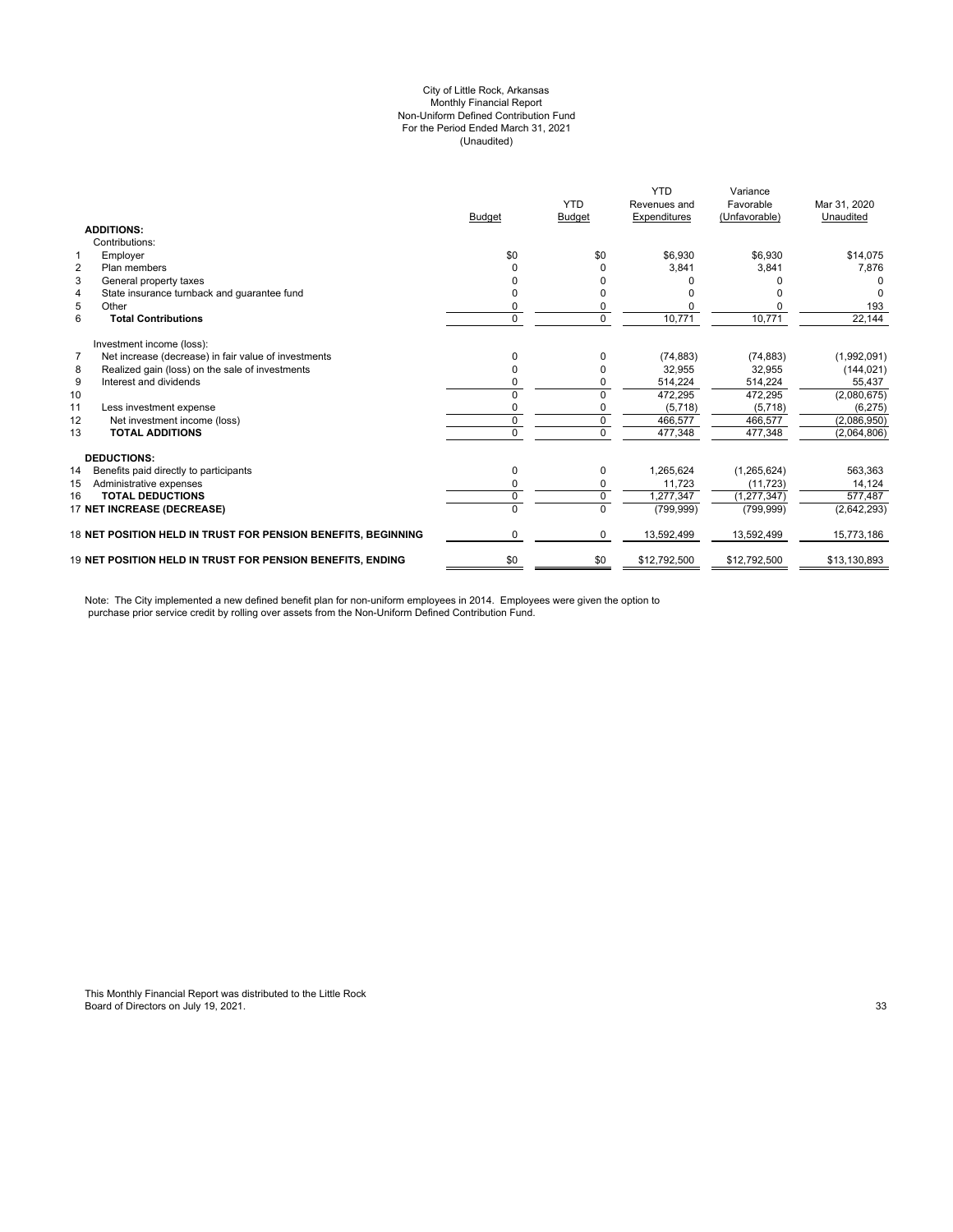#### City of Little Rock, Arkansas (Unaudited) For the Period Ended March 31, 2021 Non-Uniform Defined Contribution Fund Monthly Financial Report

|                                 |                                                                   |               | <b>YTD</b>    | <b>YTD</b><br>Revenues and | Variance<br>Favorable | Mar 31, 2020 |
|---------------------------------|-------------------------------------------------------------------|---------------|---------------|----------------------------|-----------------------|--------------|
| <b>ADDITIONS:</b>               |                                                                   | <b>Budget</b> | <b>Budget</b> | Expenditures               | (Unfavorable)         | Unaudited    |
| Contributions:                  |                                                                   |               |               |                            |                       |              |
|                                 |                                                                   |               |               |                            |                       |              |
| Employer<br>1                   |                                                                   | \$0           | \$0           | \$6,930                    | \$6,930               | \$14,075     |
| $\overline{2}$<br>Plan members  |                                                                   |               |               | 3,841                      | 3.841                 | 7,876        |
| 3<br>General property taxes     |                                                                   |               |               |                            |                       |              |
| $\overline{4}$                  | State insurance turnback and quarantee fund                       |               |               |                            |                       |              |
| 5<br>Other                      |                                                                   | 0             |               |                            |                       | 193          |
| 6<br><b>Total Contributions</b> |                                                                   | $\Omega$      | $\Omega$      | 10,771                     | 10,771                | 22,144       |
| Investment income (loss):       |                                                                   |               |               |                            |                       |              |
| $\overline{7}$                  | Net increase (decrease) in fair value of investments              |               |               | (74, 883)                  | (74, 883)             | (1,992,091)  |
| 8                               | Realized gain (loss) on the sale of investments                   | 0             |               | 32,955                     | 32,955                | (144, 021)   |
| Interest and dividends<br>9     |                                                                   | 0             |               | 514,224                    | 514,224               | 55,437       |
| 10                              |                                                                   | $\Omega$      | $\Omega$      | 472,295                    | 472,295               | (2,080,675)  |
| 11<br>Less investment expense   |                                                                   | 0             |               | (5,718)                    | (5,718)               | (6, 275)     |
| 12                              | Net investment income (loss)                                      | 0             | $\mathbf 0$   | 466,577                    | 466.577               | (2,086,950)  |
| <b>TOTAL ADDITIONS</b><br>13    |                                                                   | $\Omega$      | $\Omega$      | 477,348                    | 477,348               | (2,064,806)  |
| <b>DEDUCTIONS:</b>              |                                                                   |               |               |                            |                       |              |
| 14                              | Benefits paid directly to participants                            | 0             | $\Omega$      | 1,265,624                  | (1,265,624)           | 563,363      |
| 15<br>Administrative expenses   |                                                                   | 0             | 0             | 11.723                     | (11, 723)             | 14,124       |
| <b>TOTAL DEDUCTIONS</b><br>16   |                                                                   | 0             | $\Omega$      | 1,277,347                  | (1, 277, 347)         | 577,487      |
| 17 NET INCREASE (DECREASE)      |                                                                   | $\Omega$      | $\Omega$      | (799, 999)                 | (799, 999)            | (2,642,293)  |
|                                 | 18 NET POSITION HELD IN TRUST FOR PENSION BENEFITS. BEGINNING     | 0             | 0             | 13,592,499                 | 13,592,499            | 15,773,186   |
|                                 | <b>19 NET POSITION HELD IN TRUST FOR PENSION BENEFITS. ENDING</b> | \$0           | \$0           | \$12,792,500               | \$12,792,500          | \$13,130,893 |

Note: The City implemented a new defined benefit plan for non-uniform employees in 2014. Employees were given the option to purchase prior service credit by rolling over assets from the Non-Uniform Defined Contribution Fund.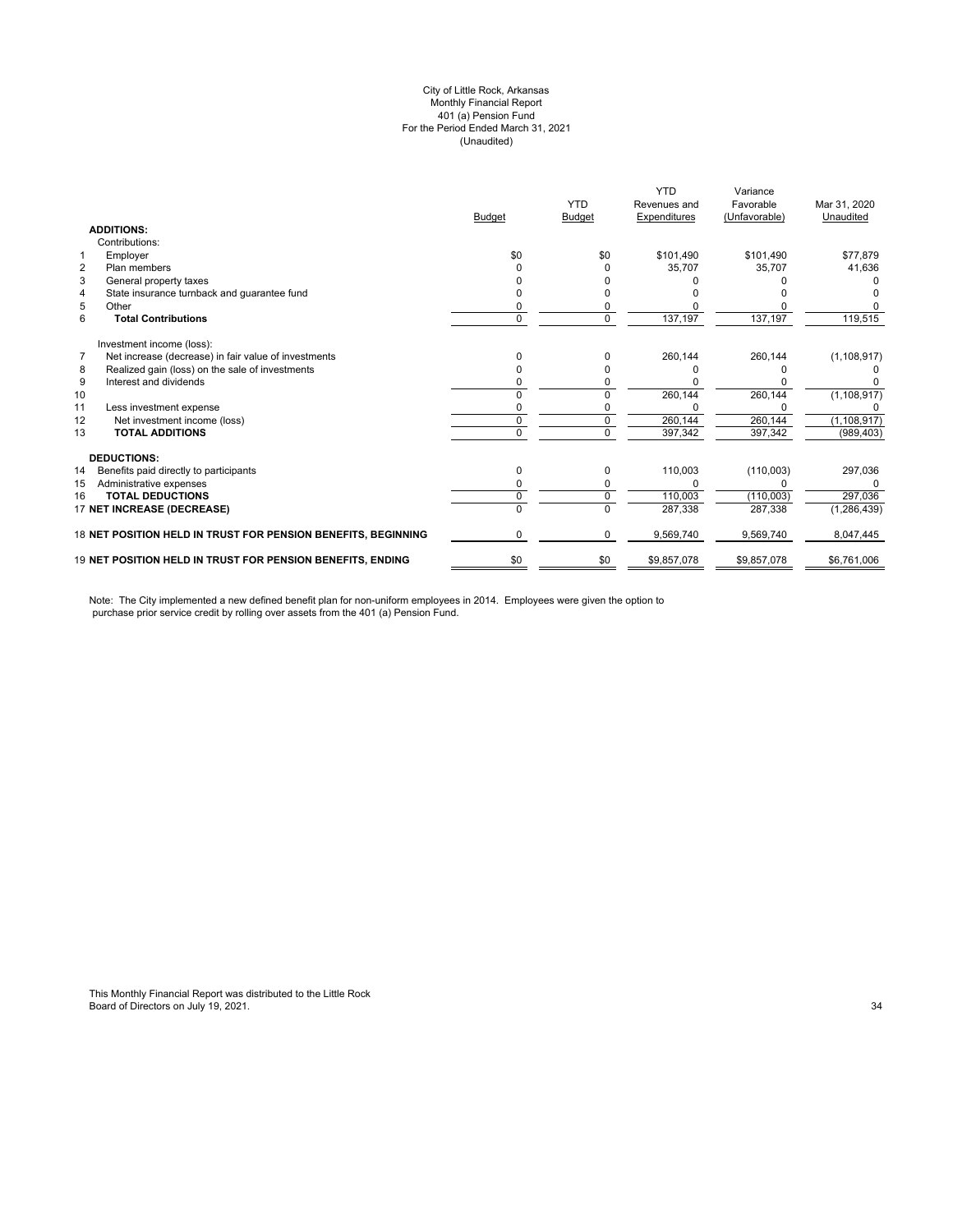#### (Unaudited) City of Little Rock, Arkansas Monthly Financial Report 401 (a) Pension Fund For the Period Ended March 31, 2021

|                                                                        |               | <b>YTD</b>    | <b>YTD</b><br>Revenues and | Variance<br>Favorable | Mar 31, 2020  |
|------------------------------------------------------------------------|---------------|---------------|----------------------------|-----------------------|---------------|
|                                                                        | <b>Budget</b> | <b>Budget</b> | Expenditures               | (Unfavorable)         | Unaudited     |
| <b>ADDITIONS:</b>                                                      |               |               |                            |                       |               |
| Contributions:                                                         |               |               |                            |                       |               |
| Employer<br>$\mathbf{1}$                                               | \$0           | \$0           | \$101,490                  | \$101,490             | \$77,879      |
| $\overline{2}$<br>Plan members                                         |               |               | 35,707                     | 35.707                | 41,636        |
| 3<br>General property taxes                                            |               |               |                            |                       |               |
| State insurance turnback and guarantee fund<br>$\overline{4}$          |               |               |                            |                       |               |
| 5<br>Other                                                             |               |               |                            |                       |               |
| 6<br><b>Total Contributions</b>                                        | 0             | $\Omega$      | 137,197                    | 137,197               | 119,515       |
| Investment income (loss):                                              |               |               |                            |                       |               |
| $\overline{7}$<br>Net increase (decrease) in fair value of investments |               |               | 260,144                    | 260,144               | (1, 108, 917) |
| Realized gain (loss) on the sale of investments<br>8                   |               |               |                            |                       |               |
| 9<br>Interest and dividends                                            |               |               |                            |                       |               |
| 10                                                                     |               |               | 260,144                    | 260,144               | (1, 108, 917) |
| 11<br>Less investment expense                                          |               |               |                            |                       |               |
| 12<br>Net investment income (loss)                                     | 0             |               | 260,144                    | 260,144               | (1, 108, 917) |
| 13<br><b>TOTAL ADDITIONS</b>                                           | U             | $\Omega$      | 397,342                    | 397,342               | (989, 403)    |
| <b>DEDUCTIONS:</b>                                                     |               |               |                            |                       |               |
| 14<br>Benefits paid directly to participants                           | 0             | 0             | 110,003                    | (110,003)             | 297,036       |
| 15<br>Administrative expenses                                          |               |               |                            |                       | 0             |
| <b>TOTAL DEDUCTIONS</b><br>16                                          | 0             | 0             | 110,003                    | (110,003)             | 297,036       |
| 17 NET INCREASE (DECREASE)                                             | 0             | $\Omega$      | 287,338                    | 287,338               | (1, 286, 439) |
| 18 NET POSITION HELD IN TRUST FOR PENSION BENEFITS, BEGINNING          | 0             | 0             | 9,569,740                  | 9,569,740             | 8,047,445     |
| 19 NET POSITION HELD IN TRUST FOR PENSION BENEFITS, ENDING             | \$0           | \$0           | \$9,857,078                | \$9,857,078           | \$6,761,006   |

Note: The City implemented a new defined benefit plan for non-uniform employees in 2014. Employees were given the option to purchase prior service credit by rolling over assets from the 401 (a) Pension Fund.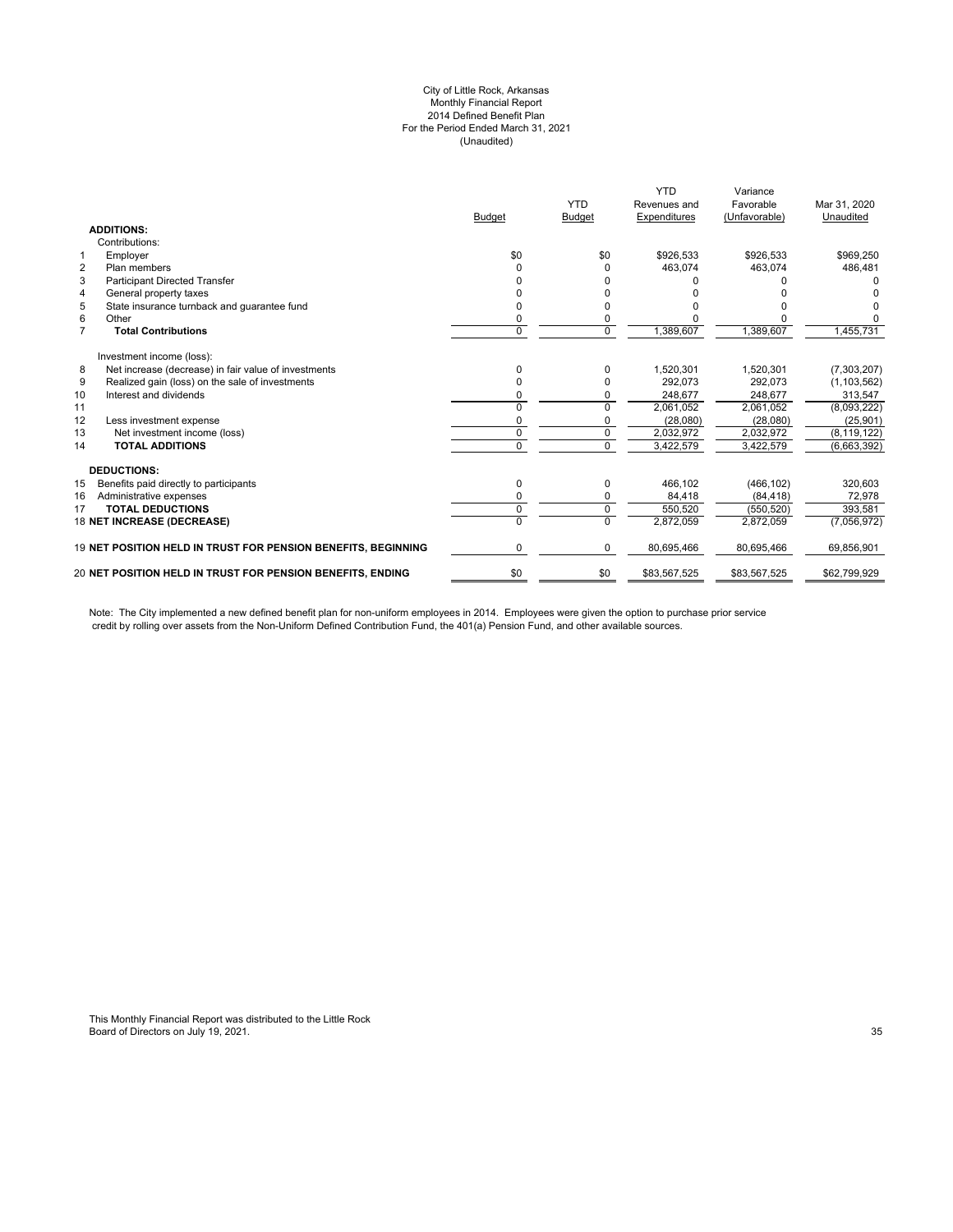#### City of Little Rock, Arkansas Monthly Financial Report 2014 Defined Benefit Plan For the Period Ended March 31, 2021 (Unaudited)

|                |                                                               | <b>Budget</b> | <b>YTD</b><br><b>Budget</b> | <b>YTD</b><br>Revenues and<br>Expenditures | Variance<br>Favorable<br>(Unfavorable) | Mar 31, 2020<br>Unaudited |
|----------------|---------------------------------------------------------------|---------------|-----------------------------|--------------------------------------------|----------------------------------------|---------------------------|
|                | <b>ADDITIONS:</b>                                             |               |                             |                                            |                                        |                           |
|                | Contributions:                                                |               |                             |                                            |                                        |                           |
| $\mathbf{1}$   | Employer                                                      | \$0           | \$0                         | \$926,533                                  | \$926,533                              | \$969,250                 |
| $\overline{2}$ | Plan members                                                  | U             | $\Omega$                    | 463.074                                    | 463.074                                | 486,481                   |
| 3              | <b>Participant Directed Transfer</b>                          |               |                             |                                            |                                        |                           |
| 4              | General property taxes                                        |               |                             |                                            |                                        |                           |
| 5              | State insurance turnback and quarantee fund                   | o             | <sup>0</sup>                |                                            |                                        |                           |
| 6              | Other                                                         | 0             | 0                           |                                            |                                        |                           |
| $\overline{7}$ | <b>Total Contributions</b>                                    | $\Omega$      | $\overline{0}$              | 1,389,607                                  | 1,389,607                              | 1,455,731                 |
|                | Investment income (loss):                                     |               |                             |                                            |                                        |                           |
| 8              | Net increase (decrease) in fair value of investments          | 0             | $\Omega$                    | 1,520,301                                  | 1,520,301                              | (7,303,207)               |
| 9              | Realized gain (loss) on the sale of investments               |               | $\Omega$                    | 292,073                                    | 292,073                                | (1, 103, 562)             |
| 10             | Interest and dividends                                        |               | $\Omega$                    | 248,677                                    | 248,677                                | 313,547                   |
| 11             |                                                               | U             | $\Omega$                    | 2,061,052                                  | 2,061,052                              | (8,093,222)               |
| 12             | Less investment expense                                       |               |                             | (28,080)                                   | (28,080)                               | (25, 901)                 |
| 13             | Net investment income (loss)                                  | $\Omega$      | $\Omega$                    | 2,032,972                                  | 2,032,972                              | (8, 119, 122)             |
| 14             | <b>TOTAL ADDITIONS</b>                                        | O             | $\Omega$                    | 3,422,579                                  | 3,422,579                              | (6,663,392)               |
|                | <b>DEDUCTIONS:</b>                                            |               |                             |                                            |                                        |                           |
| 15             | Benefits paid directly to participants                        | 0             | 0                           | 466.102                                    | (466, 102)                             | 320,603                   |
| 16             | Administrative expenses                                       | 0             | $\Omega$                    | 84,418                                     | (84, 418)                              | 72,978                    |
| 17             | <b>TOTAL DEDUCTIONS</b>                                       | 0             | $\mathbf 0$                 | 550,520                                    | (550.520)                              | 393.581                   |
|                | 18 NET INCREASE (DECREASE)                                    |               | $\Omega$                    | 2,872,059                                  | 2,872,059                              | (7,056,972)               |
|                | 19 NET POSITION HELD IN TRUST FOR PENSION BENEFITS, BEGINNING | 0             | $\mathbf 0$                 | 80,695,466                                 | 80,695,466                             | 69,856,901                |
|                | 20 NET POSITION HELD IN TRUST FOR PENSION BENEFITS, ENDING    | \$0           | \$0                         | \$83,567,525                               | \$83,567,525                           | \$62,799,929              |
|                |                                                               |               |                             |                                            |                                        |                           |

Note: The City implemented a new defined benefit plan for non-uniform employees in 2014. Employees were given the option to purchase prior service credit by rolling over assets from the Non-Uniform Defined Contribution Fund, the 401(a) Pension Fund, and other available sources.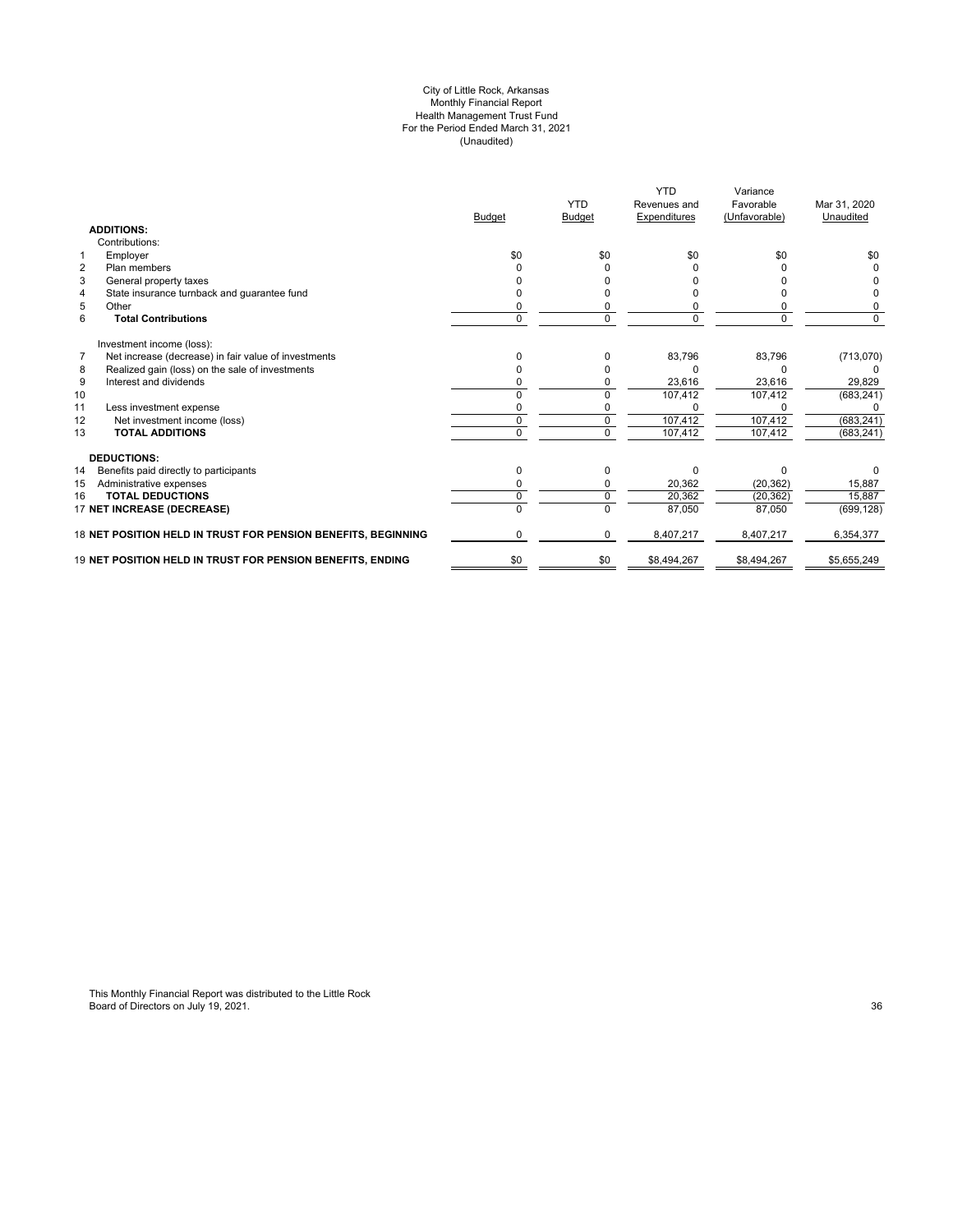#### City of Little Rock, Arkansas Monthly Financial Report Health Management Trust Fund For the Period Ended March 31, 2021 (Unaudited)

|                                                               | <b>Budget</b> | <b>YTD</b><br><b>Budget</b> | <b>YTD</b><br>Revenues and<br>Expenditures | Variance<br>Favorable<br>(Unfavorable) | Mar 31, 2020<br>Unaudited |
|---------------------------------------------------------------|---------------|-----------------------------|--------------------------------------------|----------------------------------------|---------------------------|
| <b>ADDITIONS:</b>                                             |               |                             |                                            |                                        |                           |
| Contributions:                                                |               |                             |                                            |                                        |                           |
| Employer<br>1                                                 | \$0           | \$0                         | \$0                                        | \$0                                    | \$0                       |
| $\overline{2}$<br>Plan members                                |               |                             |                                            |                                        |                           |
| 3<br>General property taxes                                   |               |                             |                                            |                                        |                           |
| State insurance turnback and guarantee fund<br>4              |               |                             |                                            |                                        |                           |
| 5<br>Other                                                    |               |                             |                                            |                                        |                           |
| 6<br><b>Total Contributions</b>                               | U             | $\Omega$                    |                                            | U                                      | $\Omega$                  |
| Investment income (loss):                                     |               |                             |                                            |                                        |                           |
| Net increase (decrease) in fair value of investments<br>7     | 0             | 0                           | 83,796                                     | 83,796                                 | (713,070)                 |
| 8<br>Realized gain (loss) on the sale of investments          |               |                             |                                            |                                        |                           |
| 9<br>Interest and dividends                                   |               |                             | 23,616                                     | 23,616                                 | 29,829                    |
| 10                                                            | U             | $\Omega$                    | 107,412                                    | 107,412                                | (683, 241)                |
| 11<br>Less investment expense                                 |               |                             |                                            |                                        |                           |
| 12<br>Net investment income (loss)                            | 0             | 0                           | 107,412                                    | 107,412                                | (683, 241)                |
| <b>TOTAL ADDITIONS</b><br>13                                  | 0             | $\Omega$                    | 107,412                                    | 107,412                                | (683, 241)                |
| <b>DEDUCTIONS:</b>                                            |               |                             |                                            |                                        |                           |
| 14<br>Benefits paid directly to participants                  | 0             | O                           | U                                          | ŋ                                      |                           |
| 15<br>Administrative expenses                                 |               |                             | 20,362                                     | (20, 362)                              | 15,887                    |
| <b>TOTAL DEDUCTIONS</b><br>16                                 | U             | $\Omega$                    | 20,362                                     | (20, 362)                              | 15,887                    |
| 17 NET INCREASE (DECREASE)                                    |               |                             | 87,050                                     | 87,050                                 | (699, 128)                |
| 18 NET POSITION HELD IN TRUST FOR PENSION BENEFITS, BEGINNING | 0             | $\Omega$                    | 8,407,217                                  | 8,407,217                              | 6,354,377                 |
| 19 NET POSITION HELD IN TRUST FOR PENSION BENEFITS, ENDING    | \$0           | \$0                         | \$8,494,267                                | \$8,494,267                            | \$5,655,249               |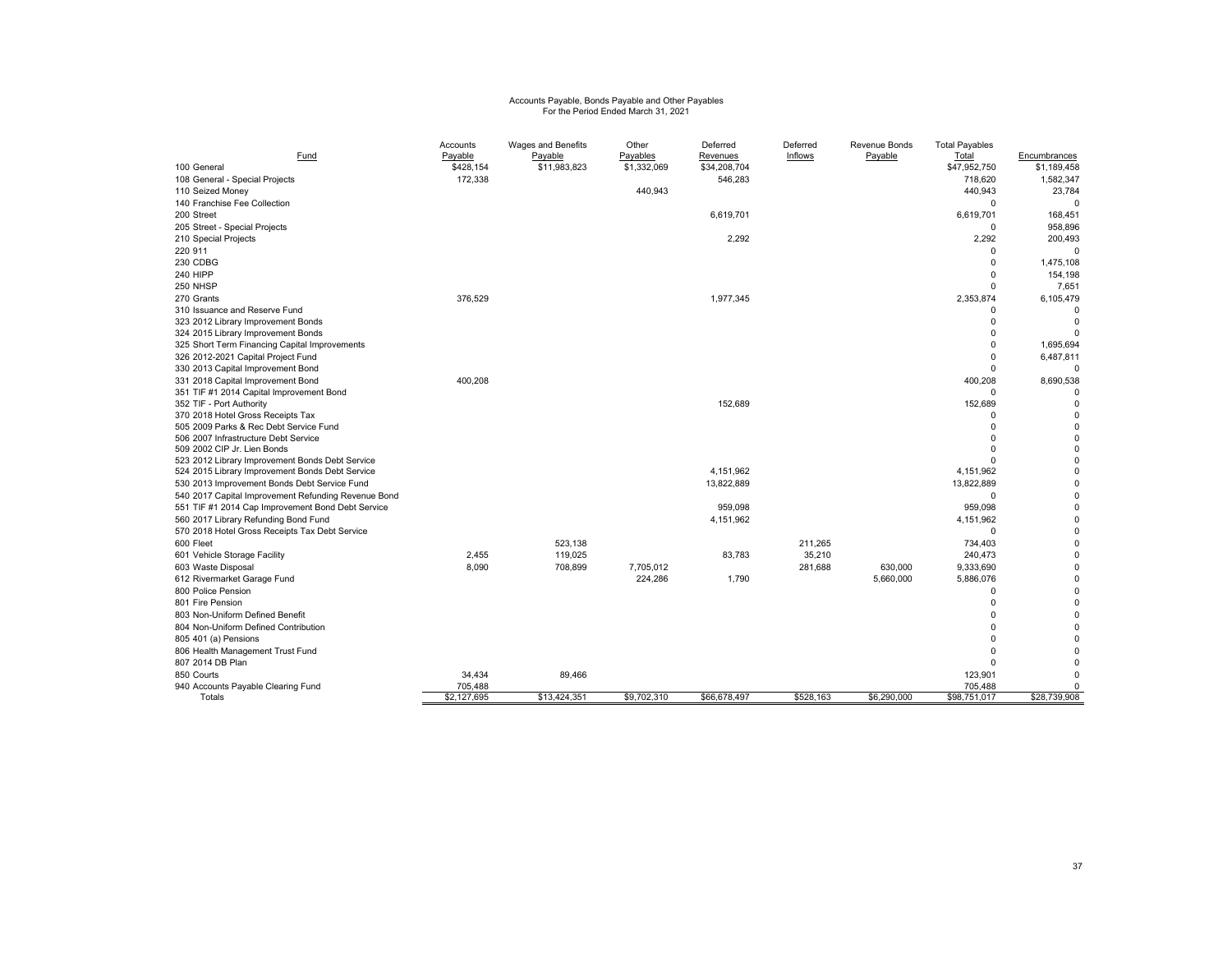# Accounts Payable, Bonds Payable and Other Payables For the Period Ended March 31, 2021

|                                                     | Accounts    | Wages and Benefits | Other       | Deferred     | Deferred  | Revenue Bonds | <b>Total Payables</b> |              |
|-----------------------------------------------------|-------------|--------------------|-------------|--------------|-----------|---------------|-----------------------|--------------|
| Fund                                                | Payable     | Payable            | Payables    | Revenues     | Inflows   | Payable       | Total                 | Encumbrances |
| 100 General                                         | \$428,154   | \$11,983,823       | \$1,332,069 | \$34,208,704 |           |               | \$47,952,750          | \$1,189,458  |
| 108 General - Special Projects                      | 172,338     |                    |             | 546,283      |           |               | 718,620               | 1,582,347    |
| 110 Seized Money                                    |             |                    | 440,943     |              |           |               | 440,943               | 23,784       |
| 140 Franchise Fee Collection                        |             |                    |             |              |           |               | $\Omega$              | 0            |
| 200 Street                                          |             |                    |             | 6,619,701    |           |               | 6,619,701             | 168,451      |
| 205 Street - Special Projects                       |             |                    |             |              |           |               | 0                     | 958,896      |
| 210 Special Projects                                |             |                    |             | 2.292        |           |               | 2,292                 | 200,493      |
| 220 911                                             |             |                    |             |              |           |               | $\Omega$              | $\Omega$     |
| 230 CDBG                                            |             |                    |             |              |           |               | $\Omega$              | 1,475,108    |
| 240 HIPP                                            |             |                    |             |              |           |               | $\Omega$              | 154,198      |
| 250 NHSP                                            |             |                    |             |              |           |               | $\Omega$              | 7,651        |
| 270 Grants                                          | 376,529     |                    |             | 1,977,345    |           |               | 2,353,874             | 6,105,479    |
| 310 Issuance and Reserve Fund                       |             |                    |             |              |           |               | $\Omega$              | $\Omega$     |
| 323 2012 Library Improvement Bonds                  |             |                    |             |              |           |               | $\Omega$              | $\Omega$     |
| 324 2015 Library Improvement Bonds                  |             |                    |             |              |           |               | $\Omega$              | $\Omega$     |
| 325 Short Term Financing Capital Improvements       |             |                    |             |              |           |               | $\Omega$              | 1,695,694    |
| 326 2012-2021 Capital Project Fund                  |             |                    |             |              |           |               | $\Omega$              | 6,487,811    |
| 330 2013 Capital Improvement Bond                   |             |                    |             |              |           |               | $\Omega$              | $\Omega$     |
| 331 2018 Capital Improvement Bond                   | 400,208     |                    |             |              |           |               | 400,208               | 8,690,538    |
| 351 TIF #1 2014 Capital Improvement Bond            |             |                    |             |              |           |               | $\Omega$              | $\Omega$     |
| 352 TIF - Port Authority                            |             |                    |             | 152,689      |           |               | 152,689               | $\mathbf 0$  |
| 370 2018 Hotel Gross Receipts Tax                   |             |                    |             |              |           |               | $\Omega$              | 0            |
| 505 2009 Parks & Rec Debt Service Fund              |             |                    |             |              |           |               | $\Omega$              | $\Omega$     |
| 506 2007 Infrastructure Debt Service                |             |                    |             |              |           |               | $\Omega$              | $\mathbf 0$  |
| 509 2002 CIP Jr. Lien Bonds                         |             |                    |             |              |           |               |                       | $\Omega$     |
| 523 2012 Library Improvement Bonds Debt Service     |             |                    |             |              |           |               |                       | $\mathbf 0$  |
| 524 2015 Library Improvement Bonds Debt Service     |             |                    |             | 4.151.962    |           |               | 4,151,962             | $\Omega$     |
| 530 2013 Improvement Bonds Debt Service Fund        |             |                    |             | 13.822.889   |           |               | 13,822,889            | 0            |
| 540 2017 Capital Improvement Refunding Revenue Bond |             |                    |             |              |           |               | $\Omega$              | $\mathbf 0$  |
| 551 TIF #1 2014 Cap Improvement Bond Debt Service   |             |                    |             | 959.098      |           |               | 959,098               | 0            |
| 560 2017 Library Refunding Bond Fund                |             |                    |             | 4,151,962    |           |               | 4,151,962             | $\Omega$     |
| 570 2018 Hotel Gross Receipts Tax Debt Service      |             |                    |             |              |           |               | $\Omega$              | 0            |
| 600 Fleet                                           |             | 523.138            |             |              | 211.265   |               | 734,403               | 0            |
| 601 Vehicle Storage Facility                        | 2,455       | 119,025            |             | 83,783       | 35,210    |               | 240,473               | $\Omega$     |
| 603 Waste Disposal                                  | 8.090       | 708,899            | 7,705,012   |              | 281,688   | 630,000       | 9,333,690             | 0            |
| 612 Rivermarket Garage Fund                         |             |                    | 224,286     | 1,790        |           | 5,660,000     | 5,886,076             | $\Omega$     |
| 800 Police Pension                                  |             |                    |             |              |           |               | $\Omega$              | $\Omega$     |
| 801 Fire Pension                                    |             |                    |             |              |           |               | $\Omega$              | 0            |
| 803 Non-Uniform Defined Benefit                     |             |                    |             |              |           |               |                       | $\Omega$     |
| 804 Non-Uniform Defined Contribution                |             |                    |             |              |           |               |                       | $\mathbf 0$  |
| 805 401 (a) Pensions                                |             |                    |             |              |           |               |                       | $\Omega$     |
| 806 Health Management Trust Fund                    |             |                    |             |              |           |               |                       | $\Omega$     |
| 807 2014 DB Plan                                    |             |                    |             |              |           |               |                       | $\Omega$     |
| 850 Courts                                          | 34,434      | 89,466             |             |              |           |               | 123,901               | $\Omega$     |
| 940 Accounts Payable Clearing Fund                  | 705,488     |                    |             |              |           |               | 705,488               | 0            |
| Totals                                              | \$2,127,695 | \$13,424,351       | \$9,702,310 | \$66,678,497 | \$528,163 | \$6,290,000   | \$98,751,017          | \$28,739,908 |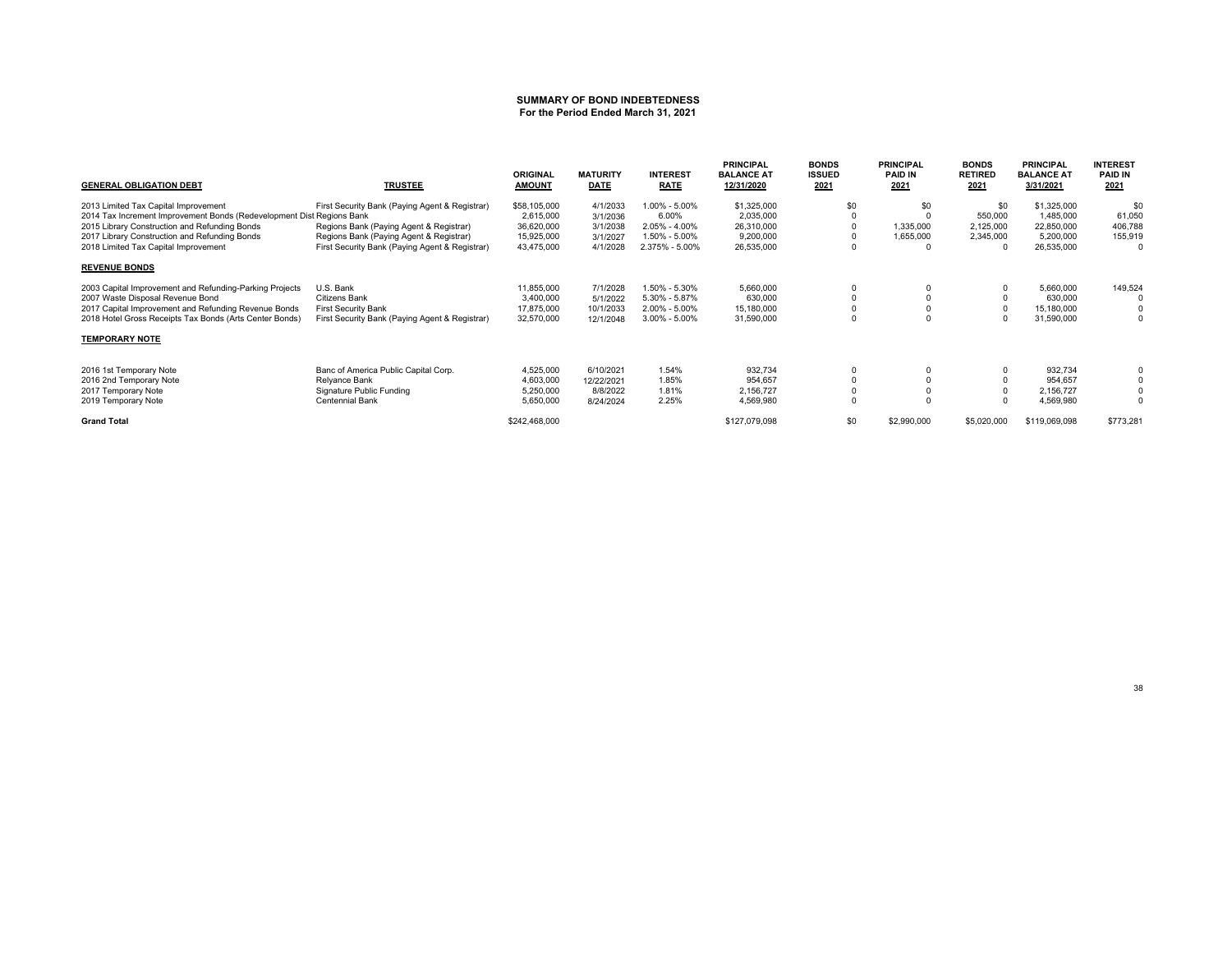#### **SUMMARY OF BOND INDEBTEDNESSFor the Period Ended March 31, 2021**

| <b>GENERAL OBLIGATION DEBT</b>                                        | <b>TRUSTEE</b>                                 | <b>ORIGINAL</b><br><b>AMOUNT</b> | <b>MATURITY</b><br><b>DATE</b> | <b>INTEREST</b><br><b>RATE</b> | <b>PRINCIPAL</b><br><b>BALANCE AT</b><br>12/31/2020 | <b>BONDS</b><br><b>ISSUED</b><br>2021 | <b>PRINCIPAL</b><br><b>PAID IN</b><br>2021 | <b>BONDS</b><br><b>RETIRED</b><br>2021 | <b>PRINCIPAL</b><br><b>BALANCE AT</b><br>3/31/2021 | <b>INTEREST</b><br><b>PAID IN</b><br>2021 |
|-----------------------------------------------------------------------|------------------------------------------------|----------------------------------|--------------------------------|--------------------------------|-----------------------------------------------------|---------------------------------------|--------------------------------------------|----------------------------------------|----------------------------------------------------|-------------------------------------------|
| 2013 Limited Tax Capital Improvement                                  | First Security Bank (Paying Agent & Registrar) | \$58,105,000                     | 4/1/2033                       | 1.00% - 5.00%                  | \$1,325,000                                         | \$0                                   | \$0                                        | \$0                                    | \$1,325,000                                        | \$0                                       |
| 2014 Tax Increment Improvement Bonds (Redevelopment Dist Regions Bank |                                                | 2,615,000                        | 3/1/2036                       | 6.00%                          | 2,035,000                                           |                                       |                                            | 550,000                                | 1.485.000                                          | 61,050                                    |
| 2015 Library Construction and Refunding Bonds                         | Regions Bank (Paying Agent & Registrar)        | 36,620,000                       | 3/1/2038                       | $2.05\% - 4.00\%$              | 26,310,000                                          |                                       | 1,335,000                                  | 2,125,000                              | 22,850,000                                         | 406,788                                   |
| 2017 Library Construction and Refunding Bonds                         | Regions Bank (Paying Agent & Registrar)        | 15,925,000                       | 3/1/2027                       | 1.50% - 5.00%                  | 9,200,000                                           |                                       | 1,655,000                                  | 2,345,000                              | 5,200,000                                          | 155,919                                   |
| 2018 Limited Tax Capital Improvement                                  | First Security Bank (Paying Agent & Registrar) | 43,475,000                       | 4/1/2028                       | 2.375% - 5.00%                 | 26,535,000                                          | $\Omega$                              | $\Omega$                                   |                                        | 26,535,000                                         | 0                                         |
| <b>REVENUE BONDS</b>                                                  |                                                |                                  |                                |                                |                                                     |                                       |                                            |                                        |                                                    |                                           |
| 2003 Capital Improvement and Refunding-Parking Projects               | U.S. Bank                                      | 11,855,000                       | 7/1/2028                       | 1.50% - 5.30%                  | 5,660,000                                           |                                       |                                            |                                        | 5,660,000                                          | 149,524                                   |
| 2007 Waste Disposal Revenue Bond                                      | Citizens Bank                                  | 3,400,000                        | 5/1/2022                       | 5.30% - 5.87%                  | 630,000                                             |                                       |                                            |                                        | 630,000                                            |                                           |
| 2017 Capital Improvement and Refunding Revenue Bonds                  | <b>First Security Bank</b>                     | 17,875,000                       | 10/1/2033                      | $2.00\% - 5.00\%$              | 15,180,000                                          |                                       |                                            |                                        | 15,180,000                                         |                                           |
| 2018 Hotel Gross Receipts Tax Bonds (Arts Center Bonds)               | First Security Bank (Paying Agent & Registrar) | 32,570,000                       | 12/1/2048                      | $3.00\% - 5.00\%$              | 31,590,000                                          |                                       | $\Omega$                                   |                                        | 31,590,000                                         | 0                                         |
| <b>TEMPORARY NOTE</b>                                                 |                                                |                                  |                                |                                |                                                     |                                       |                                            |                                        |                                                    |                                           |
| 2016 1st Temporary Note                                               | Banc of America Public Capital Corp.           | 4,525,000                        | 6/10/2021                      | 1.54%                          | 932,734                                             |                                       |                                            |                                        | 932,734                                            |                                           |
| 2016 2nd Temporary Note                                               | Relyance Bank                                  | 4,603,000                        | 12/22/2021                     | 1.85%                          | 954,657                                             |                                       |                                            |                                        | 954,657                                            |                                           |
| 2017 Temporary Note                                                   | Signature Public Funding                       | 5,250,000                        | 8/8/2022                       | 1.81%                          | 2,156,727                                           |                                       |                                            |                                        | 2,156,727                                          |                                           |
| 2019 Temporary Note                                                   | <b>Centennial Bank</b>                         | 5,650,000                        | 8/24/2024                      | 2.25%                          | 4,569,980                                           | $\Omega$                              |                                            |                                        | 4,569,980                                          | $\Omega$                                  |
| <b>Grand Total</b>                                                    |                                                | \$242,468,000                    |                                |                                | \$127,079,098                                       | \$0                                   | \$2,990,000                                | \$5,020,000                            | \$119,069,098                                      | \$773,281                                 |